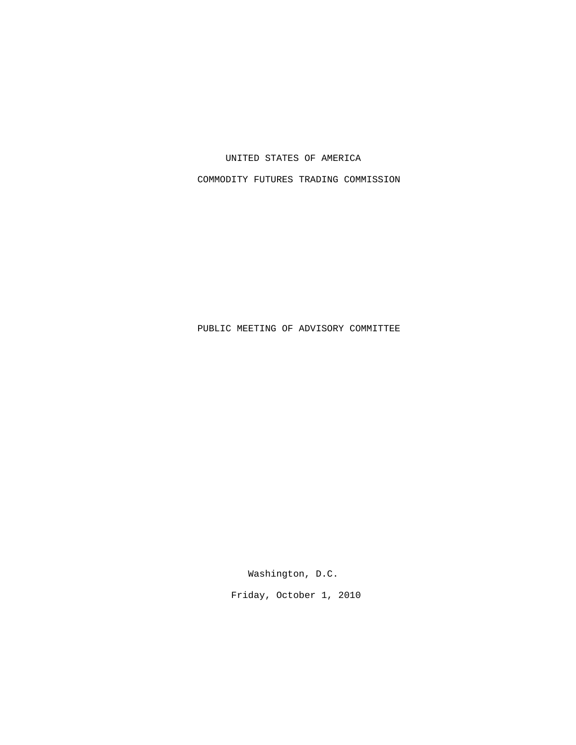UNITED STATES OF AMERICA

COMMODITY FUTURES TRADING COMMISSION

PUBLIC MEETING OF ADVISORY COMMITTEE

Washington, D.C.

Friday, October 1, 2010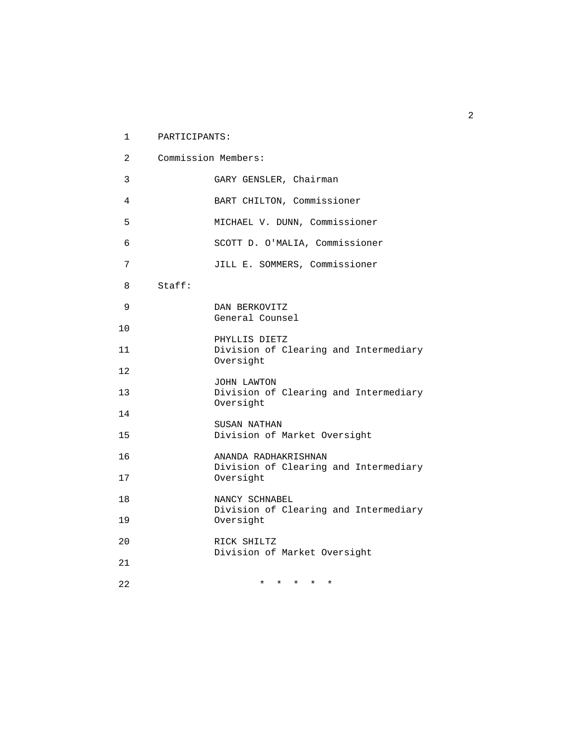| $\mathbf{1}$   | PARTICIPANTS: |                                                        |
|----------------|---------------|--------------------------------------------------------|
| $\overline{2}$ |               | Commission Members:                                    |
| 3              |               | GARY GENSLER, Chairman                                 |
| 4              |               | BART CHILTON, Commissioner                             |
| 5              |               | MICHAEL V. DUNN, Commissioner                          |
| 6              |               | SCOTT D. O'MALIA, Commissioner                         |
| 7              |               | JILL E. SOMMERS, Commissioner                          |
| 8              | Staff:        |                                                        |
| 9              |               | DAN BERKOVITZ                                          |
| 10             |               | General Counsel                                        |
| 11             |               | PHYLLIS DIETZ<br>Division of Clearing and Intermediary |
| 12             |               | Oversight                                              |
| 13             |               | JOHN LAWTON<br>Division of Clearing and Intermediary   |
| 14             |               | Oversight                                              |
| 15             |               | SUSAN NATHAN<br>Division of Market Oversight           |
| 16             |               | ANANDA RADHAKRISHNAN                                   |
| 17             |               | Division of Clearing and Intermediary<br>Oversight     |
| 18             |               | NANCY SCHNABEL                                         |
| 19             |               | Division of Clearing and Intermediary<br>Oversight     |
| 20             |               | RICK SHILTZ                                            |
| 21             |               | Division of Market Oversight                           |
| 22             |               | * * * * *                                              |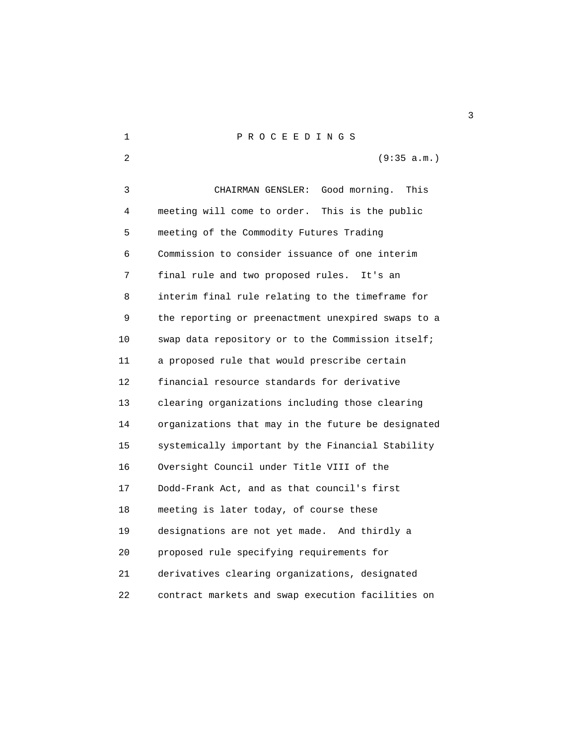| 2  | (9:35 a.m.)                                        |
|----|----------------------------------------------------|
| 3  | Good morning.<br>This<br>CHAIRMAN GENSLER:         |
| 4  | meeting will come to order. This is the public     |
| 5  | meeting of the Commodity Futures Trading           |
| 6  | Commission to consider issuance of one interim     |
| 7  | final rule and two proposed rules.<br>It's an      |
| 8  | interim final rule relating to the timeframe for   |
| 9  | the reporting or preenactment unexpired swaps to a |
| 10 | swap data repository or to the Commission itself;  |
| 11 | a proposed rule that would prescribe certain       |
| 12 | financial resource standards for derivative        |
| 13 | clearing organizations including those clearing    |
| 14 | organizations that may in the future be designated |
| 15 | systemically important by the Financial Stability  |
| 16 | Oversight Council under Title VIII of the          |
| 17 | Dodd-Frank Act, and as that council's first        |
| 18 | meeting is later today, of course these            |
| 19 | designations are not yet made. And thirdly a       |
| 20 | proposed rule specifying requirements for          |
| 21 | derivatives clearing organizations, designated     |
| 22 | contract markets and swap execution facilities on  |

1 P R O C E E D I N G S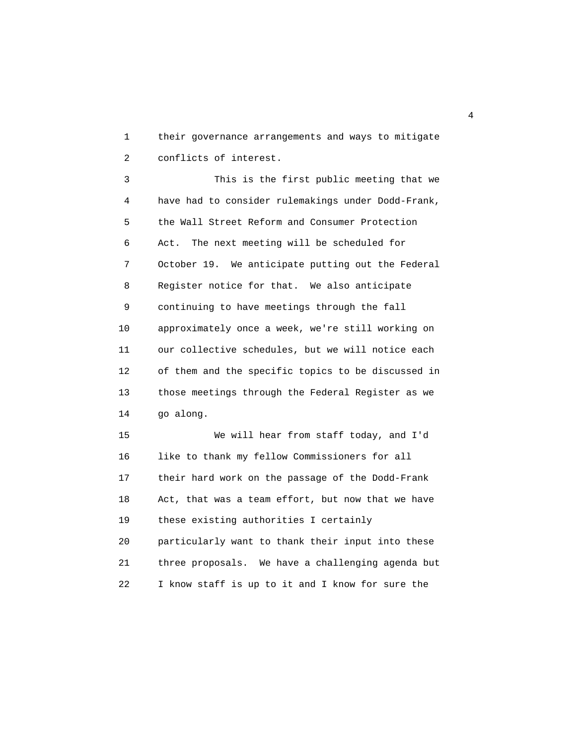1 their governance arrangements and ways to mitigate 2 conflicts of interest.

 3 This is the first public meeting that we 4 have had to consider rulemakings under Dodd-Frank, 5 the Wall Street Reform and Consumer Protection 6 Act. The next meeting will be scheduled for 7 October 19. We anticipate putting out the Federal 8 Register notice for that. We also anticipate 9 continuing to have meetings through the fall 10 approximately once a week, we're still working on 11 our collective schedules, but we will notice each 12 of them and the specific topics to be discussed in 13 those meetings through the Federal Register as we 14 go along.

 15 We will hear from staff today, and I'd 16 like to thank my fellow Commissioners for all 17 their hard work on the passage of the Dodd-Frank 18 Act, that was a team effort, but now that we have 19 these existing authorities I certainly 20 particularly want to thank their input into these 21 three proposals. We have a challenging agenda but 22 I know staff is up to it and I know for sure the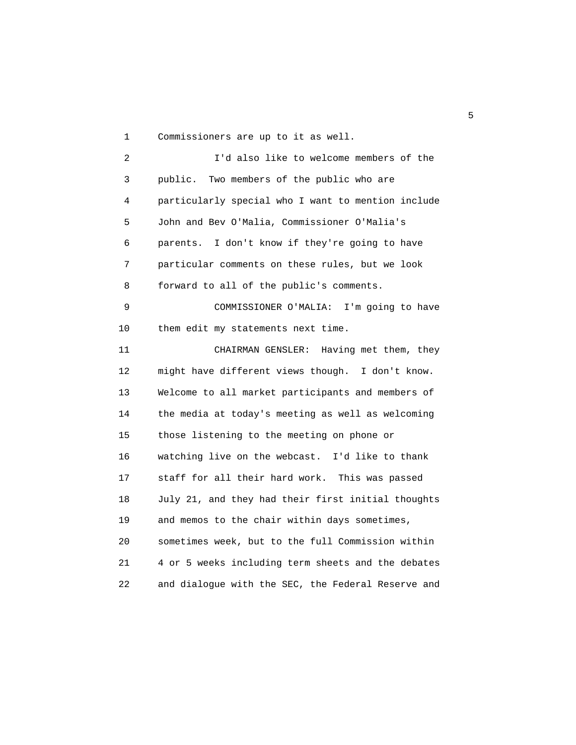1 Commissioners are up to it as well.

 2 I'd also like to welcome members of the 3 public. Two members of the public who are 4 particularly special who I want to mention include 5 John and Bev O'Malia, Commissioner O'Malia's 6 parents. I don't know if they're going to have 7 particular comments on these rules, but we look 8 forward to all of the public's comments. 9 COMMISSIONER O'MALIA: I'm going to have 10 them edit my statements next time. 11 CHAIRMAN GENSLER: Having met them, they 12 might have different views though. I don't know. 13 Welcome to all market participants and members of 14 the media at today's meeting as well as welcoming 15 those listening to the meeting on phone or 16 watching live on the webcast. I'd like to thank 17 staff for all their hard work. This was passed 18 July 21, and they had their first initial thoughts 19 and memos to the chair within days sometimes, 20 sometimes week, but to the full Commission within 21 4 or 5 weeks including term sheets and the debates

22 and dialogue with the SEC, the Federal Reserve and

the contract of the contract of the contract of the contract of the contract of the contract of the contract o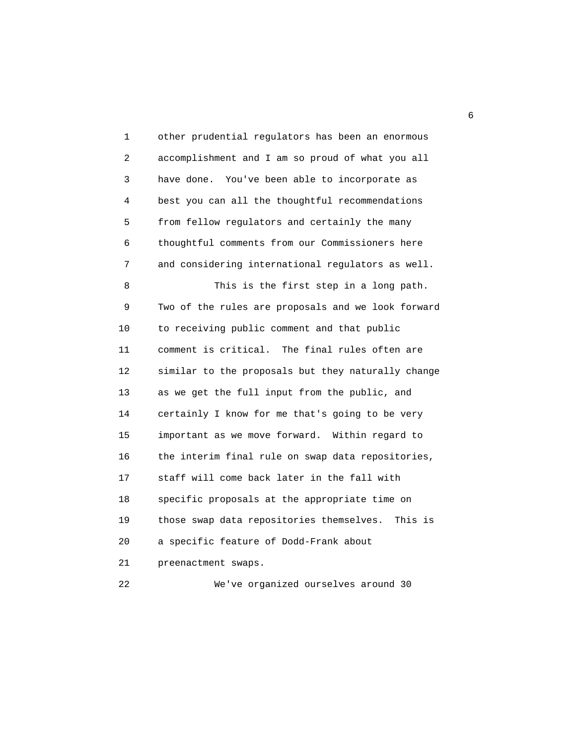1 other prudential regulators has been an enormous 2 accomplishment and I am so proud of what you all 3 have done. You've been able to incorporate as 4 best you can all the thoughtful recommendations 5 from fellow regulators and certainly the many 6 thoughtful comments from our Commissioners here 7 and considering international regulators as well. 8 This is the first step in a long path. 9 Two of the rules are proposals and we look forward 10 to receiving public comment and that public 11 comment is critical. The final rules often are 12 similar to the proposals but they naturally change 13 as we get the full input from the public, and 14 certainly I know for me that's going to be very 15 important as we move forward. Within regard to 16 the interim final rule on swap data repositories, 17 staff will come back later in the fall with 18 specific proposals at the appropriate time on 19 those swap data repositories themselves. This is 20 a specific feature of Dodd-Frank about 21 preenactment swaps. 22 We've organized ourselves around 30

entration of the contract of the contract of the contract of the contract of the contract of the contract of the contract of the contract of the contract of the contract of the contract of the contract of the contract of t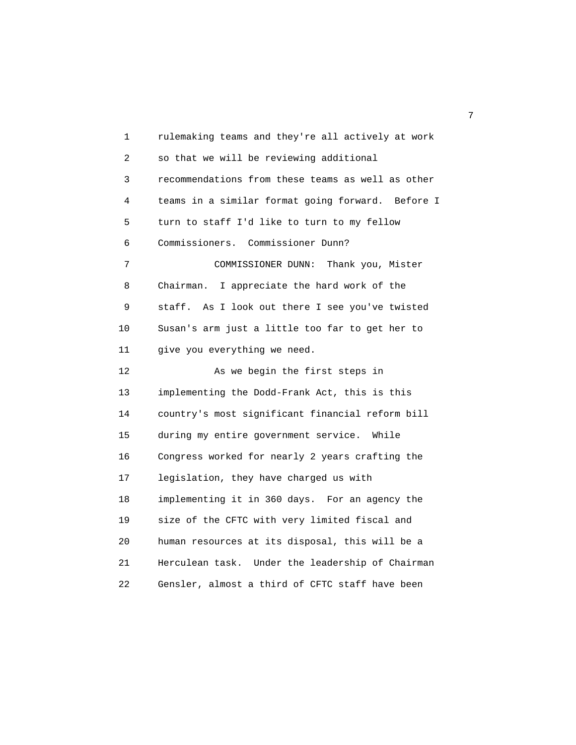1 rulemaking teams and they're all actively at work 2 so that we will be reviewing additional 3 recommendations from these teams as well as other 4 teams in a similar format going forward. Before I 5 turn to staff I'd like to turn to my fellow 6 Commissioners. Commissioner Dunn? 7 COMMISSIONER DUNN: Thank you, Mister 8 Chairman. I appreciate the hard work of the 9 staff. As I look out there I see you've twisted 10 Susan's arm just a little too far to get her to 11 give you everything we need. 12 As we begin the first steps in 13 implementing the Dodd-Frank Act, this is this 14 country's most significant financial reform bill 15 during my entire government service. While 16 Congress worked for nearly 2 years crafting the 17 legislation, they have charged us with 18 implementing it in 360 days. For an agency the 19 size of the CFTC with very limited fiscal and 20 human resources at its disposal, this will be a 21 Herculean task. Under the leadership of Chairman 22 Gensler, almost a third of CFTC staff have been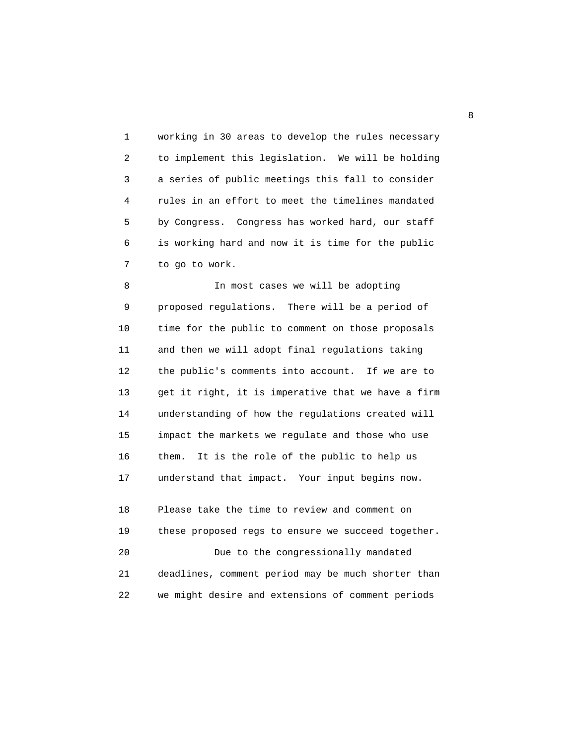1 working in 30 areas to develop the rules necessary 2 to implement this legislation. We will be holding 3 a series of public meetings this fall to consider 4 rules in an effort to meet the timelines mandated 5 by Congress. Congress has worked hard, our staff 6 is working hard and now it is time for the public 7 to go to work.

 8 In most cases we will be adopting 9 proposed regulations. There will be a period of 10 time for the public to comment on those proposals 11 and then we will adopt final regulations taking 12 the public's comments into account. If we are to 13 get it right, it is imperative that we have a firm 14 understanding of how the regulations created will 15 impact the markets we regulate and those who use 16 them. It is the role of the public to help us 17 understand that impact. Your input begins now.

 18 Please take the time to review and comment on 19 these proposed regs to ensure we succeed together. 20 Due to the congressionally mandated 21 deadlines, comment period may be much shorter than 22 we might desire and extensions of comment periods

en andere en de la provincia de la provincia de la provincia de la provincia de la provincia de la provincia d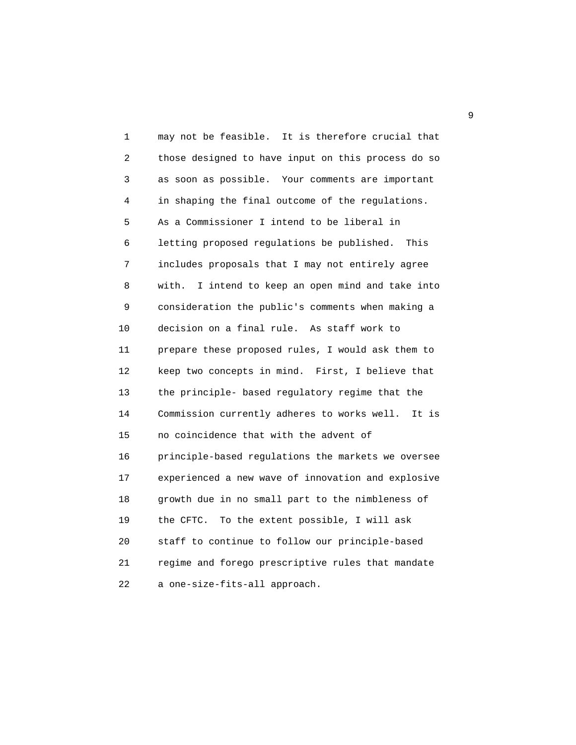1 may not be feasible. It is therefore crucial that 2 those designed to have input on this process do so 3 as soon as possible. Your comments are important 4 in shaping the final outcome of the regulations. 5 As a Commissioner I intend to be liberal in 6 letting proposed regulations be published. This 7 includes proposals that I may not entirely agree 8 with. I intend to keep an open mind and take into 9 consideration the public's comments when making a 10 decision on a final rule. As staff work to 11 prepare these proposed rules, I would ask them to 12 keep two concepts in mind. First, I believe that 13 the principle- based regulatory regime that the 14 Commission currently adheres to works well. It is 15 no coincidence that with the advent of 16 principle-based regulations the markets we oversee 17 experienced a new wave of innovation and explosive 18 growth due in no small part to the nimbleness of 19 the CFTC. To the extent possible, I will ask 20 staff to continue to follow our principle-based 21 regime and forego prescriptive rules that mandate 22 a one-size-fits-all approach.

 $\sim$  9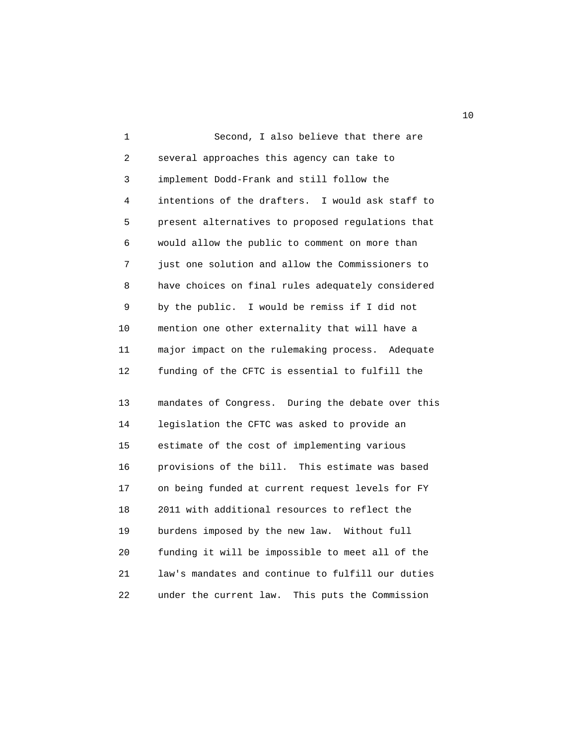1 Second, I also believe that there are 2 several approaches this agency can take to 3 implement Dodd-Frank and still follow the 4 intentions of the drafters. I would ask staff to 5 present alternatives to proposed regulations that 6 would allow the public to comment on more than 7 just one solution and allow the Commissioners to 8 have choices on final rules adequately considered 9 by the public. I would be remiss if I did not 10 mention one other externality that will have a 11 major impact on the rulemaking process. Adequate 12 funding of the CFTC is essential to fulfill the

 13 mandates of Congress. During the debate over this 14 legislation the CFTC was asked to provide an 15 estimate of the cost of implementing various 16 provisions of the bill. This estimate was based 17 on being funded at current request levels for FY 18 2011 with additional resources to reflect the 19 burdens imposed by the new law. Without full 20 funding it will be impossible to meet all of the 21 law's mandates and continue to fulfill our duties 22 under the current law. This puts the Commission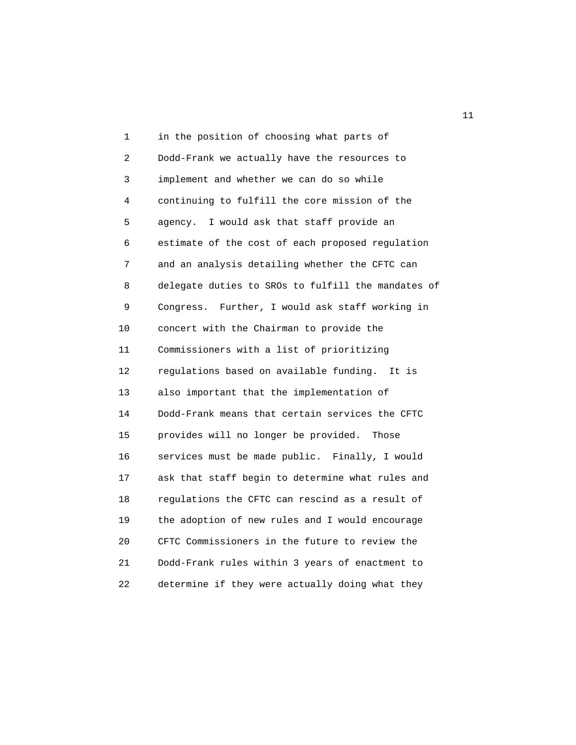1 in the position of choosing what parts of 2 Dodd-Frank we actually have the resources to 3 implement and whether we can do so while 4 continuing to fulfill the core mission of the 5 agency. I would ask that staff provide an 6 estimate of the cost of each proposed regulation 7 and an analysis detailing whether the CFTC can 8 delegate duties to SROs to fulfill the mandates of 9 Congress. Further, I would ask staff working in 10 concert with the Chairman to provide the 11 Commissioners with a list of prioritizing 12 regulations based on available funding. It is 13 also important that the implementation of 14 Dodd-Frank means that certain services the CFTC 15 provides will no longer be provided. Those 16 services must be made public. Finally, I would 17 ask that staff begin to determine what rules and 18 regulations the CFTC can rescind as a result of 19 the adoption of new rules and I would encourage 20 CFTC Commissioners in the future to review the 21 Dodd-Frank rules within 3 years of enactment to 22 determine if they were actually doing what they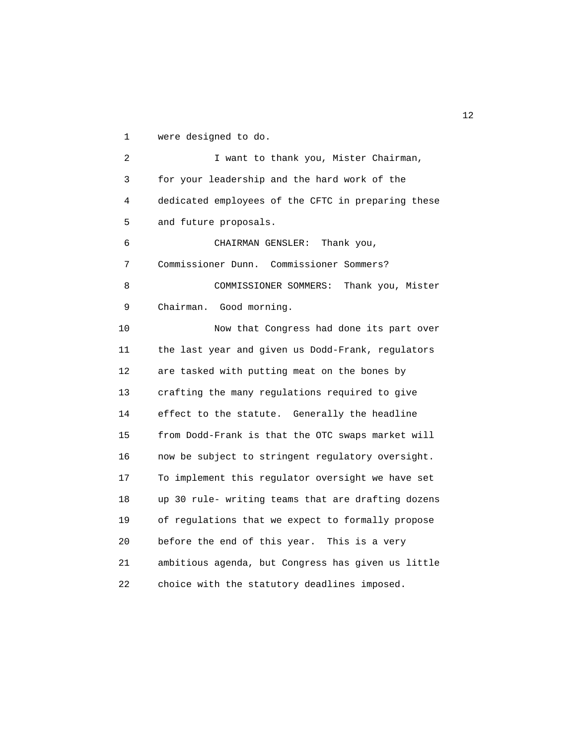1 were designed to do.

 2 I want to thank you, Mister Chairman, 3 for your leadership and the hard work of the 4 dedicated employees of the CFTC in preparing these 5 and future proposals. 6 CHAIRMAN GENSLER: Thank you,

 7 Commissioner Dunn. Commissioner Sommers? 8 COMMISSIONER SOMMERS: Thank you, Mister 9 Chairman. Good morning.

 10 Now that Congress had done its part over 11 the last year and given us Dodd-Frank, regulators 12 are tasked with putting meat on the bones by 13 crafting the many regulations required to give 14 effect to the statute. Generally the headline 15 from Dodd-Frank is that the OTC swaps market will 16 now be subject to stringent regulatory oversight. 17 To implement this regulator oversight we have set 18 up 30 rule- writing teams that are drafting dozens 19 of regulations that we expect to formally propose 20 before the end of this year. This is a very 21 ambitious agenda, but Congress has given us little 22 choice with the statutory deadlines imposed.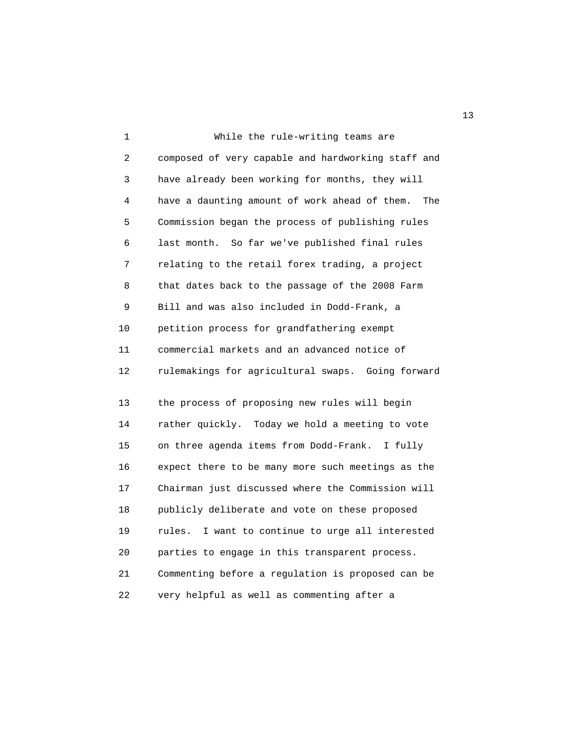1 While the rule-writing teams are 2 composed of very capable and hardworking staff and 3 have already been working for months, they will 4 have a daunting amount of work ahead of them. The 5 Commission began the process of publishing rules 6 last month. So far we've published final rules 7 relating to the retail forex trading, a project 8 that dates back to the passage of the 2008 Farm 9 Bill and was also included in Dodd-Frank, a 10 petition process for grandfathering exempt 11 commercial markets and an advanced notice of 12 rulemakings for agricultural swaps. Going forward 13 the process of proposing new rules will begin

 14 rather quickly. Today we hold a meeting to vote 15 on three agenda items from Dodd-Frank. I fully 16 expect there to be many more such meetings as the 17 Chairman just discussed where the Commission will 18 publicly deliberate and vote on these proposed 19 rules. I want to continue to urge all interested 20 parties to engage in this transparent process. 21 Commenting before a regulation is proposed can be 22 very helpful as well as commenting after a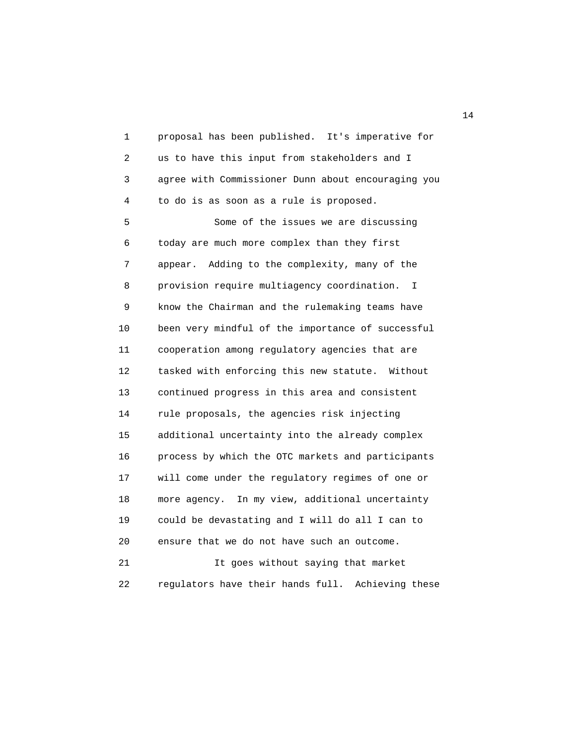1 proposal has been published. It's imperative for 2 us to have this input from stakeholders and I 3 agree with Commissioner Dunn about encouraging you 4 to do is as soon as a rule is proposed. 5 Some of the issues we are discussing

 6 today are much more complex than they first 7 appear. Adding to the complexity, many of the 8 provision require multiagency coordination. I 9 know the Chairman and the rulemaking teams have 10 been very mindful of the importance of successful 11 cooperation among regulatory agencies that are 12 tasked with enforcing this new statute. Without 13 continued progress in this area and consistent 14 rule proposals, the agencies risk injecting 15 additional uncertainty into the already complex 16 process by which the OTC markets and participants 17 will come under the regulatory regimes of one or 18 more agency. In my view, additional uncertainty 19 could be devastating and I will do all I can to 20 ensure that we do not have such an outcome. 21 It goes without saying that market 22 regulators have their hands full. Achieving these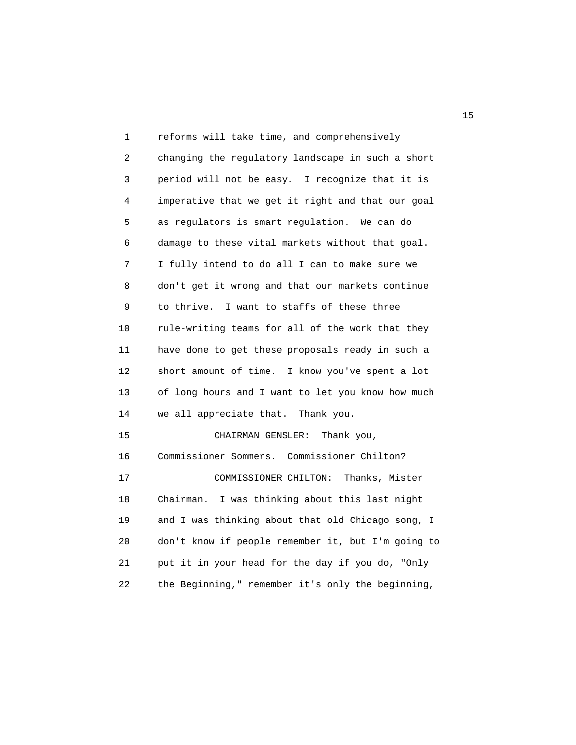1 reforms will take time, and comprehensively 2 changing the regulatory landscape in such a short 3 period will not be easy. I recognize that it is 4 imperative that we get it right and that our goal 5 as regulators is smart regulation. We can do 6 damage to these vital markets without that goal. 7 I fully intend to do all I can to make sure we 8 don't get it wrong and that our markets continue 9 to thrive. I want to staffs of these three 10 rule-writing teams for all of the work that they 11 have done to get these proposals ready in such a 12 short amount of time. I know you've spent a lot 13 of long hours and I want to let you know how much 14 we all appreciate that. Thank you. 15 CHAIRMAN GENSLER: Thank you, 16 Commissioner Sommers. Commissioner Chilton? 17 COMMISSIONER CHILTON: Thanks, Mister 18 Chairman. I was thinking about this last night 19 and I was thinking about that old Chicago song, I 20 don't know if people remember it, but I'm going to 21 put it in your head for the day if you do, "Only 22 the Beginning," remember it's only the beginning,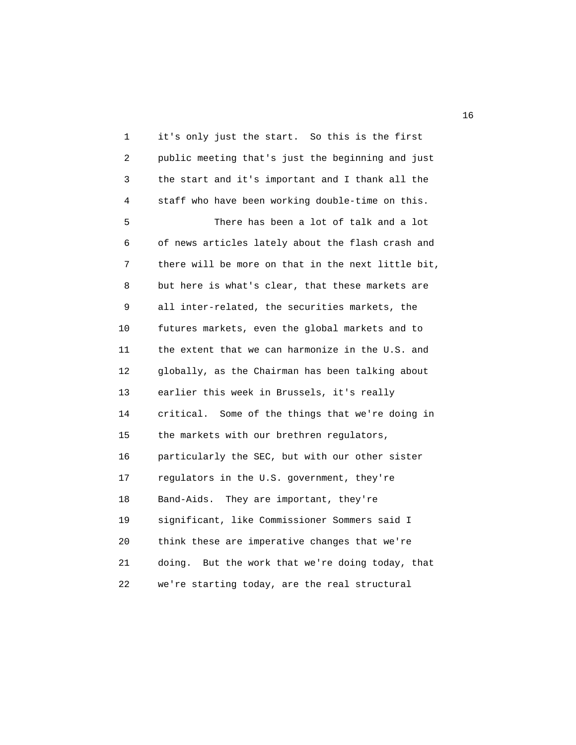1 it's only just the start. So this is the first 2 public meeting that's just the beginning and just 3 the start and it's important and I thank all the 4 staff who have been working double-time on this. 5 There has been a lot of talk and a lot 6 of news articles lately about the flash crash and 7 there will be more on that in the next little bit, 8 but here is what's clear, that these markets are 9 all inter-related, the securities markets, the 10 futures markets, even the global markets and to 11 the extent that we can harmonize in the U.S. and 12 globally, as the Chairman has been talking about 13 earlier this week in Brussels, it's really 14 critical. Some of the things that we're doing in 15 the markets with our brethren regulators, 16 particularly the SEC, but with our other sister 17 regulators in the U.S. government, they're 18 Band-Aids. They are important, they're 19 significant, like Commissioner Sommers said I 20 think these are imperative changes that we're 21 doing. But the work that we're doing today, that 22 we're starting today, are the real structural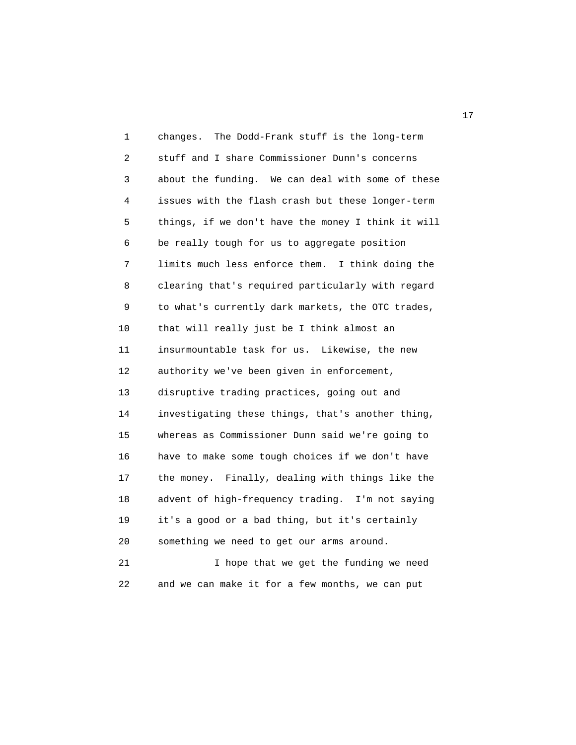1 changes. The Dodd-Frank stuff is the long-term 2 stuff and I share Commissioner Dunn's concerns 3 about the funding. We can deal with some of these 4 issues with the flash crash but these longer-term 5 things, if we don't have the money I think it will 6 be really tough for us to aggregate position 7 limits much less enforce them. I think doing the 8 clearing that's required particularly with regard 9 to what's currently dark markets, the OTC trades, 10 that will really just be I think almost an 11 insurmountable task for us. Likewise, the new 12 authority we've been given in enforcement, 13 disruptive trading practices, going out and 14 investigating these things, that's another thing, 15 whereas as Commissioner Dunn said we're going to 16 have to make some tough choices if we don't have 17 the money. Finally, dealing with things like the 18 advent of high-frequency trading. I'm not saying 19 it's a good or a bad thing, but it's certainly 20 something we need to get our arms around. 21 I hope that we get the funding we need

22 and we can make it for a few months, we can put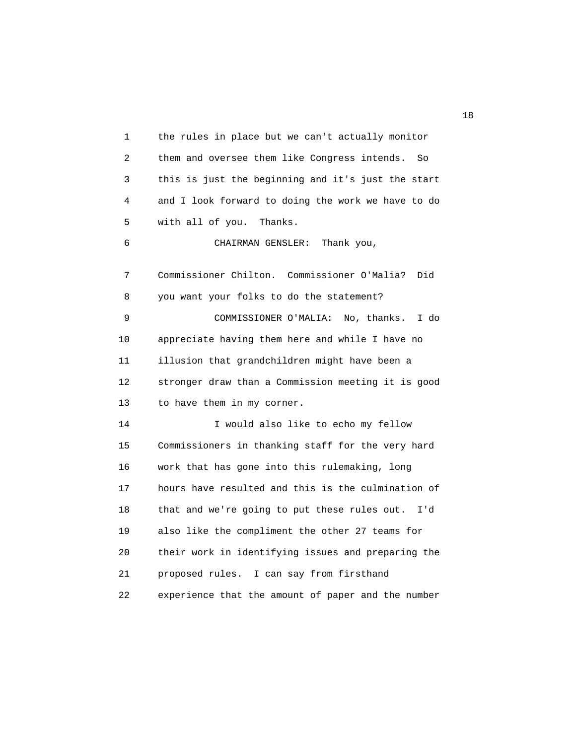1 the rules in place but we can't actually monitor 2 them and oversee them like Congress intends. So 3 this is just the beginning and it's just the start 4 and I look forward to doing the work we have to do 5 with all of you. Thanks. 6 CHAIRMAN GENSLER: Thank you, 7 Commissioner Chilton. Commissioner O'Malia? Did 8 you want your folks to do the statement? 9 COMMISSIONER O'MALIA: No, thanks. I do 10 appreciate having them here and while I have no 11 illusion that grandchildren might have been a 12 stronger draw than a Commission meeting it is good 13 to have them in my corner. 14 I would also like to echo my fellow 15 Commissioners in thanking staff for the very hard 16 work that has gone into this rulemaking, long 17 hours have resulted and this is the culmination of 18 that and we're going to put these rules out. I'd 19 also like the compliment the other 27 teams for 20 their work in identifying issues and preparing the 21 proposed rules. I can say from firsthand 22 experience that the amount of paper and the number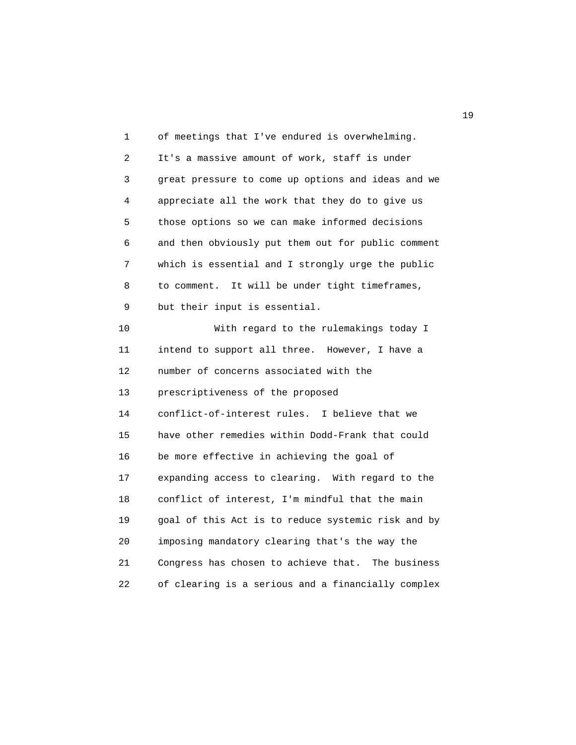1 of meetings that I've endured is overwhelming. 2 It's a massive amount of work, staff is under 3 great pressure to come up options and ideas and we 4 appreciate all the work that they do to give us 5 those options so we can make informed decisions 6 and then obviously put them out for public comment 7 which is essential and I strongly urge the public 8 to comment. It will be under tight timeframes, 9 but their input is essential. 10 With regard to the rulemakings today I 11 intend to support all three. However, I have a 12 number of concerns associated with the 13 prescriptiveness of the proposed 14 conflict-of-interest rules. I believe that we 15 have other remedies within Dodd-Frank that could 16 be more effective in achieving the goal of 17 expanding access to clearing. With regard to the 18 conflict of interest, I'm mindful that the main 19 goal of this Act is to reduce systemic risk and by 20 imposing mandatory clearing that's the way the 21 Congress has chosen to achieve that. The business 22 of clearing is a serious and a financially complex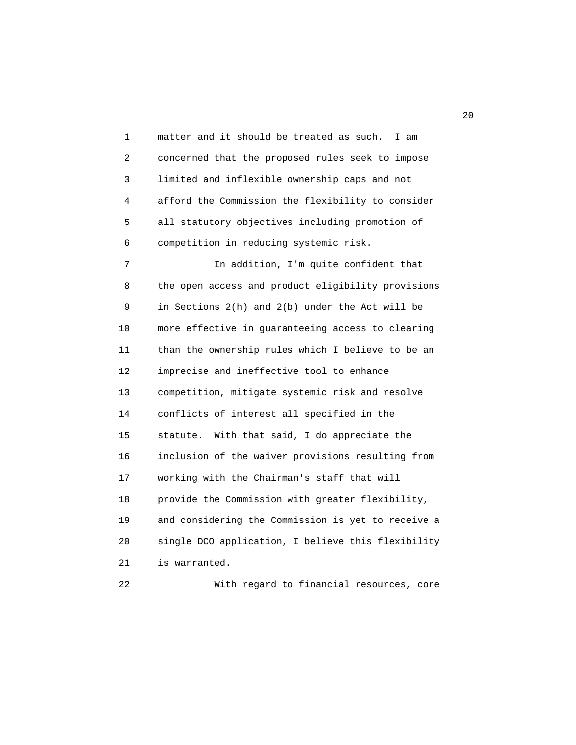1 matter and it should be treated as such. I am 2 concerned that the proposed rules seek to impose 3 limited and inflexible ownership caps and not 4 afford the Commission the flexibility to consider 5 all statutory objectives including promotion of 6 competition in reducing systemic risk. 7 In addition, I'm quite confident that 8 the open access and product eligibility provisions 9 in Sections 2(h) and 2(b) under the Act will be 10 more effective in guaranteeing access to clearing 11 than the ownership rules which I believe to be an 12 imprecise and ineffective tool to enhance 13 competition, mitigate systemic risk and resolve 14 conflicts of interest all specified in the 15 statute. With that said, I do appreciate the 16 inclusion of the waiver provisions resulting from 17 working with the Chairman's staff that will 18 provide the Commission with greater flexibility, 19 and considering the Commission is yet to receive a 20 single DCO application, I believe this flexibility 21 is warranted.

22 With regard to financial resources, core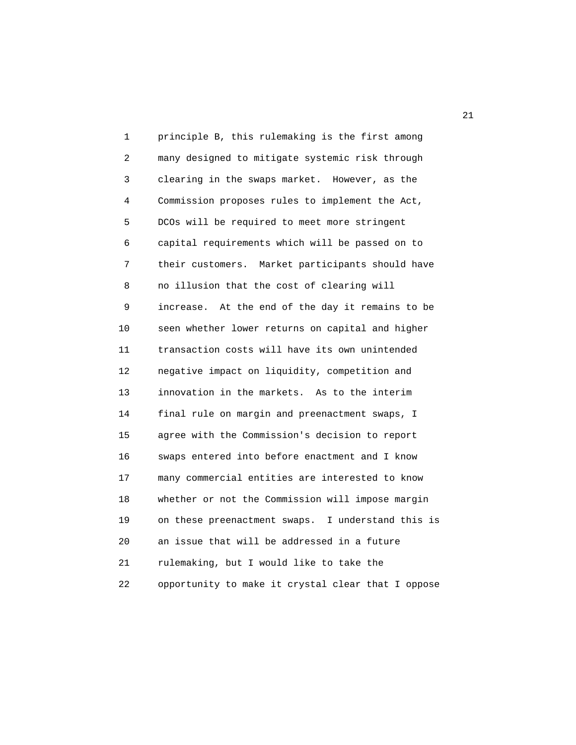1 principle B, this rulemaking is the first among 2 many designed to mitigate systemic risk through 3 clearing in the swaps market. However, as the 4 Commission proposes rules to implement the Act, 5 DCOs will be required to meet more stringent 6 capital requirements which will be passed on to 7 their customers. Market participants should have 8 no illusion that the cost of clearing will 9 increase. At the end of the day it remains to be 10 seen whether lower returns on capital and higher 11 transaction costs will have its own unintended 12 negative impact on liquidity, competition and 13 innovation in the markets. As to the interim 14 final rule on margin and preenactment swaps, I 15 agree with the Commission's decision to report 16 swaps entered into before enactment and I know 17 many commercial entities are interested to know 18 whether or not the Commission will impose margin 19 on these preenactment swaps. I understand this is 20 an issue that will be addressed in a future 21 rulemaking, but I would like to take the 22 opportunity to make it crystal clear that I oppose

21 and 21 and 22 and 22 and 22 and 22 and 22 and 22 and 22 and 22 and 22 and 22 and 22 and 22 and 22 and 22 and 22 and 22 and 22 and 22 and 22 and 22 and 22 and 22 and 22 and 22 and 22 and 22 and 22 and 22 and 22 and 22 an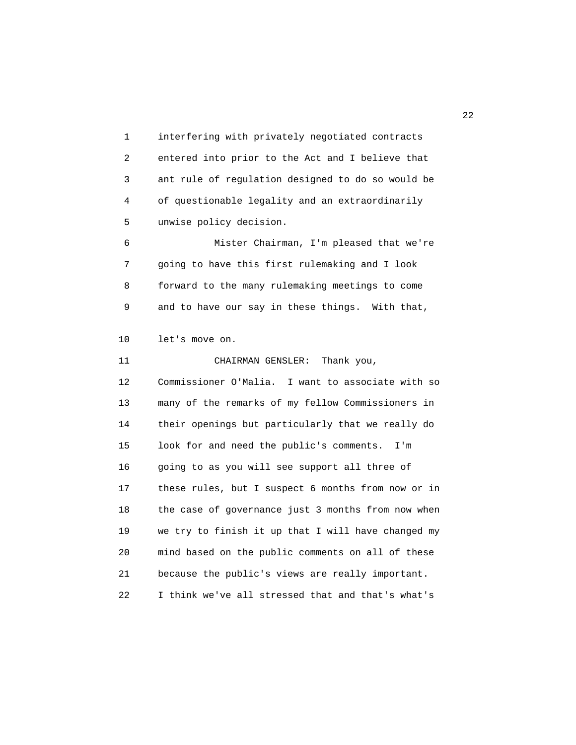1 interfering with privately negotiated contracts 2 entered into prior to the Act and I believe that 3 ant rule of regulation designed to do so would be 4 of questionable legality and an extraordinarily 5 unwise policy decision.

 6 Mister Chairman, I'm pleased that we're 7 going to have this first rulemaking and I look 8 forward to the many rulemaking meetings to come 9 and to have our say in these things. With that,

10 let's move on.

 11 CHAIRMAN GENSLER: Thank you, 12 Commissioner O'Malia. I want to associate with so 13 many of the remarks of my fellow Commissioners in 14 their openings but particularly that we really do 15 look for and need the public's comments. I'm 16 going to as you will see support all three of 17 these rules, but I suspect 6 months from now or in 18 the case of governance just 3 months from now when 19 we try to finish it up that I will have changed my 20 mind based on the public comments on all of these 21 because the public's views are really important. 22 I think we've all stressed that and that's what's

22 and 22 and 23 and 23 and 23 and 23 and 23 and 23 and 23 and 23 and 23 and 23 and 23 and 23 and 23 and 24 and 25 and 25 and 26 and 26 and 26 and 26 and 26 and 26 and 26 and 26 and 26 and 26 and 26 and 26 and 26 and 26 an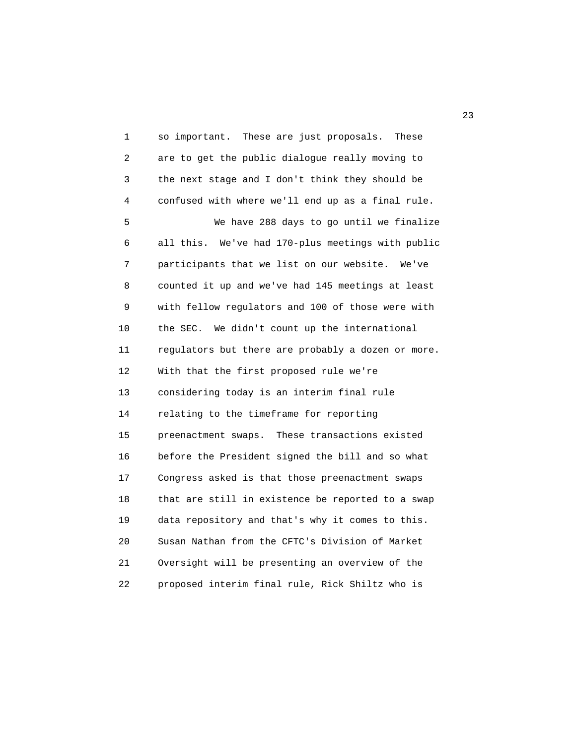1 so important. These are just proposals. These 2 are to get the public dialogue really moving to 3 the next stage and I don't think they should be 4 confused with where we'll end up as a final rule. 5 We have 288 days to go until we finalize 6 all this. We've had 170-plus meetings with public 7 participants that we list on our website. We've 8 counted it up and we've had 145 meetings at least 9 with fellow regulators and 100 of those were with 10 the SEC. We didn't count up the international 11 regulators but there are probably a dozen or more. 12 With that the first proposed rule we're 13 considering today is an interim final rule 14 relating to the timeframe for reporting 15 preenactment swaps. These transactions existed 16 before the President signed the bill and so what 17 Congress asked is that those preenactment swaps 18 that are still in existence be reported to a swap 19 data repository and that's why it comes to this. 20 Susan Nathan from the CFTC's Division of Market 21 Oversight will be presenting an overview of the 22 proposed interim final rule, Rick Shiltz who is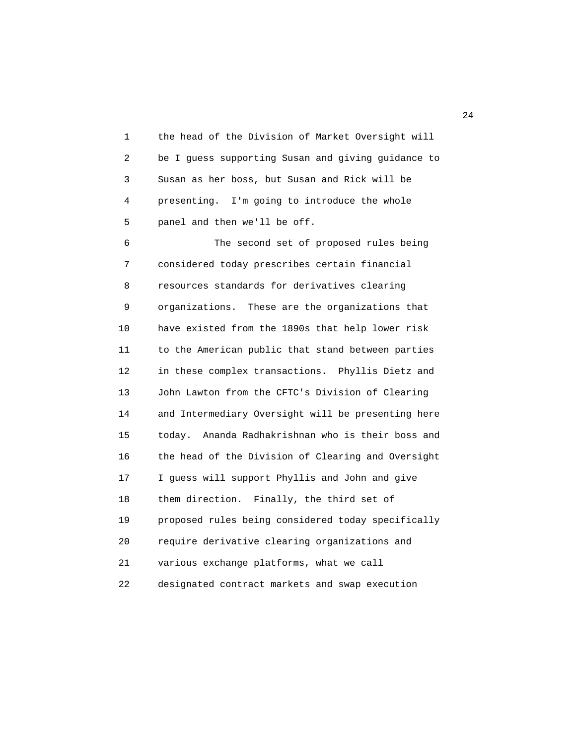1 the head of the Division of Market Oversight will 2 be I guess supporting Susan and giving guidance to 3 Susan as her boss, but Susan and Rick will be 4 presenting. I'm going to introduce the whole 5 panel and then we'll be off.

 6 The second set of proposed rules being 7 considered today prescribes certain financial 8 resources standards for derivatives clearing 9 organizations. These are the organizations that 10 have existed from the 1890s that help lower risk 11 to the American public that stand between parties 12 in these complex transactions. Phyllis Dietz and 13 John Lawton from the CFTC's Division of Clearing 14 and Intermediary Oversight will be presenting here 15 today. Ananda Radhakrishnan who is their boss and 16 the head of the Division of Clearing and Oversight 17 I guess will support Phyllis and John and give 18 them direction. Finally, the third set of 19 proposed rules being considered today specifically 20 require derivative clearing organizations and 21 various exchange platforms, what we call 22 designated contract markets and swap execution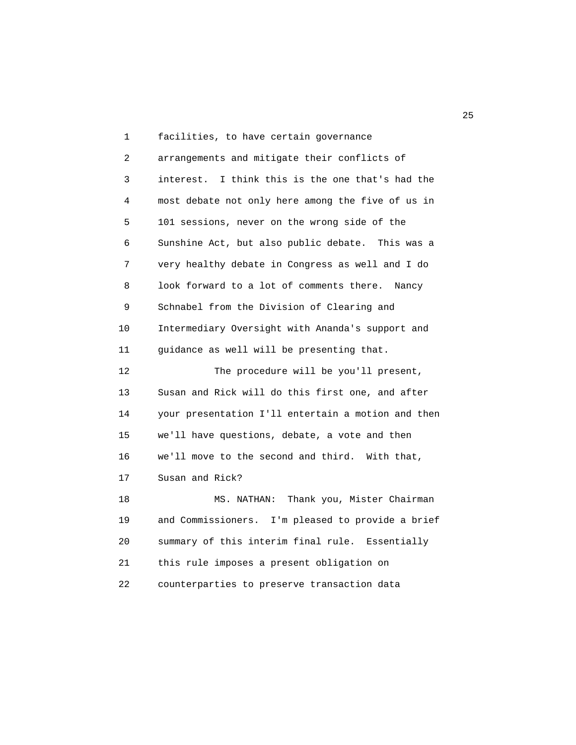1 facilities, to have certain governance 2 arrangements and mitigate their conflicts of 3 interest. I think this is the one that's had the 4 most debate not only here among the five of us in 5 101 sessions, never on the wrong side of the 6 Sunshine Act, but also public debate. This was a 7 very healthy debate in Congress as well and I do 8 look forward to a lot of comments there. Nancy 9 Schnabel from the Division of Clearing and 10 Intermediary Oversight with Ananda's support and 11 guidance as well will be presenting that. 12 The procedure will be you'll present, 13 Susan and Rick will do this first one, and after 14 your presentation I'll entertain a motion and then 15 we'll have questions, debate, a vote and then 16 we'll move to the second and third. With that, 17 Susan and Rick? 18 MS. NATHAN: Thank you, Mister Chairman 19 and Commissioners. I'm pleased to provide a brief 20 summary of this interim final rule. Essentially 21 this rule imposes a present obligation on 22 counterparties to preserve transaction data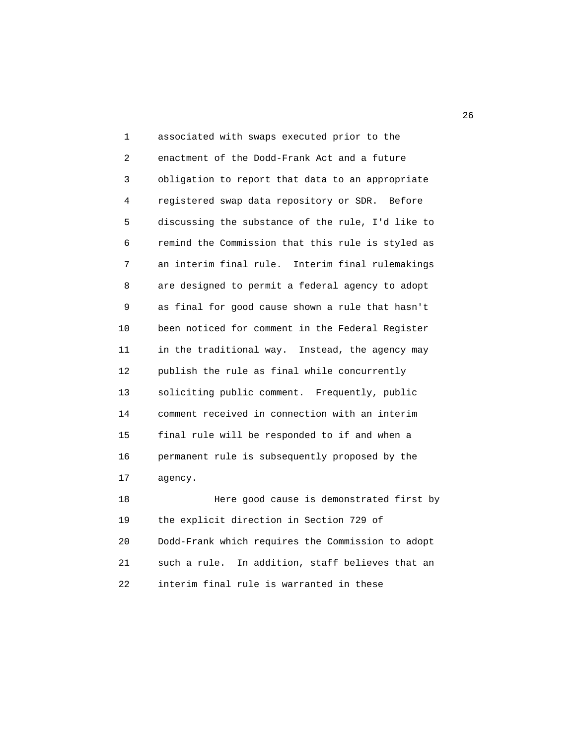1 associated with swaps executed prior to the 2 enactment of the Dodd-Frank Act and a future 3 obligation to report that data to an appropriate 4 registered swap data repository or SDR. Before 5 discussing the substance of the rule, I'd like to 6 remind the Commission that this rule is styled as 7 an interim final rule. Interim final rulemakings 8 are designed to permit a federal agency to adopt 9 as final for good cause shown a rule that hasn't 10 been noticed for comment in the Federal Register 11 in the traditional way. Instead, the agency may 12 publish the rule as final while concurrently 13 soliciting public comment. Frequently, public 14 comment received in connection with an interim 15 final rule will be responded to if and when a 16 permanent rule is subsequently proposed by the 17 agency. 18 Here good cause is demonstrated first by

 19 the explicit direction in Section 729 of 20 Dodd-Frank which requires the Commission to adopt 21 such a rule. In addition, staff believes that an 22 interim final rule is warranted in these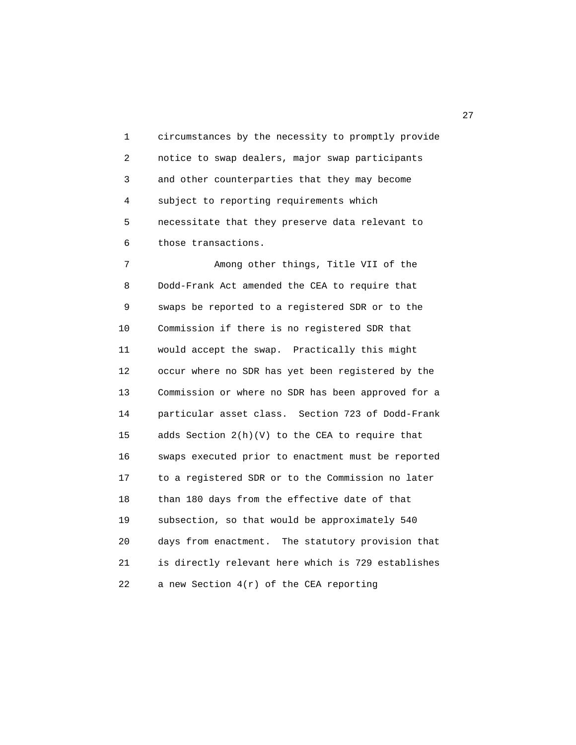1 circumstances by the necessity to promptly provide 2 notice to swap dealers, major swap participants 3 and other counterparties that they may become 4 subject to reporting requirements which 5 necessitate that they preserve data relevant to 6 those transactions.

 7 Among other things, Title VII of the 8 Dodd-Frank Act amended the CEA to require that 9 swaps be reported to a registered SDR or to the 10 Commission if there is no registered SDR that 11 would accept the swap. Practically this might 12 occur where no SDR has yet been registered by the 13 Commission or where no SDR has been approved for a 14 particular asset class. Section 723 of Dodd-Frank 15 adds Section 2(h)(V) to the CEA to require that 16 swaps executed prior to enactment must be reported 17 to a registered SDR or to the Commission no later 18 than 180 days from the effective date of that 19 subsection, so that would be approximately 540 20 days from enactment. The statutory provision that 21 is directly relevant here which is 729 establishes 22 a new Section 4(r) of the CEA reporting

27 and 27 and 27 and 27 and 27 and 27 and 27 and 27 and 27 and 27 and 27 and 27 and 27 and 27 and 27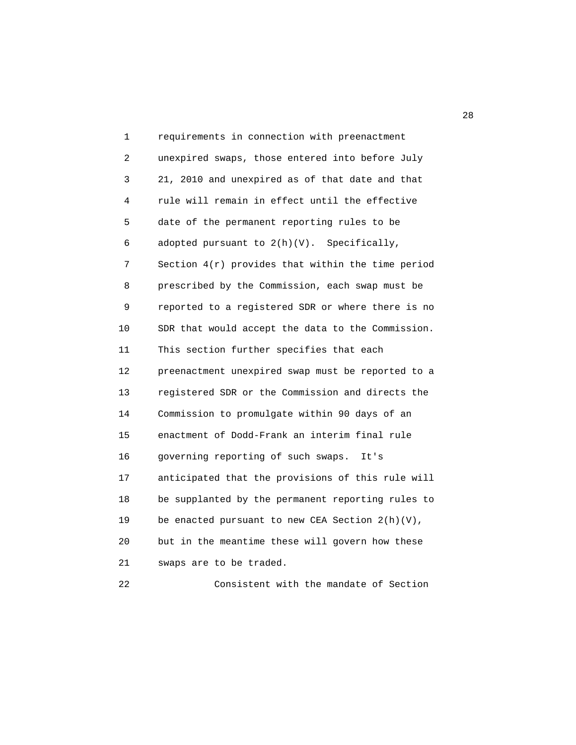| 1  | requirements in connection with preenactment       |
|----|----------------------------------------------------|
| 2  | unexpired swaps, those entered into before July    |
| 3  | 21, 2010 and unexpired as of that date and that    |
| 4  | rule will remain in effect until the effective     |
| 5  | date of the permanent reporting rules to be        |
| 6  | adopted pursuant to $2(h)(V)$ . Specifically,      |
| 7  | Section 4(r) provides that within the time period  |
| 8  | prescribed by the Commission, each swap must be    |
| 9  | reported to a registered SDR or where there is no  |
| 10 | SDR that would accept the data to the Commission.  |
| 11 | This section further specifies that each           |
| 12 | preenactment unexpired swap must be reported to a  |
| 13 | registered SDR or the Commission and directs the   |
| 14 | Commission to promulgate within 90 days of an      |
| 15 | enactment of Dodd-Frank an interim final rule      |
| 16 | governing reporting of such swaps.<br>It's         |
| 17 | anticipated that the provisions of this rule will  |
| 18 | be supplanted by the permanent reporting rules to  |
| 19 | be enacted pursuant to new CEA Section $2(h)(V)$ , |
| 20 | but in the meantime these will govern how these    |
| 21 | swaps are to be traded.                            |

22 Consistent with the mandate of Section

<u>28</u>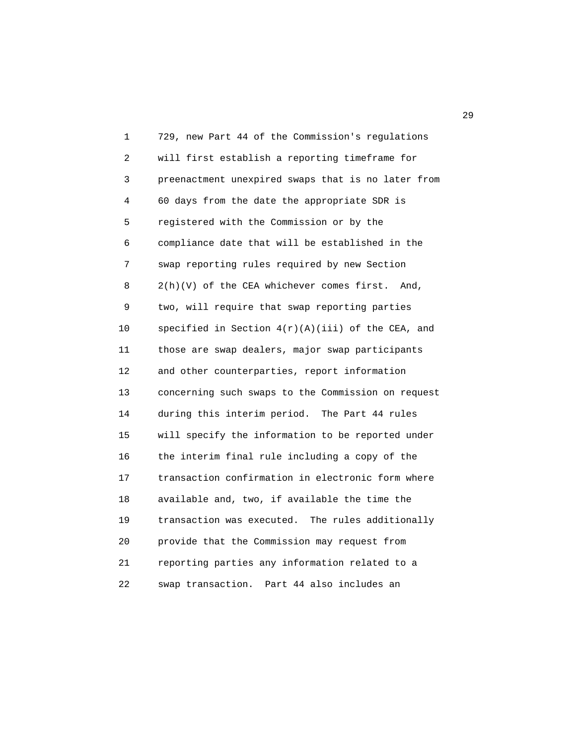1 729, new Part 44 of the Commission's regulations 2 will first establish a reporting timeframe for 3 preenactment unexpired swaps that is no later from 4 60 days from the date the appropriate SDR is 5 registered with the Commission or by the 6 compliance date that will be established in the 7 swap reporting rules required by new Section 8 2(h)(V) of the CEA whichever comes first. And, 9 two, will require that swap reporting parties 10 specified in Section  $4(r)(A)(iii)$  of the CEA, and 11 those are swap dealers, major swap participants 12 and other counterparties, report information 13 concerning such swaps to the Commission on request 14 during this interim period. The Part 44 rules 15 will specify the information to be reported under 16 the interim final rule including a copy of the 17 transaction confirmation in electronic form where 18 available and, two, if available the time the 19 transaction was executed. The rules additionally 20 provide that the Commission may request from 21 reporting parties any information related to a 22 swap transaction. Part 44 also includes an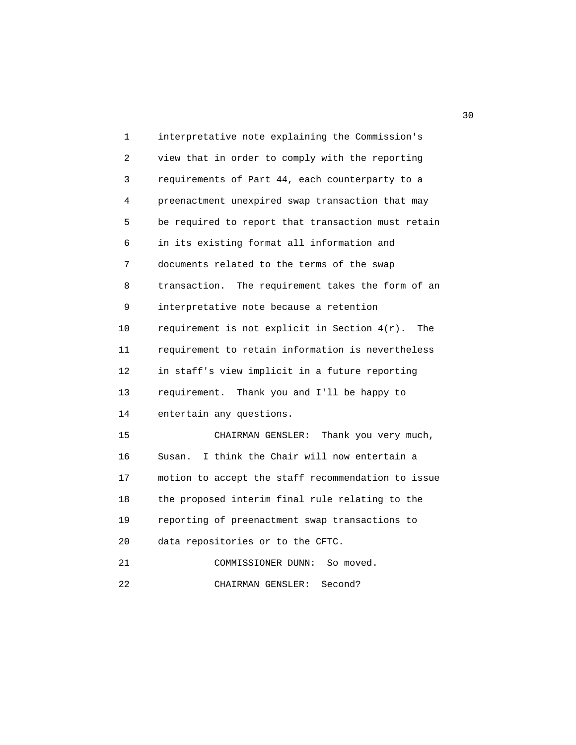| 1  | interpretative note explaining the Commission's        |
|----|--------------------------------------------------------|
| 2  | view that in order to comply with the reporting        |
| 3  | requirements of Part 44, each counterparty to a        |
| 4  | preenactment unexpired swap transaction that may       |
| 5  | be required to report that transaction must retain     |
| 6  | in its existing format all information and             |
| 7  | documents related to the terms of the swap             |
| 8  | The requirement takes the form of an<br>transaction.   |
| 9  | interpretative note because a retention                |
| 10 | requirement is not explicit in Section $4(r)$ .<br>The |
| 11 | requirement to retain information is nevertheless      |
| 12 | in staff's view implicit in a future reporting         |
| 13 | requirement. Thank you and I'll be happy to            |
| 14 | entertain any questions.                               |
| 15 | CHAIRMAN GENSLER:<br>Thank you very much,              |
| 16 | I think the Chair will now entertain a<br>Susan.       |
| 17 | motion to accept the staff recommendation to issue     |
| 18 | the proposed interim final rule relating to the        |
| 19 | reporting of preenactment swap transactions to         |
| 20 | data repositories or to the CFTC.                      |
| 21 | So moved.<br>COMMISSIONER DUNN:                        |
| 22 | CHAIRMAN GENSLER:<br>Second?                           |

 $30<sup>2</sup>$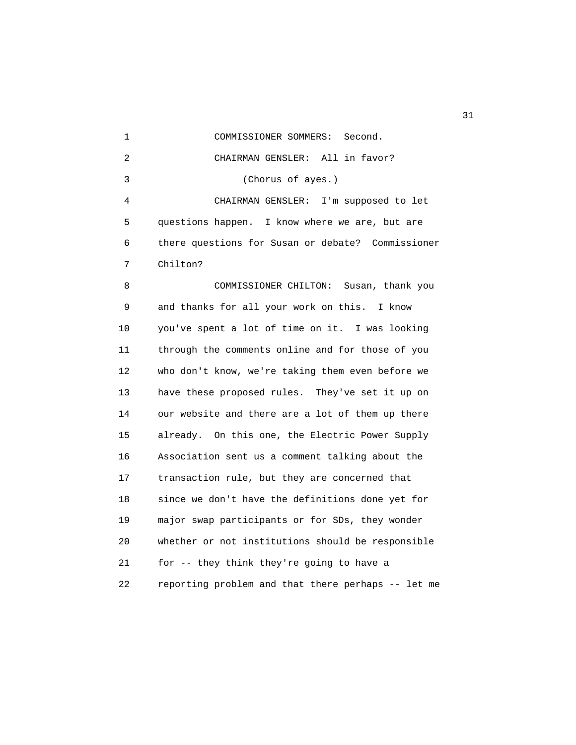1 COMMISSIONER SOMMERS: Second. 2 CHAIRMAN GENSLER: All in favor? 3 (Chorus of ayes.) 4 CHAIRMAN GENSLER: I'm supposed to let 5 questions happen. I know where we are, but are 6 there questions for Susan or debate? Commissioner 7 Chilton?

 8 COMMISSIONER CHILTON: Susan, thank you 9 and thanks for all your work on this. I know 10 you've spent a lot of time on it. I was looking 11 through the comments online and for those of you 12 who don't know, we're taking them even before we 13 have these proposed rules. They've set it up on 14 our website and there are a lot of them up there 15 already. On this one, the Electric Power Supply 16 Association sent us a comment talking about the 17 transaction rule, but they are concerned that 18 since we don't have the definitions done yet for 19 major swap participants or for SDs, they wonder 20 whether or not institutions should be responsible 21 for -- they think they're going to have a 22 reporting problem and that there perhaps -- let me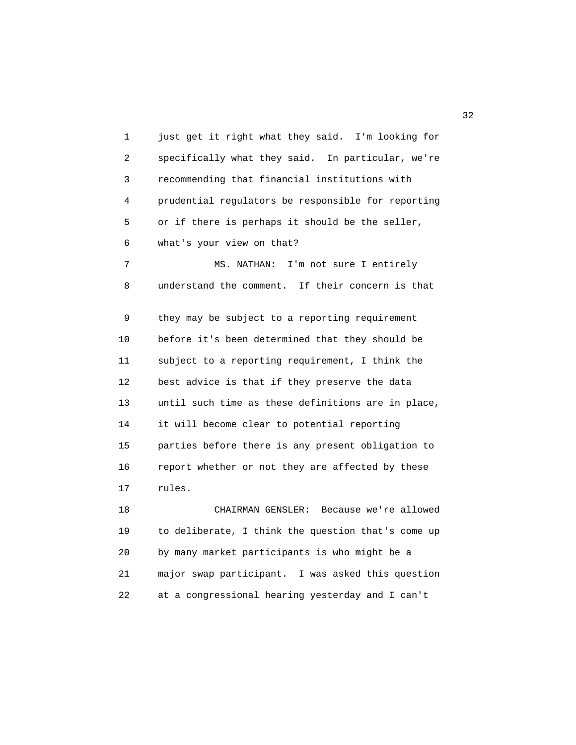1 just get it right what they said. I'm looking for 2 specifically what they said. In particular, we're 3 recommending that financial institutions with 4 prudential regulators be responsible for reporting 5 or if there is perhaps it should be the seller, 6 what's your view on that? 7 MS. NATHAN: I'm not sure I entirely 8 understand the comment. If their concern is that 9 they may be subject to a reporting requirement 10 before it's been determined that they should be 11 subject to a reporting requirement, I think the 12 best advice is that if they preserve the data 13 until such time as these definitions are in place, 14 it will become clear to potential reporting 15 parties before there is any present obligation to 16 report whether or not they are affected by these 17 rules. 18 CHAIRMAN GENSLER: Because we're allowed 19 to deliberate, I think the question that's come up 20 by many market participants is who might be a

 21 major swap participant. I was asked this question 22 at a congressional hearing yesterday and I can't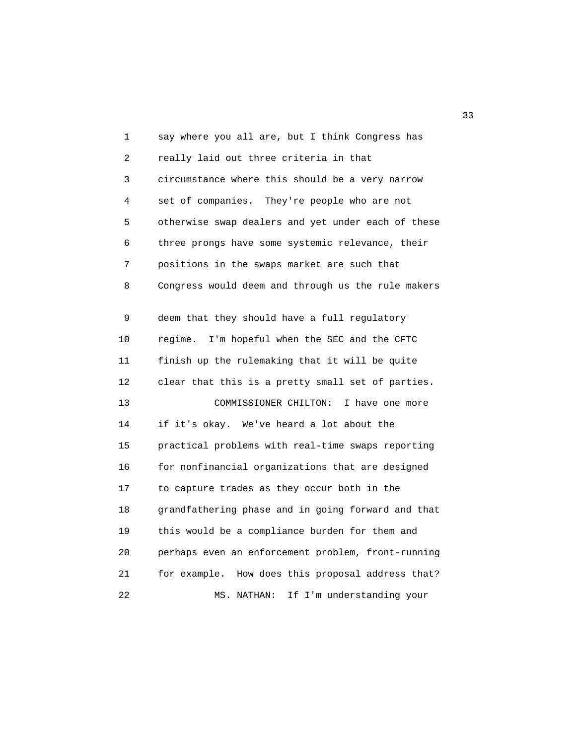| 1  | say where you all are, but I think Congress has      |
|----|------------------------------------------------------|
| 2  | really laid out three criteria in that               |
| 3  | circumstance where this should be a very narrow      |
| 4  | set of companies. They're people who are not         |
| 5  | otherwise swap dealers and yet under each of these   |
| 6  | three prongs have some systemic relevance, their     |
| 7  | positions in the swaps market are such that          |
| 8  | Congress would deem and through us the rule makers   |
| 9  | deem that they should have a full regulatory         |
| 10 | I'm hopeful when the SEC and the CFTC<br>regime.     |
| 11 | finish up the rulemaking that it will be quite       |
| 12 | clear that this is a pretty small set of parties.    |
| 13 | COMMISSIONER CHILTON:<br>I have one more             |
| 14 | if it's okay. We've heard a lot about the            |
| 15 | practical problems with real-time swaps reporting    |
| 16 | for nonfinancial organizations that are designed     |
| 17 | to capture trades as they occur both in the          |
| 18 | grandfathering phase and in going forward and that   |
| 19 | this would be a compliance burden for them and       |
| 20 | perhaps even an enforcement problem, front-running   |
| 21 | for example.<br>How does this proposal address that? |
| 22 | If I'm understanding your<br>MS. NATHAN:             |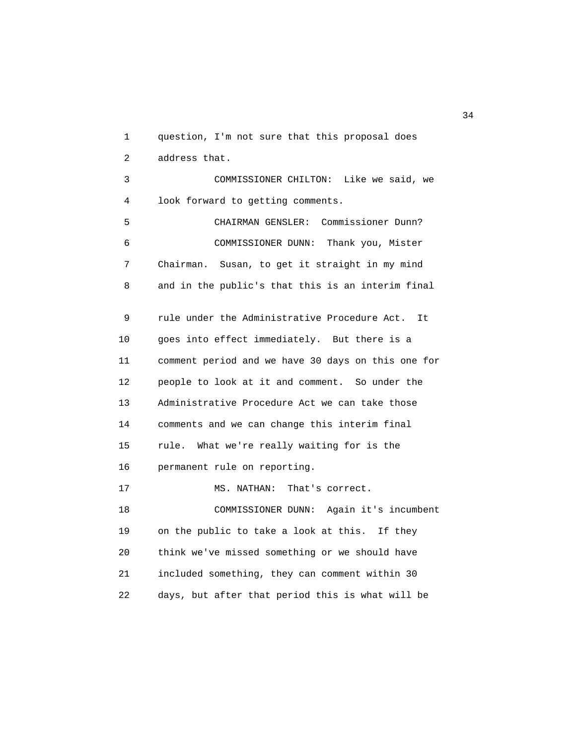1 question, I'm not sure that this proposal does 2 address that. 3 COMMISSIONER CHILTON: Like we said, we 4 look forward to getting comments. 5 CHAIRMAN GENSLER: Commissioner Dunn? 6 COMMISSIONER DUNN: Thank you, Mister 7 Chairman. Susan, to get it straight in my mind 8 and in the public's that this is an interim final 9 rule under the Administrative Procedure Act. It 10 goes into effect immediately. But there is a 11 comment period and we have 30 days on this one for 12 people to look at it and comment. So under the 13 Administrative Procedure Act we can take those 14 comments and we can change this interim final 15 rule. What we're really waiting for is the 16 permanent rule on reporting. 17 MS. NATHAN: That's correct. 18 COMMISSIONER DUNN: Again it's incumbent 19 on the public to take a look at this. If they 20 think we've missed something or we should have 21 included something, they can comment within 30 22 days, but after that period this is what will be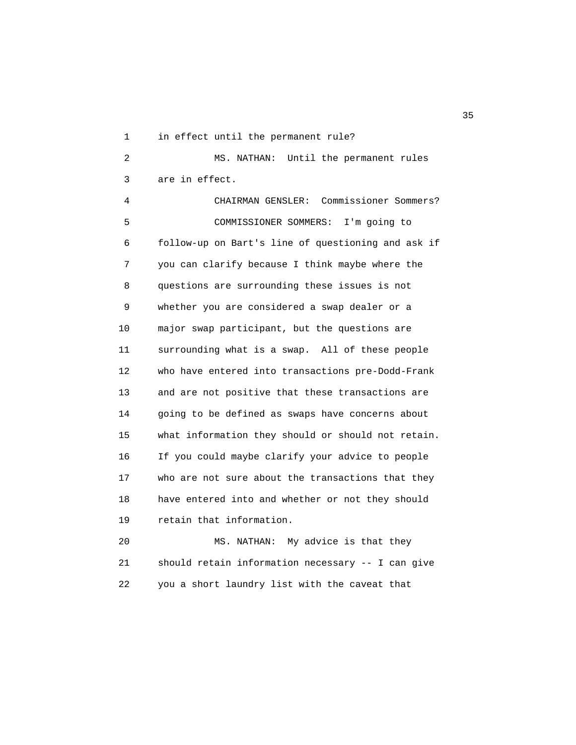1 in effect until the permanent rule?

 2 MS. NATHAN: Until the permanent rules 3 are in effect.

 4 CHAIRMAN GENSLER: Commissioner Sommers? 5 COMMISSIONER SOMMERS: I'm going to 6 follow-up on Bart's line of questioning and ask if 7 you can clarify because I think maybe where the 8 questions are surrounding these issues is not 9 whether you are considered a swap dealer or a 10 major swap participant, but the questions are 11 surrounding what is a swap. All of these people 12 who have entered into transactions pre-Dodd-Frank 13 and are not positive that these transactions are 14 going to be defined as swaps have concerns about 15 what information they should or should not retain. 16 If you could maybe clarify your advice to people 17 who are not sure about the transactions that they 18 have entered into and whether or not they should 19 retain that information.

 20 MS. NATHAN: My advice is that they 21 should retain information necessary -- I can give 22 you a short laundry list with the caveat that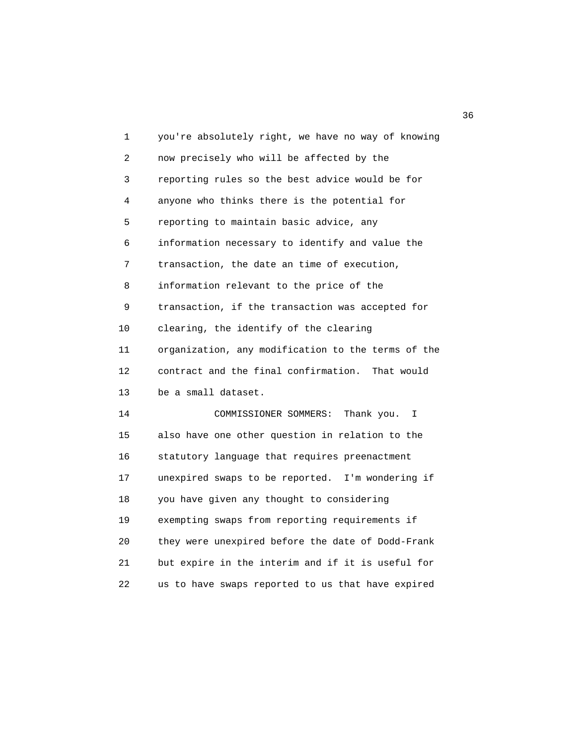| 1  | you're absolutely right, we have no way of knowing |
|----|----------------------------------------------------|
| 2  | now precisely who will be affected by the          |
| 3  | reporting rules so the best advice would be for    |
| 4  | anyone who thinks there is the potential for       |
| 5  | reporting to maintain basic advice, any            |
| 6  | information necessary to identify and value the    |
| 7  | transaction, the date an time of execution,        |
| 8  | information relevant to the price of the           |
| 9  | transaction, if the transaction was accepted for   |
| 10 | clearing, the identify of the clearing             |
| 11 | organization, any modification to the terms of the |
| 12 | contract and the final confirmation.<br>That would |
| 13 | be a small dataset.                                |
| 14 | COMMISSIONER SOMMERS:<br>Thank you.<br>I.          |
| 15 | also have one other question in relation to the    |
| 16 | statutory language that requires preenactment      |
| 17 | unexpired swaps to be reported. I'm wondering if   |
| 18 | you have given any thought to considering          |
| 19 | exempting swaps from reporting requirements if     |
| 20 | they were unexpired before the date of Dodd-Frank  |
| 21 | but expire in the interim and if it is useful for  |
| 22 | us to have swaps reported to us that have expired  |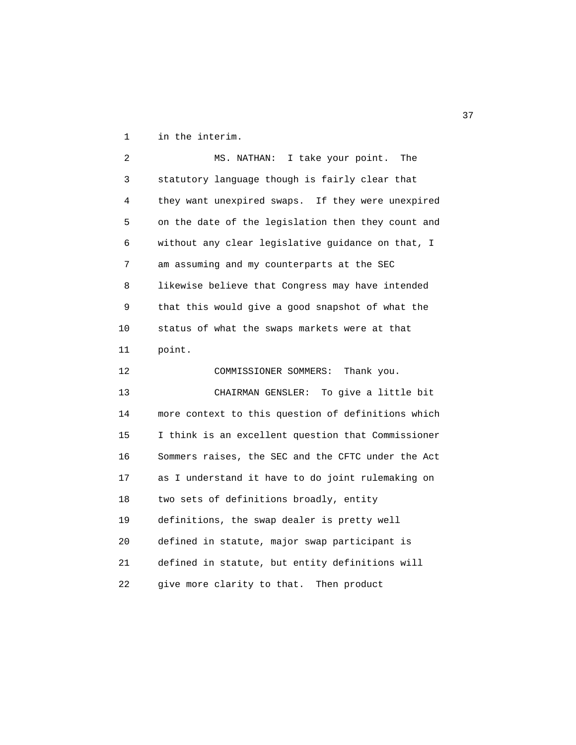1 in the interim.

 2 MS. NATHAN: I take your point. The 3 statutory language though is fairly clear that 4 they want unexpired swaps. If they were unexpired 5 on the date of the legislation then they count and 6 without any clear legislative guidance on that, I 7 am assuming and my counterparts at the SEC 8 likewise believe that Congress may have intended 9 that this would give a good snapshot of what the 10 status of what the swaps markets were at that 11 point. 12 COMMISSIONER SOMMERS: Thank you. 13 CHAIRMAN GENSLER: To give a little bit 14 more context to this question of definitions which 15 I think is an excellent question that Commissioner 16 Sommers raises, the SEC and the CFTC under the Act 17 as I understand it have to do joint rulemaking on 18 two sets of definitions broadly, entity 19 definitions, the swap dealer is pretty well 20 defined in statute, major swap participant is 21 defined in statute, but entity definitions will 22 give more clarity to that. Then product

<u>37</u>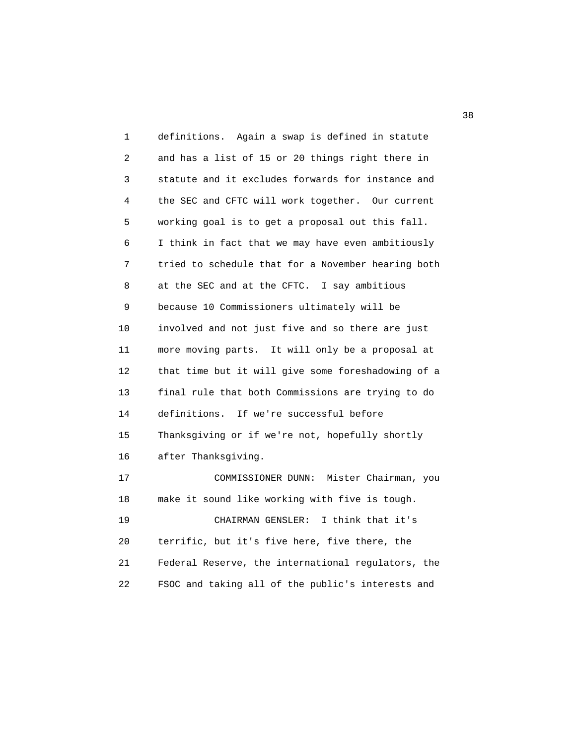1 definitions. Again a swap is defined in statute 2 and has a list of 15 or 20 things right there in 3 statute and it excludes forwards for instance and 4 the SEC and CFTC will work together. Our current 5 working goal is to get a proposal out this fall. 6 I think in fact that we may have even ambitiously 7 tried to schedule that for a November hearing both 8 at the SEC and at the CFTC. I say ambitious 9 because 10 Commissioners ultimately will be 10 involved and not just five and so there are just 11 more moving parts. It will only be a proposal at 12 that time but it will give some foreshadowing of a 13 final rule that both Commissions are trying to do 14 definitions. If we're successful before 15 Thanksgiving or if we're not, hopefully shortly 16 after Thanksgiving. 17 COMMISSIONER DUNN: Mister Chairman, you 18 make it sound like working with five is tough. 19 CHAIRMAN GENSLER: I think that it's 20 terrific, but it's five here, five there, the 21 Federal Reserve, the international regulators, the 22 FSOC and taking all of the public's interests and

 $38<sup>3</sup>$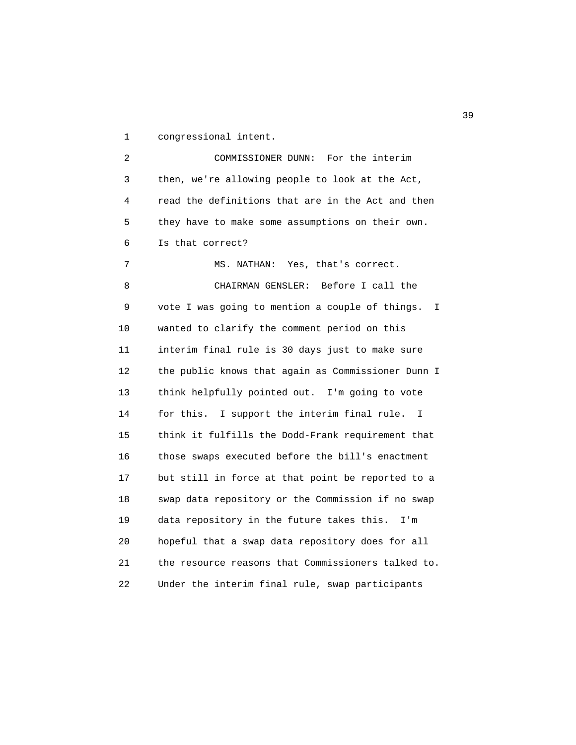1 congressional intent.

 2 COMMISSIONER DUNN: For the interim 3 then, we're allowing people to look at the Act, 4 read the definitions that are in the Act and then 5 they have to make some assumptions on their own. 6 Is that correct? 7 MS. NATHAN: Yes, that's correct. 8 CHAIRMAN GENSLER: Before I call the 9 vote I was going to mention a couple of things. I 10 wanted to clarify the comment period on this 11 interim final rule is 30 days just to make sure 12 the public knows that again as Commissioner Dunn I 13 think helpfully pointed out. I'm going to vote 14 for this. I support the interim final rule. I 15 think it fulfills the Dodd-Frank requirement that 16 those swaps executed before the bill's enactment 17 but still in force at that point be reported to a 18 swap data repository or the Commission if no swap 19 data repository in the future takes this. I'm 20 hopeful that a swap data repository does for all 21 the resource reasons that Commissioners talked to. 22 Under the interim final rule, swap participants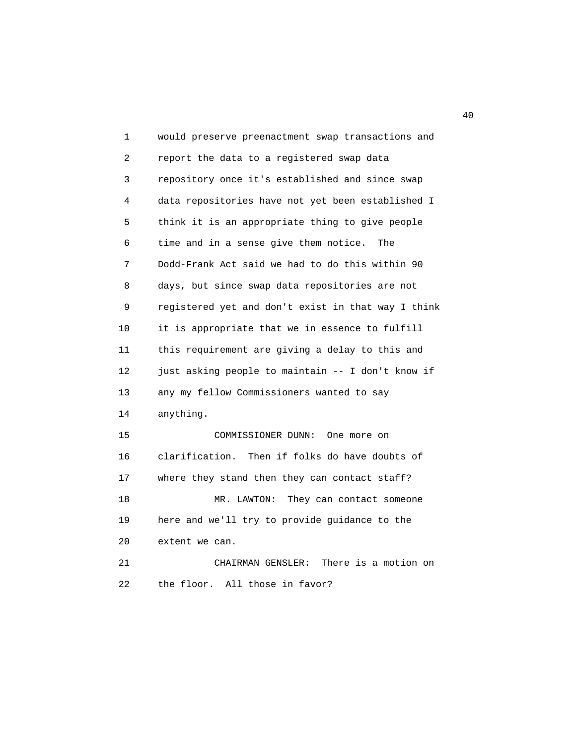1 would preserve preenactment swap transactions and 2 report the data to a registered swap data 3 repository once it's established and since swap 4 data repositories have not yet been established I 5 think it is an appropriate thing to give people 6 time and in a sense give them notice. The 7 Dodd-Frank Act said we had to do this within 90 8 days, but since swap data repositories are not 9 registered yet and don't exist in that way I think 10 it is appropriate that we in essence to fulfill 11 this requirement are giving a delay to this and 12 just asking people to maintain -- I don't know if 13 any my fellow Commissioners wanted to say 14 anything. 15 COMMISSIONER DUNN: One more on 16 clarification. Then if folks do have doubts of 17 where they stand then they can contact staff? 18 MR. LAWTON: They can contact someone 19 here and we'll try to provide guidance to the 20 extent we can. 21 CHAIRMAN GENSLER: There is a motion on 22 the floor. All those in favor?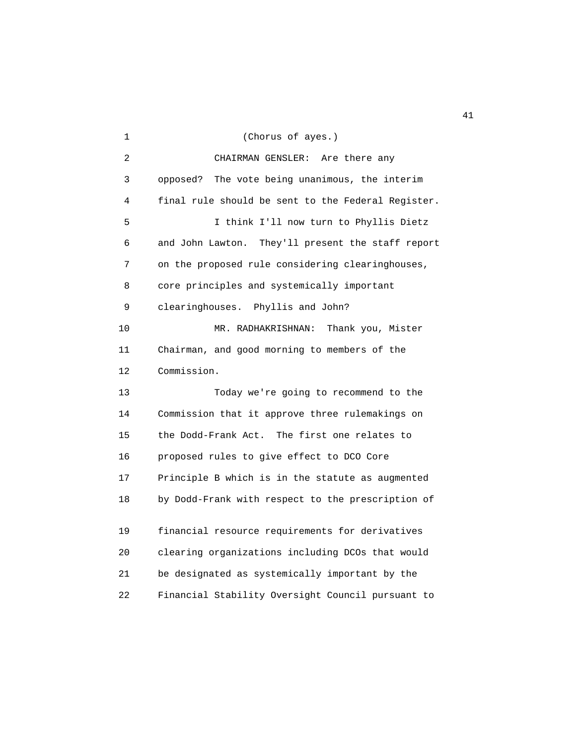| 1  | (Chorus of ayes.)                                  |
|----|----------------------------------------------------|
| 2  | CHAIRMAN GENSLER:<br>Are there any                 |
| 3  | The vote being unanimous, the interim<br>opposed?  |
| 4  | final rule should be sent to the Federal Register. |
| 5  | I think I'll now turn to Phyllis Dietz             |
| 6  | and John Lawton. They'll present the staff report  |
| 7  | on the proposed rule considering clearinghouses,   |
| 8  | core principles and systemically important         |
| 9  | clearinghouses. Phyllis and John?                  |
| 10 | MR. RADHAKRISHNAN:<br>Thank you, Mister            |
| 11 | Chairman, and good morning to members of the       |
| 12 | Commission.                                        |
| 13 | Today we're going to recommend to the              |
| 14 | Commission that it approve three rulemakings on    |
| 15 | the Dodd-Frank Act. The first one relates to       |
| 16 | proposed rules to give effect to DCO Core          |
| 17 | Principle B which is in the statute as augmented   |
| 18 | by Dodd-Frank with respect to the prescription of  |
| 19 | financial resource requirements for derivatives    |
|    |                                                    |
| 20 | clearing organizations including DCOs that would   |
| 21 | be designated as systemically important by the     |
| 22 | Financial Stability Oversight Council pursuant to  |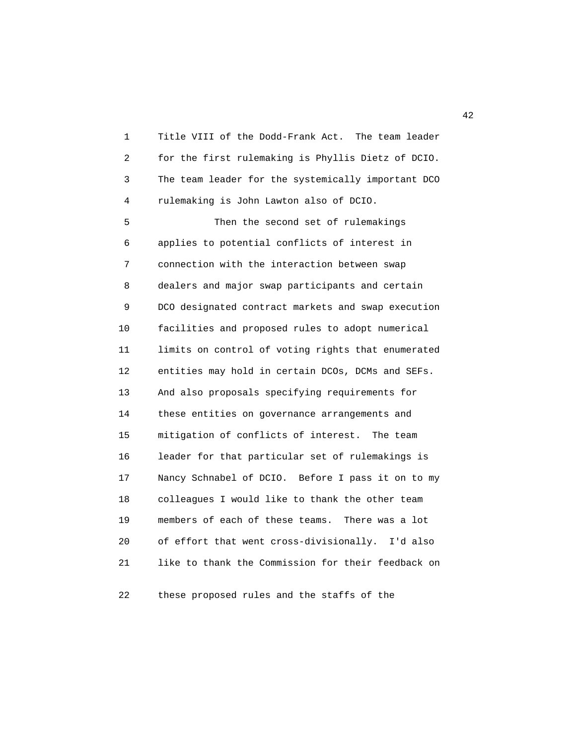1 Title VIII of the Dodd-Frank Act. The team leader 2 for the first rulemaking is Phyllis Dietz of DCIO. 3 The team leader for the systemically important DCO 4 rulemaking is John Lawton also of DCIO.

 5 Then the second set of rulemakings 6 applies to potential conflicts of interest in 7 connection with the interaction between swap 8 dealers and major swap participants and certain 9 DCO designated contract markets and swap execution 10 facilities and proposed rules to adopt numerical 11 limits on control of voting rights that enumerated 12 entities may hold in certain DCOs, DCMs and SEFs. 13 And also proposals specifying requirements for 14 these entities on governance arrangements and 15 mitigation of conflicts of interest. The team 16 leader for that particular set of rulemakings is 17 Nancy Schnabel of DCIO. Before I pass it on to my 18 colleagues I would like to thank the other team 19 members of each of these teams. There was a lot 20 of effort that went cross-divisionally. I'd also 21 like to thank the Commission for their feedback on

22 these proposed rules and the staffs of the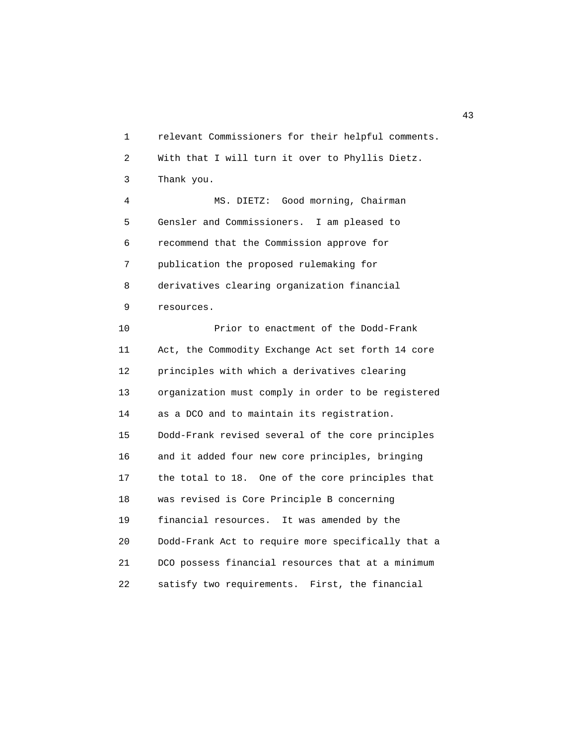1 relevant Commissioners for their helpful comments. 2 With that I will turn it over to Phyllis Dietz. 3 Thank you. 4 MS. DIETZ: Good morning, Chairman 5 Gensler and Commissioners. I am pleased to 6 recommend that the Commission approve for 7 publication the proposed rulemaking for 8 derivatives clearing organization financial 9 resources. 10 Prior to enactment of the Dodd-Frank 11 Act, the Commodity Exchange Act set forth 14 core 12 principles with which a derivatives clearing 13 organization must comply in order to be registered 14 as a DCO and to maintain its registration. 15 Dodd-Frank revised several of the core principles 16 and it added four new core principles, bringing 17 the total to 18. One of the core principles that 18 was revised is Core Principle B concerning 19 financial resources. It was amended by the 20 Dodd-Frank Act to require more specifically that a 21 DCO possess financial resources that at a minimum 22 satisfy two requirements. First, the financial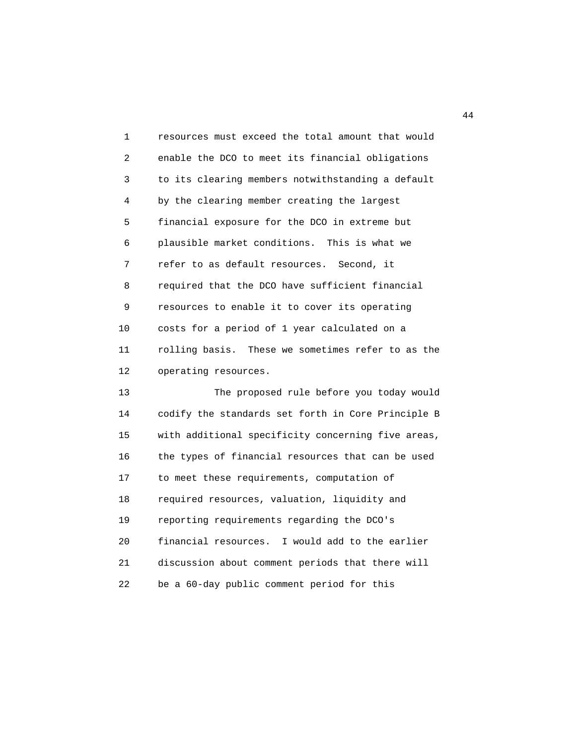1 resources must exceed the total amount that would 2 enable the DCO to meet its financial obligations 3 to its clearing members notwithstanding a default 4 by the clearing member creating the largest 5 financial exposure for the DCO in extreme but 6 plausible market conditions. This is what we 7 refer to as default resources. Second, it 8 required that the DCO have sufficient financial 9 resources to enable it to cover its operating 10 costs for a period of 1 year calculated on a 11 rolling basis. These we sometimes refer to as the 12 operating resources.

 13 The proposed rule before you today would 14 codify the standards set forth in Core Principle B 15 with additional specificity concerning five areas, 16 the types of financial resources that can be used 17 to meet these requirements, computation of 18 required resources, valuation, liquidity and 19 reporting requirements regarding the DCO's 20 financial resources. I would add to the earlier 21 discussion about comment periods that there will 22 be a 60-day public comment period for this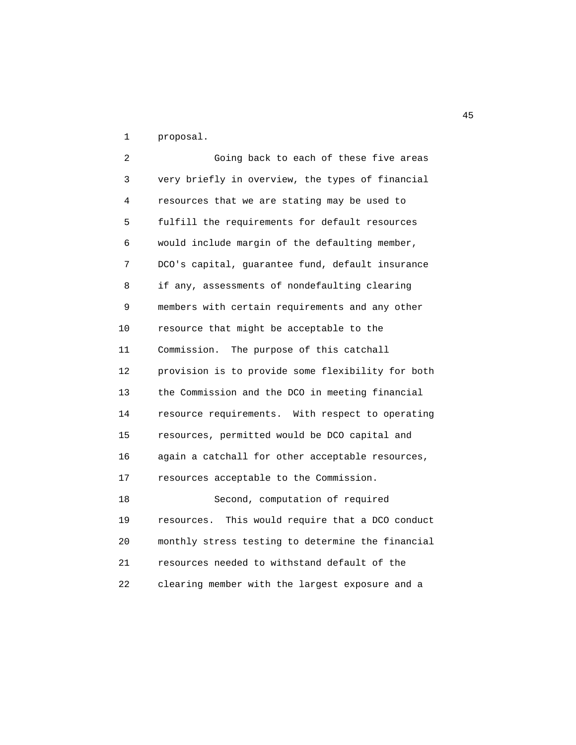1 proposal.

 2 Going back to each of these five areas 3 very briefly in overview, the types of financial 4 resources that we are stating may be used to 5 fulfill the requirements for default resources 6 would include margin of the defaulting member, 7 DCO's capital, guarantee fund, default insurance 8 if any, assessments of nondefaulting clearing 9 members with certain requirements and any other 10 resource that might be acceptable to the 11 Commission. The purpose of this catchall 12 provision is to provide some flexibility for both 13 the Commission and the DCO in meeting financial 14 resource requirements. With respect to operating 15 resources, permitted would be DCO capital and 16 again a catchall for other acceptable resources, 17 resources acceptable to the Commission. 18 Second, computation of required 19 resources. This would require that a DCO conduct 20 monthly stress testing to determine the financial 21 resources needed to withstand default of the 22 clearing member with the largest exposure and a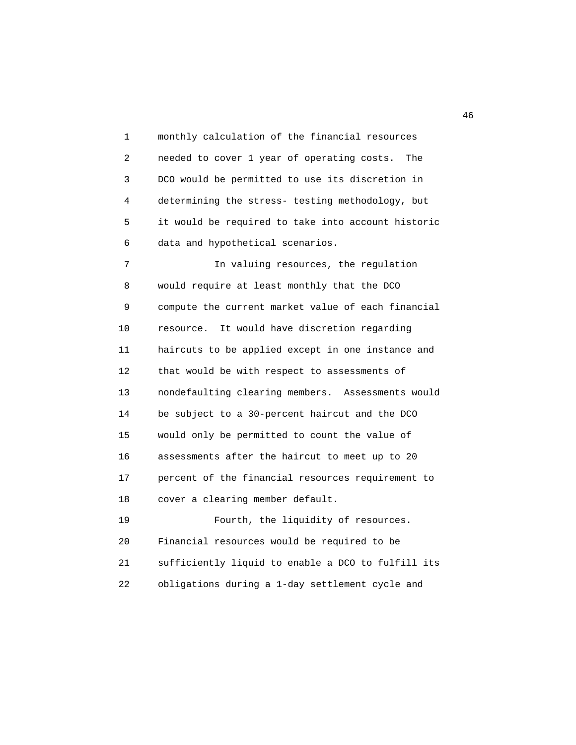1 monthly calculation of the financial resources 2 needed to cover 1 year of operating costs. The 3 DCO would be permitted to use its discretion in 4 determining the stress- testing methodology, but 5 it would be required to take into account historic 6 data and hypothetical scenarios. 7 In valuing resources, the regulation 8 would require at least monthly that the DCO 9 compute the current market value of each financial 10 resource. It would have discretion regarding 11 haircuts to be applied except in one instance and 12 that would be with respect to assessments of 13 nondefaulting clearing members. Assessments would 14 be subject to a 30-percent haircut and the DCO 15 would only be permitted to count the value of 16 assessments after the haircut to meet up to 20 17 percent of the financial resources requirement to 18 cover a clearing member default. 19 Fourth, the liquidity of resources. 20 Financial resources would be required to be

 21 sufficiently liquid to enable a DCO to fulfill its 22 obligations during a 1-day settlement cycle and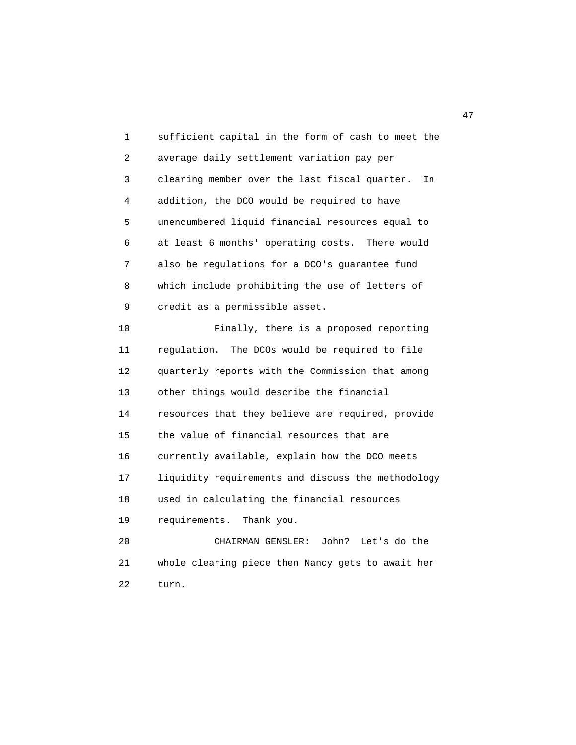1 sufficient capital in the form of cash to meet the 2 average daily settlement variation pay per 3 clearing member over the last fiscal quarter. In 4 addition, the DCO would be required to have 5 unencumbered liquid financial resources equal to 6 at least 6 months' operating costs. There would 7 also be regulations for a DCO's guarantee fund 8 which include prohibiting the use of letters of 9 credit as a permissible asset. 10 Finally, there is a proposed reporting 11 regulation. The DCOs would be required to file 12 quarterly reports with the Commission that among 13 other things would describe the financial 14 resources that they believe are required, provide 15 the value of financial resources that are 16 currently available, explain how the DCO meets 17 liquidity requirements and discuss the methodology 18 used in calculating the financial resources 19 requirements. Thank you. 20 CHAIRMAN GENSLER: John? Let's do the 21 whole clearing piece then Nancy gets to await her 22 turn.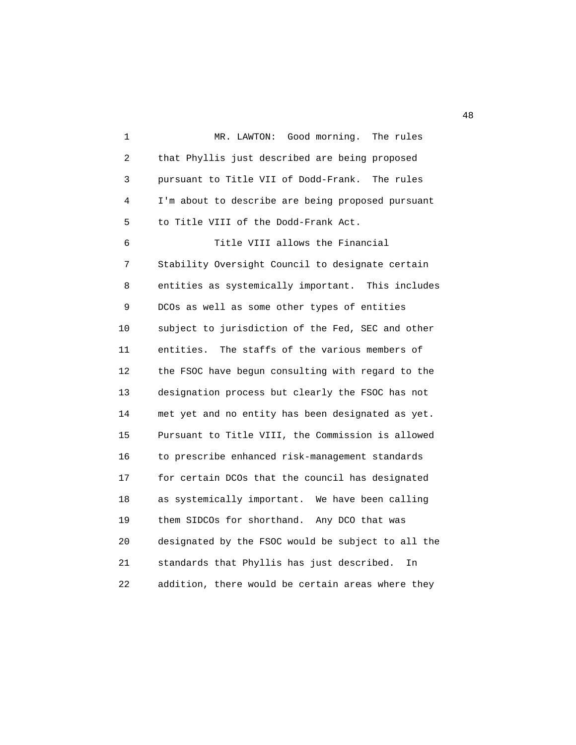1 MR. LAWTON: Good morning. The rules 2 that Phyllis just described are being proposed 3 pursuant to Title VII of Dodd-Frank. The rules 4 I'm about to describe are being proposed pursuant 5 to Title VIII of the Dodd-Frank Act. 6 Title VIII allows the Financial 7 Stability Oversight Council to designate certain 8 entities as systemically important. This includes 9 DCOs as well as some other types of entities 10 subject to jurisdiction of the Fed, SEC and other 11 entities. The staffs of the various members of 12 the FSOC have begun consulting with regard to the 13 designation process but clearly the FSOC has not 14 met yet and no entity has been designated as yet. 15 Pursuant to Title VIII, the Commission is allowed 16 to prescribe enhanced risk-management standards 17 for certain DCOs that the council has designated 18 as systemically important. We have been calling 19 them SIDCOs for shorthand. Any DCO that was 20 designated by the FSOC would be subject to all the 21 standards that Phyllis has just described. In 22 addition, there would be certain areas where they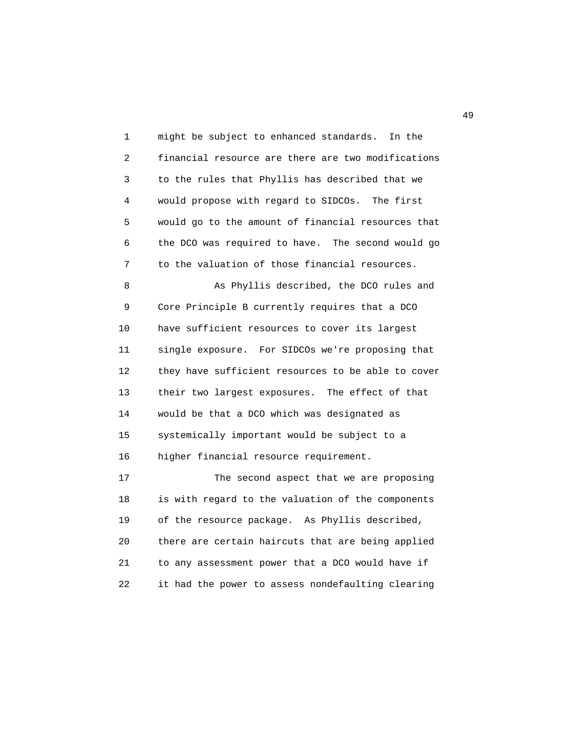1 might be subject to enhanced standards. In the 2 financial resource are there are two modifications 3 to the rules that Phyllis has described that we 4 would propose with regard to SIDCOs. The first 5 would go to the amount of financial resources that 6 the DCO was required to have. The second would go 7 to the valuation of those financial resources.

 8 As Phyllis described, the DCO rules and 9 Core Principle B currently requires that a DCO 10 have sufficient resources to cover its largest 11 single exposure. For SIDCOs we're proposing that 12 they have sufficient resources to be able to cover 13 their two largest exposures. The effect of that 14 would be that a DCO which was designated as 15 systemically important would be subject to a 16 higher financial resource requirement.

 17 The second aspect that we are proposing 18 is with regard to the valuation of the components 19 of the resource package. As Phyllis described, 20 there are certain haircuts that are being applied 21 to any assessment power that a DCO would have if 22 it had the power to assess nondefaulting clearing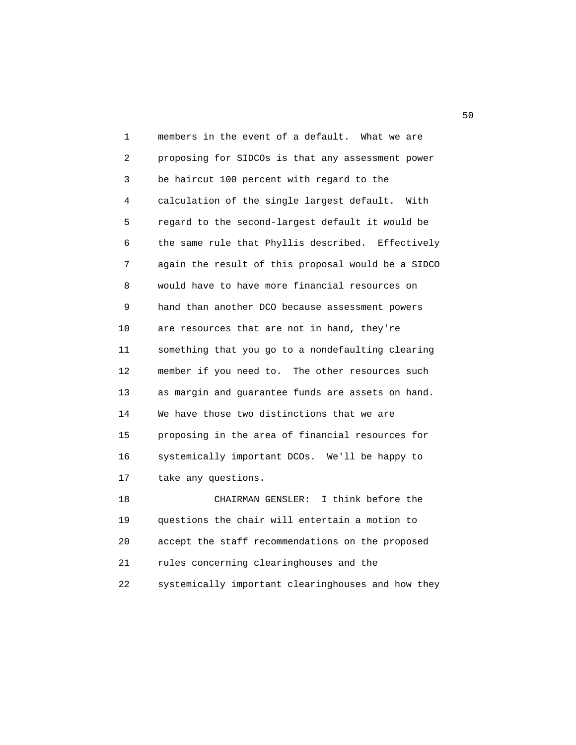1 members in the event of a default. What we are 2 proposing for SIDCOs is that any assessment power 3 be haircut 100 percent with regard to the 4 calculation of the single largest default. With 5 regard to the second-largest default it would be 6 the same rule that Phyllis described. Effectively 7 again the result of this proposal would be a SIDCO 8 would have to have more financial resources on 9 hand than another DCO because assessment powers 10 are resources that are not in hand, they're 11 something that you go to a nondefaulting clearing 12 member if you need to. The other resources such 13 as margin and guarantee funds are assets on hand. 14 We have those two distinctions that we are 15 proposing in the area of financial resources for 16 systemically important DCOs. We'll be happy to 17 take any questions. 18 CHAIRMAN GENSLER: I think before the

 19 questions the chair will entertain a motion to 20 accept the staff recommendations on the proposed 21 rules concerning clearinghouses and the 22 systemically important clearinghouses and how they

 $50<sub>50</sub>$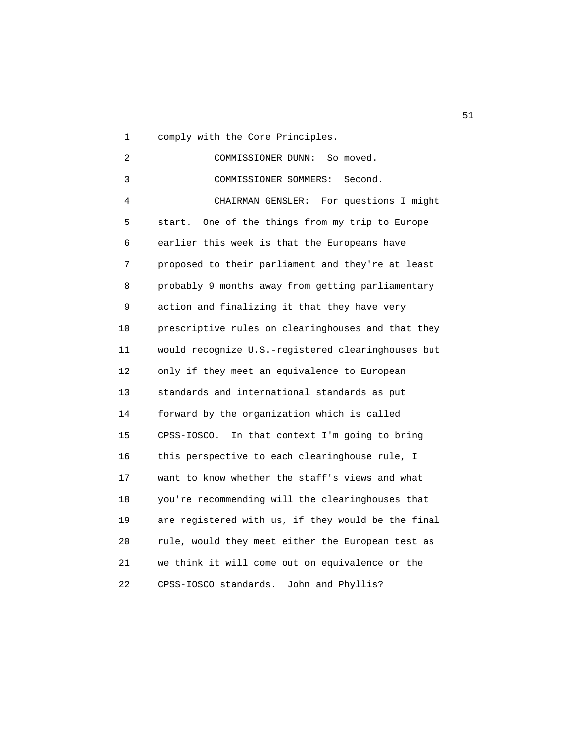1 comply with the Core Principles.

 2 COMMISSIONER DUNN: So moved. 3 COMMISSIONER SOMMERS: Second. 4 CHAIRMAN GENSLER: For questions I might 5 start. One of the things from my trip to Europe 6 earlier this week is that the Europeans have 7 proposed to their parliament and they're at least 8 probably 9 months away from getting parliamentary 9 action and finalizing it that they have very 10 prescriptive rules on clearinghouses and that they 11 would recognize U.S.-registered clearinghouses but 12 only if they meet an equivalence to European 13 standards and international standards as put 14 forward by the organization which is called 15 CPSS-IOSCO. In that context I'm going to bring 16 this perspective to each clearinghouse rule, I 17 want to know whether the staff's views and what 18 you're recommending will the clearinghouses that 19 are registered with us, if they would be the final 20 rule, would they meet either the European test as 21 we think it will come out on equivalence or the 22 CPSS-IOSCO standards. John and Phyllis?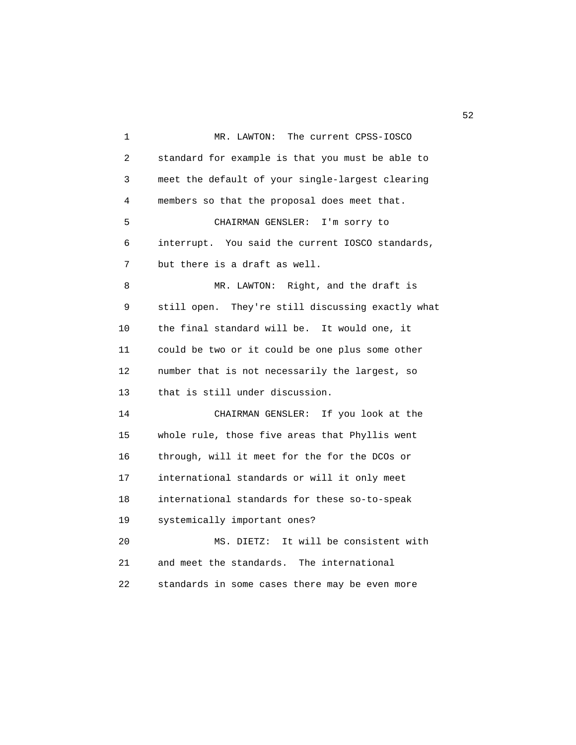1 MR. LAWTON: The current CPSS-IOSCO 2 standard for example is that you must be able to 3 meet the default of your single-largest clearing 4 members so that the proposal does meet that. 5 CHAIRMAN GENSLER: I'm sorry to 6 interrupt. You said the current IOSCO standards, 7 but there is a draft as well. 8 MR. LAWTON: Right, and the draft is 9 still open. They're still discussing exactly what 10 the final standard will be. It would one, it 11 could be two or it could be one plus some other 12 number that is not necessarily the largest, so 13 that is still under discussion. 14 CHAIRMAN GENSLER: If you look at the 15 whole rule, those five areas that Phyllis went 16 through, will it meet for the for the DCOs or 17 international standards or will it only meet 18 international standards for these so-to-speak 19 systemically important ones? 20 MS. DIETZ: It will be consistent with 21 and meet the standards. The international 22 standards in some cases there may be even more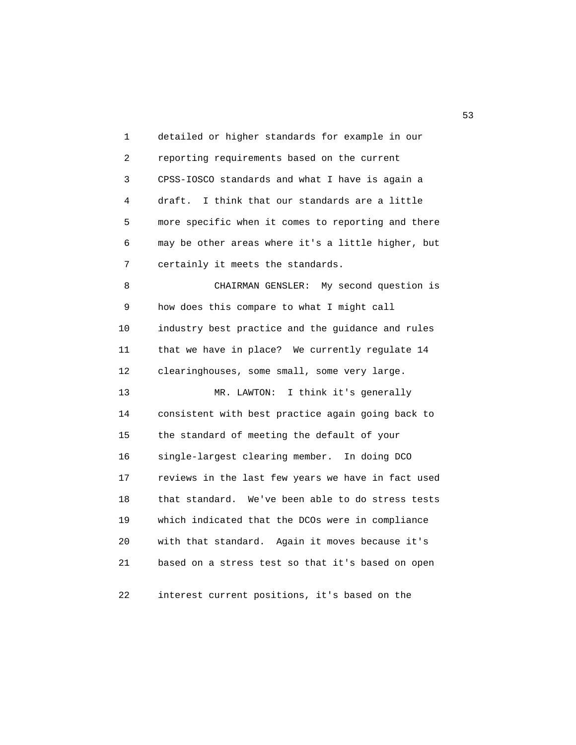1 detailed or higher standards for example in our 2 reporting requirements based on the current 3 CPSS-IOSCO standards and what I have is again a 4 draft. I think that our standards are a little 5 more specific when it comes to reporting and there 6 may be other areas where it's a little higher, but 7 certainly it meets the standards. 8 CHAIRMAN GENSLER: My second question is 9 how does this compare to what I might call 10 industry best practice and the guidance and rules 11 that we have in place? We currently regulate 14 12 clearinghouses, some small, some very large. 13 MR. LAWTON: I think it's generally 14 consistent with best practice again going back to 15 the standard of meeting the default of your 16 single-largest clearing member. In doing DCO 17 reviews in the last few years we have in fact used 18 that standard. We've been able to do stress tests 19 which indicated that the DCOs were in compliance 20 with that standard. Again it moves because it's 21 based on a stress test so that it's based on open 22 interest current positions, it's based on the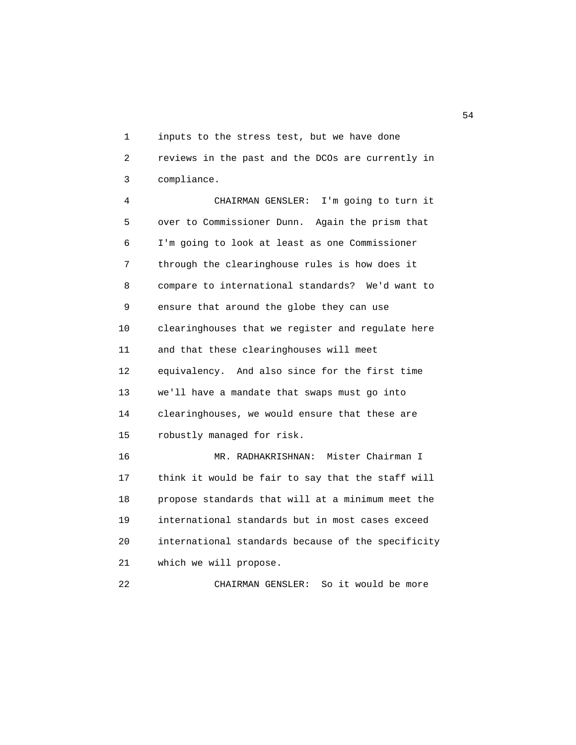1 inputs to the stress test, but we have done 2 reviews in the past and the DCOs are currently in 3 compliance.

 4 CHAIRMAN GENSLER: I'm going to turn it 5 over to Commissioner Dunn. Again the prism that 6 I'm going to look at least as one Commissioner 7 through the clearinghouse rules is how does it 8 compare to international standards? We'd want to 9 ensure that around the globe they can use 10 clearinghouses that we register and regulate here 11 and that these clearinghouses will meet 12 equivalency. And also since for the first time 13 we'll have a mandate that swaps must go into 14 clearinghouses, we would ensure that these are 15 robustly managed for risk. 16 MR. RADHAKRISHNAN: Mister Chairman I 17 think it would be fair to say that the staff will 18 propose standards that will at a minimum meet the 19 international standards but in most cases exceed 20 international standards because of the specificity 21 which we will propose.

22 CHAIRMAN GENSLER: So it would be more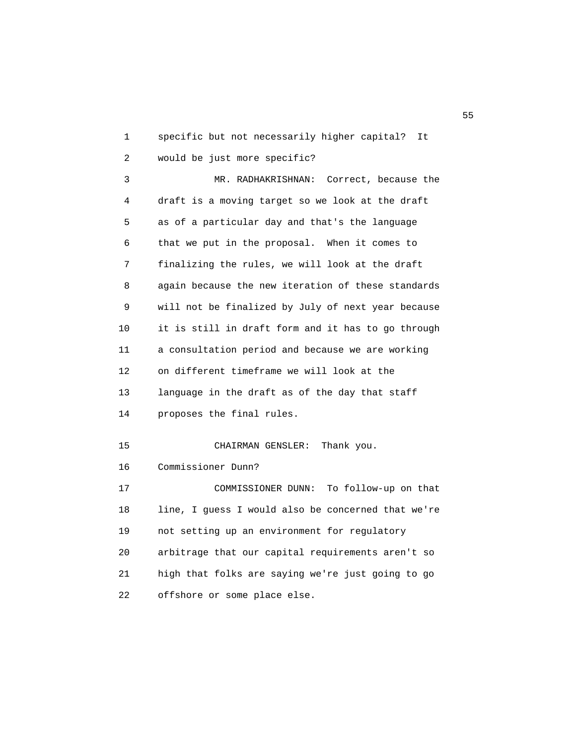1 specific but not necessarily higher capital? It 2 would be just more specific? 3 MR. RADHAKRISHNAN: Correct, because the 4 draft is a moving target so we look at the draft 5 as of a particular day and that's the language 6 that we put in the proposal. When it comes to 7 finalizing the rules, we will look at the draft 8 again because the new iteration of these standards 9 will not be finalized by July of next year because 10 it is still in draft form and it has to go through 11 a consultation period and because we are working 12 on different timeframe we will look at the 13 language in the draft as of the day that staff 14 proposes the final rules. 15 CHAIRMAN GENSLER: Thank you. 16 Commissioner Dunn? 17 COMMISSIONER DUNN: To follow-up on that 18 line, I guess I would also be concerned that we're 19 not setting up an environment for regulatory 20 arbitrage that our capital requirements aren't so 21 high that folks are saying we're just going to go 22 offshore or some place else.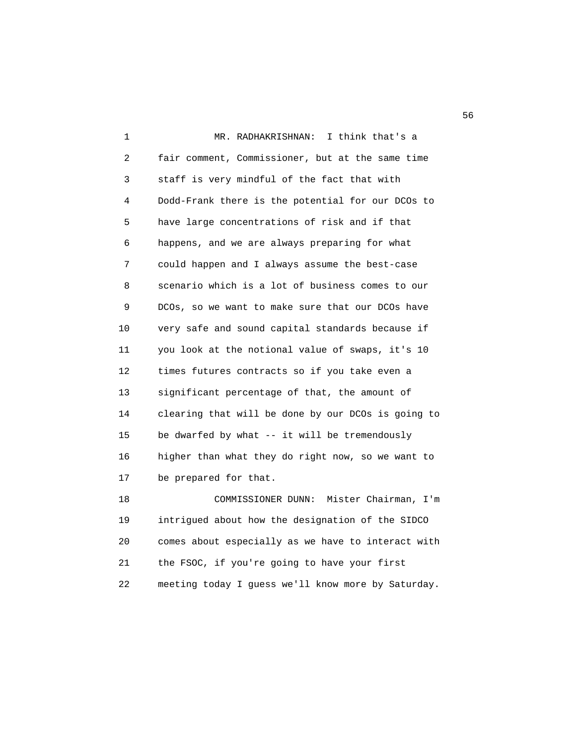1 MR. RADHAKRISHNAN: I think that's a 2 fair comment, Commissioner, but at the same time 3 staff is very mindful of the fact that with 4 Dodd-Frank there is the potential for our DCOs to 5 have large concentrations of risk and if that 6 happens, and we are always preparing for what 7 could happen and I always assume the best-case 8 scenario which is a lot of business comes to our 9 DCOs, so we want to make sure that our DCOs have 10 very safe and sound capital standards because if 11 you look at the notional value of swaps, it's 10 12 times futures contracts so if you take even a 13 significant percentage of that, the amount of 14 clearing that will be done by our DCOs is going to 15 be dwarfed by what -- it will be tremendously 16 higher than what they do right now, so we want to 17 be prepared for that. 18 COMMISSIONER DUNN: Mister Chairman, I'm

 19 intrigued about how the designation of the SIDCO 20 comes about especially as we have to interact with 21 the FSOC, if you're going to have your first 22 meeting today I guess we'll know more by Saturday.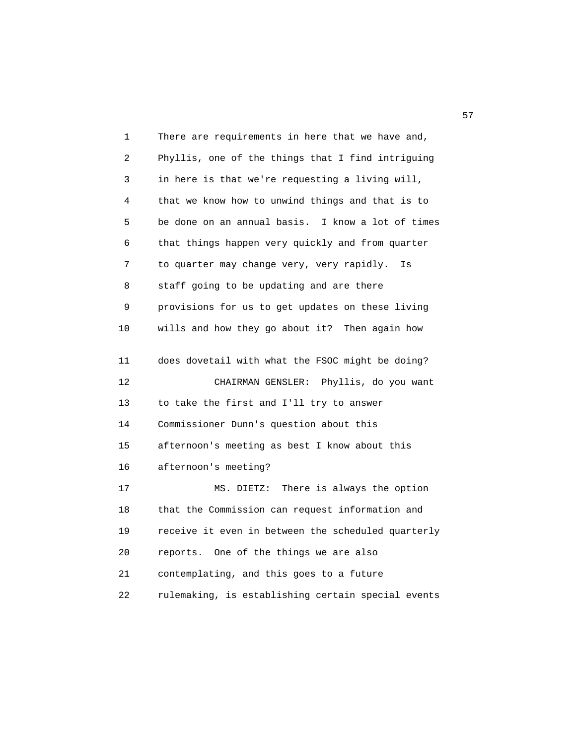| 1  | There are requirements in here that we have and,   |
|----|----------------------------------------------------|
| 2  | Phyllis, one of the things that I find intriguing  |
| 3  | in here is that we're requesting a living will,    |
| 4  | that we know how to unwind things and that is to   |
| 5  | be done on an annual basis. I know a lot of times  |
| 6  | that things happen very quickly and from quarter   |
| 7  | to quarter may change very, very rapidly.<br>Is    |
| 8  | staff going to be updating and are there           |
| 9  | provisions for us to get updates on these living   |
| 10 | wills and how they go about it? Then again how     |
| 11 | does dovetail with what the FSOC might be doing?   |
| 12 | CHAIRMAN GENSLER:<br>Phyllis, do you want          |
|    |                                                    |
| 13 | to take the first and I'll try to answer           |
| 14 | Commissioner Dunn's question about this            |
| 15 | afternoon's meeting as best I know about this      |
| 16 | afternoon's meeting?                               |
| 17 | There is always the option<br>MS. DIETZ:           |
| 18 | that the Commission can request information and    |
| 19 | receive it even in between the scheduled quarterly |
| 20 | reports. One of the things we are also             |
| 21 | contemplating, and this goes to a future           |
| 22 | rulemaking, is establishing certain special events |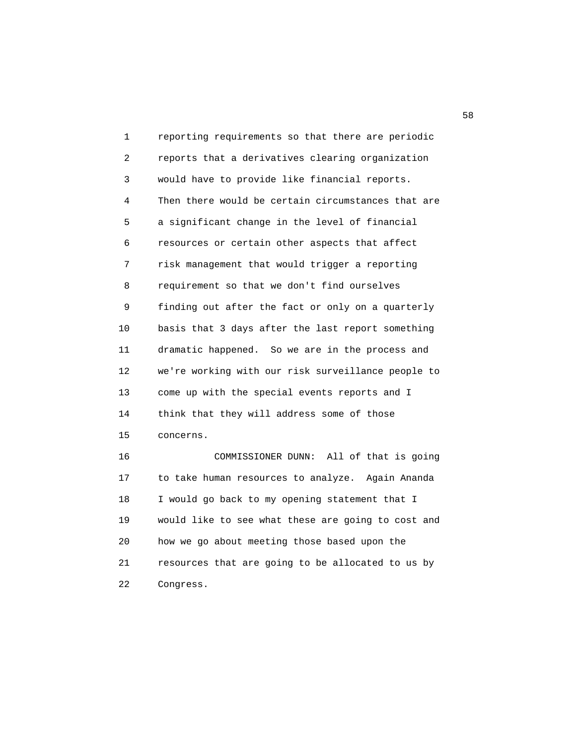1 reporting requirements so that there are periodic 2 reports that a derivatives clearing organization 3 would have to provide like financial reports. 4 Then there would be certain circumstances that are 5 a significant change in the level of financial 6 resources or certain other aspects that affect 7 risk management that would trigger a reporting 8 requirement so that we don't find ourselves 9 finding out after the fact or only on a quarterly 10 basis that 3 days after the last report something 11 dramatic happened. So we are in the process and 12 we're working with our risk surveillance people to 13 come up with the special events reports and I 14 think that they will address some of those 15 concerns. 16 COMMISSIONER DUNN: All of that is going 17 to take human resources to analyze. Again Ananda 18 I would go back to my opening statement that I 19 would like to see what these are going to cost and 20 how we go about meeting those based upon the 21 resources that are going to be allocated to us by

22 Congress.

 $58<sub>58</sub>$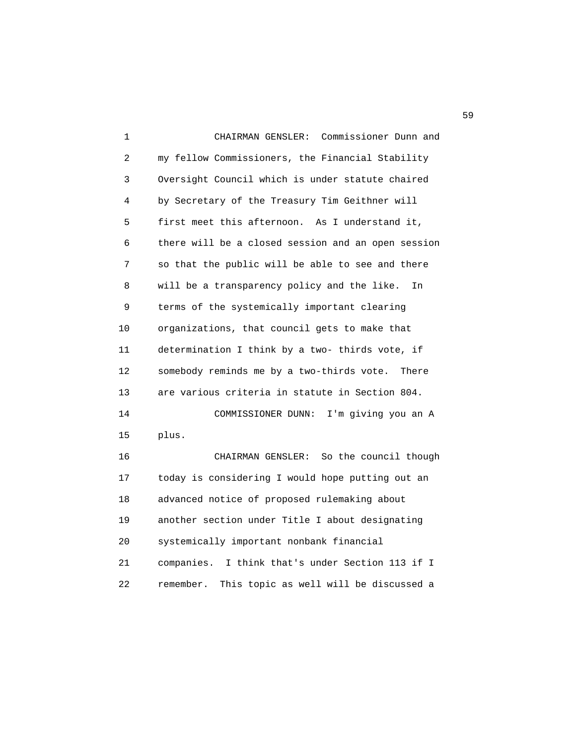1 CHAIRMAN GENSLER: Commissioner Dunn and 2 my fellow Commissioners, the Financial Stability 3 Oversight Council which is under statute chaired 4 by Secretary of the Treasury Tim Geithner will 5 first meet this afternoon. As I understand it, 6 there will be a closed session and an open session 7 so that the public will be able to see and there 8 will be a transparency policy and the like. In 9 terms of the systemically important clearing 10 organizations, that council gets to make that 11 determination I think by a two- thirds vote, if 12 somebody reminds me by a two-thirds vote. There 13 are various criteria in statute in Section 804. 14 COMMISSIONER DUNN: I'm giving you an A 15 plus. 16 CHAIRMAN GENSLER: So the council though 17 today is considering I would hope putting out an 18 advanced notice of proposed rulemaking about 19 another section under Title I about designating 20 systemically important nonbank financial 21 companies. I think that's under Section 113 if I 22 remember. This topic as well will be discussed a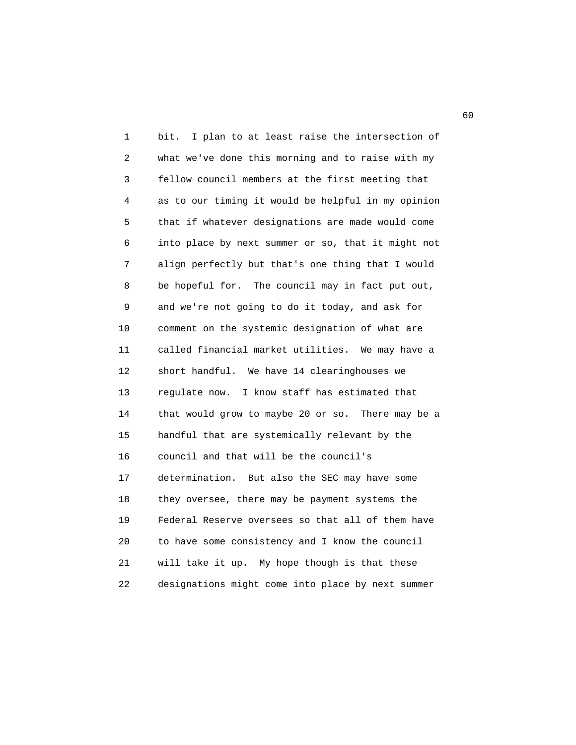1 bit. I plan to at least raise the intersection of 2 what we've done this morning and to raise with my 3 fellow council members at the first meeting that 4 as to our timing it would be helpful in my opinion 5 that if whatever designations are made would come 6 into place by next summer or so, that it might not 7 align perfectly but that's one thing that I would 8 be hopeful for. The council may in fact put out, 9 and we're not going to do it today, and ask for 10 comment on the systemic designation of what are 11 called financial market utilities. We may have a 12 short handful. We have 14 clearinghouses we 13 regulate now. I know staff has estimated that 14 that would grow to maybe 20 or so. There may be a 15 handful that are systemically relevant by the 16 council and that will be the council's 17 determination. But also the SEC may have some 18 they oversee, there may be payment systems the 19 Federal Reserve oversees so that all of them have 20 to have some consistency and I know the council 21 will take it up. My hope though is that these 22 designations might come into place by next summer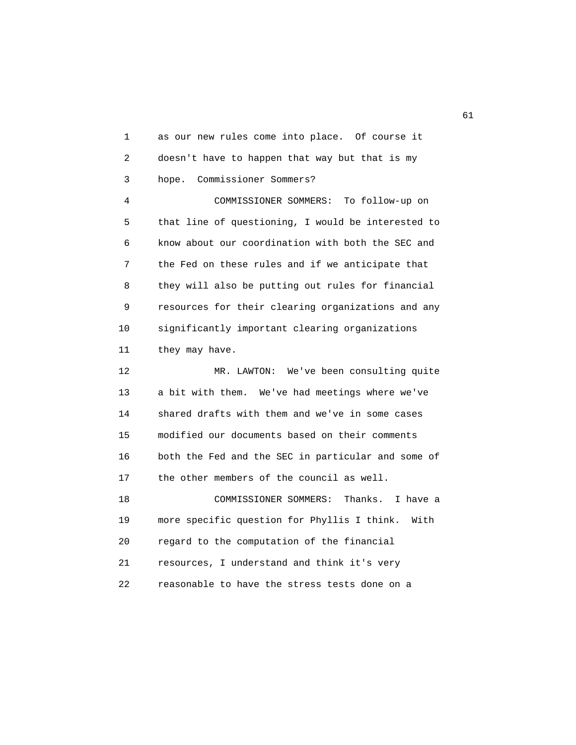1 as our new rules come into place. Of course it 2 doesn't have to happen that way but that is my 3 hope. Commissioner Sommers? 4 COMMISSIONER SOMMERS: To follow-up on 5 that line of questioning, I would be interested to 6 know about our coordination with both the SEC and 7 the Fed on these rules and if we anticipate that 8 they will also be putting out rules for financial 9 resources for their clearing organizations and any 10 significantly important clearing organizations 11 they may have. 12 MR. LAWTON: We've been consulting quite 13 a bit with them. We've had meetings where we've 14 shared drafts with them and we've in some cases 15 modified our documents based on their comments 16 both the Fed and the SEC in particular and some of 17 the other members of the council as well. 18 COMMISSIONER SOMMERS: Thanks. I have a 19 more specific question for Phyllis I think. With 20 regard to the computation of the financial

 21 resources, I understand and think it's very 22 reasonable to have the stress tests done on a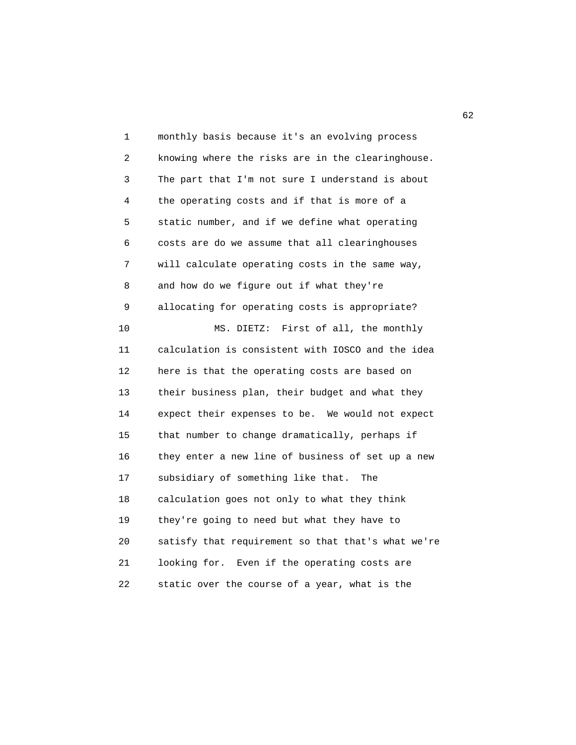1 monthly basis because it's an evolving process 2 knowing where the risks are in the clearinghouse. 3 The part that I'm not sure I understand is about 4 the operating costs and if that is more of a 5 static number, and if we define what operating 6 costs are do we assume that all clearinghouses 7 will calculate operating costs in the same way, 8 and how do we figure out if what they're 9 allocating for operating costs is appropriate? 10 MS. DIETZ: First of all, the monthly 11 calculation is consistent with IOSCO and the idea 12 here is that the operating costs are based on 13 their business plan, their budget and what they 14 expect their expenses to be. We would not expect 15 that number to change dramatically, perhaps if 16 they enter a new line of business of set up a new 17 subsidiary of something like that. The 18 calculation goes not only to what they think 19 they're going to need but what they have to 20 satisfy that requirement so that that's what we're 21 looking for. Even if the operating costs are 22 static over the course of a year, what is the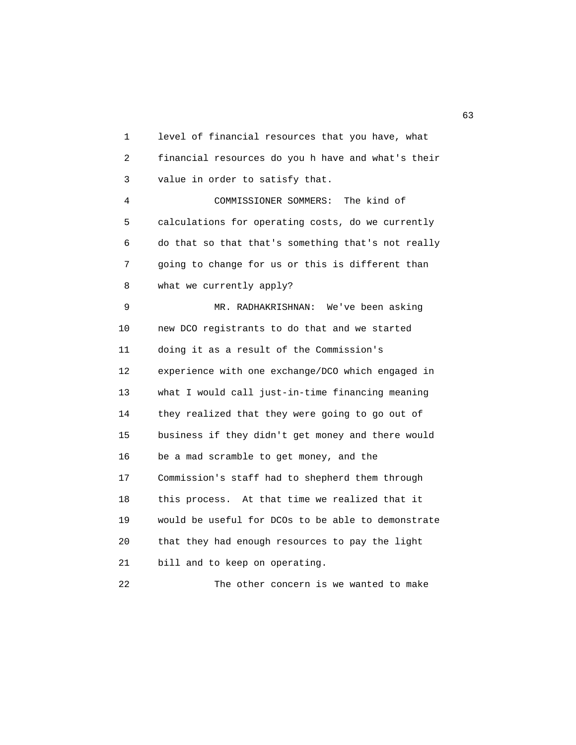1 level of financial resources that you have, what 2 financial resources do you h have and what's their 3 value in order to satisfy that. 4 COMMISSIONER SOMMERS: The kind of 5 calculations for operating costs, do we currently 6 do that so that that's something that's not really 7 going to change for us or this is different than 8 what we currently apply? 9 MR. RADHAKRISHNAN: We've been asking 10 new DCO registrants to do that and we started 11 doing it as a result of the Commission's 12 experience with one exchange/DCO which engaged in 13 what I would call just-in-time financing meaning 14 they realized that they were going to go out of 15 business if they didn't get money and there would 16 be a mad scramble to get money, and the 17 Commission's staff had to shepherd them through 18 this process. At that time we realized that it 19 would be useful for DCOs to be able to demonstrate 20 that they had enough resources to pay the light 21 bill and to keep on operating.

22 The other concern is we wanted to make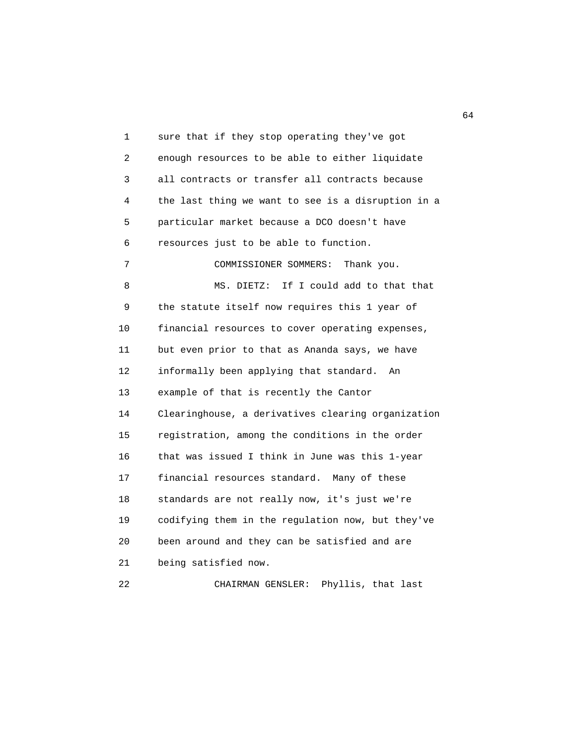1 sure that if they stop operating they've got 2 enough resources to be able to either liquidate 3 all contracts or transfer all contracts because 4 the last thing we want to see is a disruption in a 5 particular market because a DCO doesn't have 6 resources just to be able to function. 7 COMMISSIONER SOMMERS: Thank you. 8 MS. DIETZ: If I could add to that that 9 the statute itself now requires this 1 year of 10 financial resources to cover operating expenses, 11 but even prior to that as Ananda says, we have 12 informally been applying that standard. An 13 example of that is recently the Cantor 14 Clearinghouse, a derivatives clearing organization 15 registration, among the conditions in the order 16 that was issued I think in June was this 1-year 17 financial resources standard. Many of these 18 standards are not really now, it's just we're 19 codifying them in the regulation now, but they've 20 been around and they can be satisfied and are 21 being satisfied now. 22 CHAIRMAN GENSLER: Phyllis, that last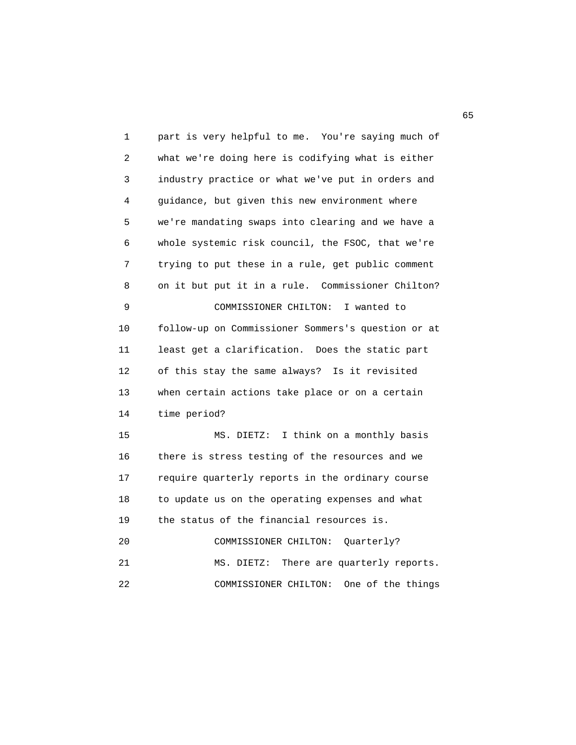1 part is very helpful to me. You're saying much of 2 what we're doing here is codifying what is either 3 industry practice or what we've put in orders and 4 guidance, but given this new environment where 5 we're mandating swaps into clearing and we have a 6 whole systemic risk council, the FSOC, that we're 7 trying to put these in a rule, get public comment 8 on it but put it in a rule. Commissioner Chilton? 9 COMMISSIONER CHILTON: I wanted to 10 follow-up on Commissioner Sommers's question or at 11 least get a clarification. Does the static part 12 of this stay the same always? Is it revisited 13 when certain actions take place or on a certain 14 time period? 15 MS. DIETZ: I think on a monthly basis 16 there is stress testing of the resources and we 17 require quarterly reports in the ordinary course 18 to update us on the operating expenses and what 19 the status of the financial resources is. 20 COMMISSIONER CHILTON: Quarterly? 21 MS. DIETZ: There are quarterly reports. 22 COMMISSIONER CHILTON: One of the things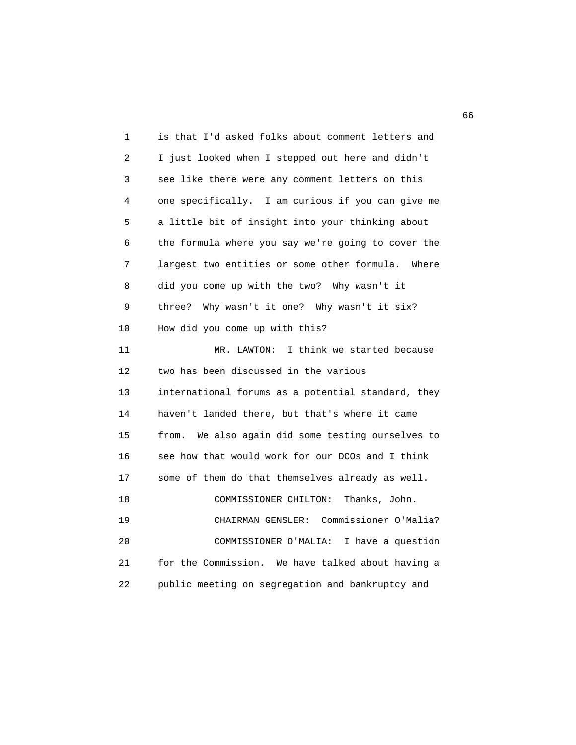| 1  | is that I'd asked folks about comment letters and    |
|----|------------------------------------------------------|
| 2  | I just looked when I stepped out here and didn't     |
| 3  | see like there were any comment letters on this      |
| 4  | one specifically. I am curious if you can give me    |
| 5  | a little bit of insight into your thinking about     |
| 6  | the formula where you say we're going to cover the   |
| 7  | largest two entities or some other formula.<br>Where |
| 8  | did you come up with the two? Why wasn't it          |
| 9  | Why wasn't it one? Why wasn't it six?<br>three?      |
| 10 | How did you come up with this?                       |
| 11 | I think we started because<br>MR. LAWTON:            |
| 12 | two has been discussed in the various                |
| 13 | international forums as a potential standard, they   |
| 14 | haven't landed there, but that's where it came       |
| 15 | We also again did some testing ourselves to<br>from. |
| 16 | see how that would work for our DCOs and I think     |
| 17 | some of them do that themselves already as well.     |
| 18 | COMMISSIONER CHILTON:<br>Thanks, John.               |
| 19 | Commissioner O'Malia?<br>CHAIRMAN GENSLER:           |
| 20 | COMMISSIONER O'MALIA:<br>I have a question           |
| 21 | for the Commission. We have talked about having a    |
| 22 | public meeting on segregation and bankruptcy and     |
|    |                                                      |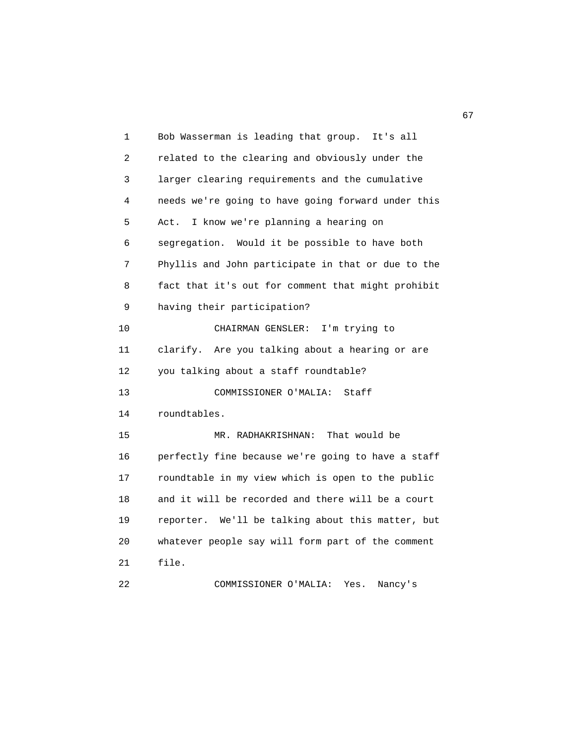| 1  | Bob Wasserman is leading that group.<br>It's all   |
|----|----------------------------------------------------|
| 2  | related to the clearing and obviously under the    |
| 3  | larger clearing requirements and the cumulative    |
| 4  | needs we're going to have going forward under this |
| 5  | I know we're planning a hearing on<br>Act.         |
| 6  | segregation. Would it be possible to have both     |
| 7  | Phyllis and John participate in that or due to the |
| 8  | fact that it's out for comment that might prohibit |
| 9  | having their participation?                        |
| 10 | CHAIRMAN GENSLER:<br>I'm trying to                 |
| 11 | clarify. Are you talking about a hearing or are    |
| 12 | you talking about a staff roundtable?              |
| 13 | Staff<br>COMMISSIONER O'MALIA:                     |
| 14 | roundtables.                                       |
| 15 | That would be<br>MR. RADHAKRISHNAN:                |
| 16 | perfectly fine because we're going to have a staff |
| 17 | roundtable in my view which is open to the public  |
| 18 | and it will be recorded and there will be a court  |
| 19 | reporter. We'll be talking about this matter, but  |
| 20 | whatever people say will form part of the comment  |
| 21 | file.                                              |
| 22 | COMMISSIONER O'MALIA:<br>Yes.<br>Nancy's           |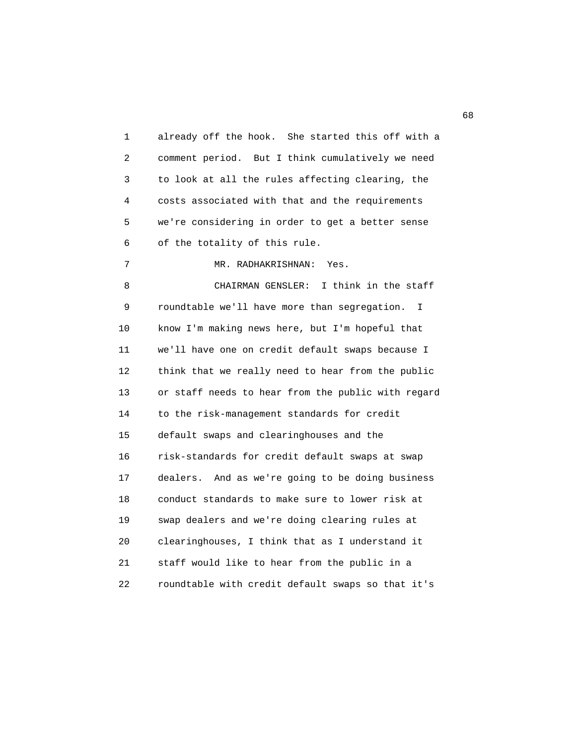1 already off the hook. She started this off with a 2 comment period. But I think cumulatively we need 3 to look at all the rules affecting clearing, the 4 costs associated with that and the requirements 5 we're considering in order to get a better sense 6 of the totality of this rule. 7 MR. RADHAKRISHNAN: Yes. 8 CHAIRMAN GENSLER: I think in the staff 9 roundtable we'll have more than segregation. I 10 know I'm making news here, but I'm hopeful that 11 we'll have one on credit default swaps because I 12 think that we really need to hear from the public 13 or staff needs to hear from the public with regard 14 to the risk-management standards for credit 15 default swaps and clearinghouses and the 16 risk-standards for credit default swaps at swap 17 dealers. And as we're going to be doing business 18 conduct standards to make sure to lower risk at 19 swap dealers and we're doing clearing rules at 20 clearinghouses, I think that as I understand it 21 staff would like to hear from the public in a 22 roundtable with credit default swaps so that it's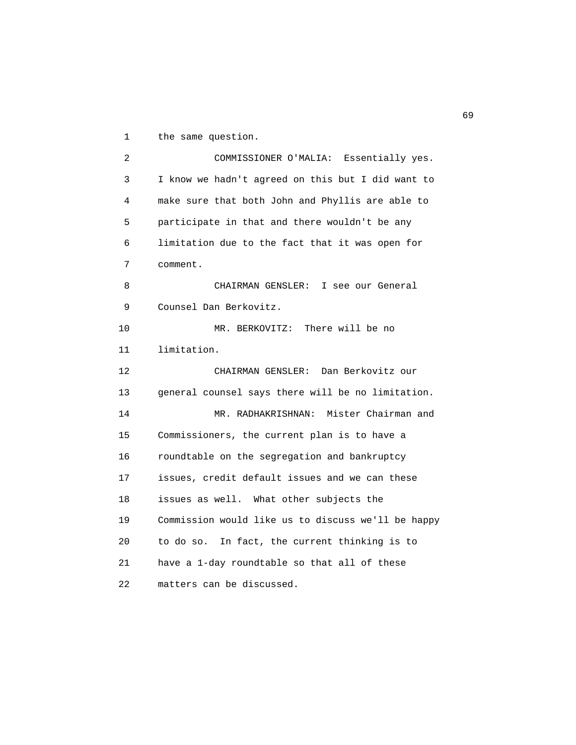1 the same question.

 2 COMMISSIONER O'MALIA: Essentially yes. 3 I know we hadn't agreed on this but I did want to 4 make sure that both John and Phyllis are able to 5 participate in that and there wouldn't be any 6 limitation due to the fact that it was open for 7 comment. 8 CHAIRMAN GENSLER: I see our General 9 Counsel Dan Berkovitz. 10 MR. BERKOVITZ: There will be no 11 limitation. 12 CHAIRMAN GENSLER: Dan Berkovitz our 13 general counsel says there will be no limitation. 14 MR. RADHAKRISHNAN: Mister Chairman and 15 Commissioners, the current plan is to have a 16 roundtable on the segregation and bankruptcy 17 issues, credit default issues and we can these 18 issues as well. What other subjects the 19 Commission would like us to discuss we'll be happy 20 to do so. In fact, the current thinking is to 21 have a 1-day roundtable so that all of these 22 matters can be discussed.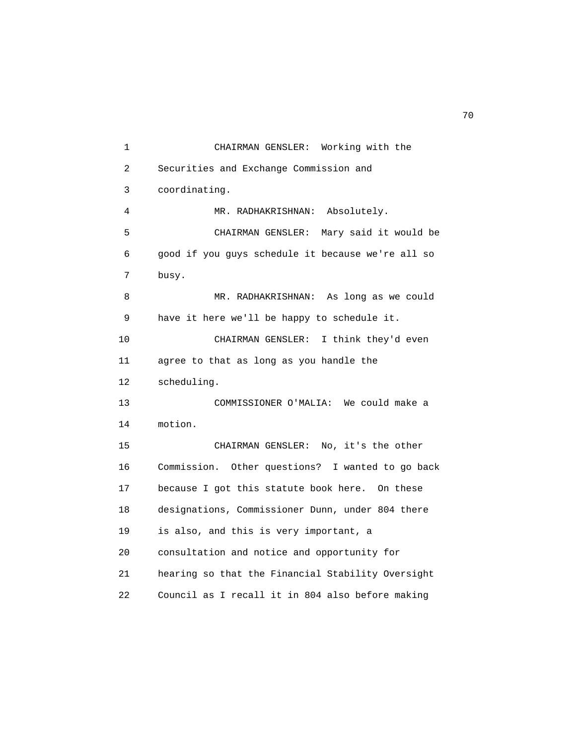1 CHAIRMAN GENSLER: Working with the 2 Securities and Exchange Commission and 3 coordinating. 4 MR. RADHAKRISHNAN: Absolutely. 5 CHAIRMAN GENSLER: Mary said it would be 6 good if you guys schedule it because we're all so 7 busy. 8 MR. RADHAKRISHNAN: As long as we could 9 have it here we'll be happy to schedule it. 10 CHAIRMAN GENSLER: I think they'd even 11 agree to that as long as you handle the 12 scheduling. 13 COMMISSIONER O'MALIA: We could make a 14 motion. 15 CHAIRMAN GENSLER: No, it's the other 16 Commission. Other questions? I wanted to go back 17 because I got this statute book here. On these 18 designations, Commissioner Dunn, under 804 there 19 is also, and this is very important, a 20 consultation and notice and opportunity for 21 hearing so that the Financial Stability Oversight 22 Council as I recall it in 804 also before making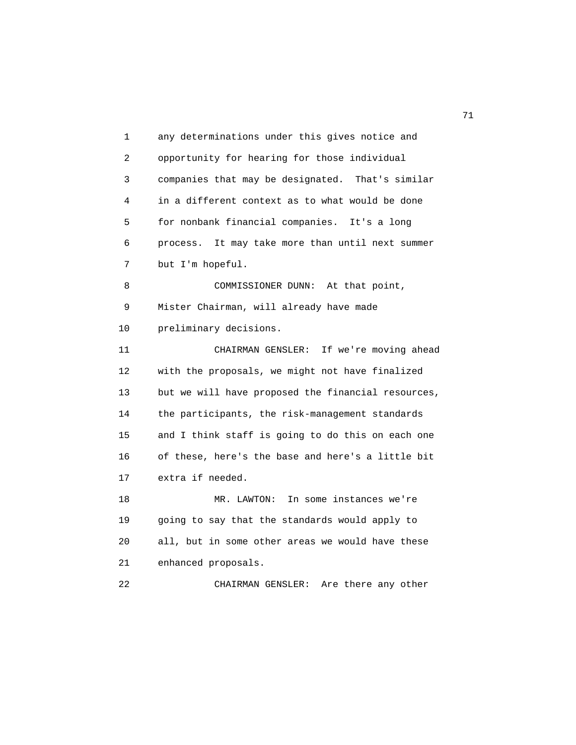1 any determinations under this gives notice and 2 opportunity for hearing for those individual 3 companies that may be designated. That's similar 4 in a different context as to what would be done 5 for nonbank financial companies. It's a long 6 process. It may take more than until next summer 7 but I'm hopeful. 8 COMMISSIONER DUNN: At that point, 9 Mister Chairman, will already have made 10 preliminary decisions. 11 CHAIRMAN GENSLER: If we're moving ahead 12 with the proposals, we might not have finalized 13 but we will have proposed the financial resources, 14 the participants, the risk-management standards 15 and I think staff is going to do this on each one 16 of these, here's the base and here's a little bit 17 extra if needed. 18 MR. LAWTON: In some instances we're 19 going to say that the standards would apply to 20 all, but in some other areas we would have these 21 enhanced proposals. 22 CHAIRMAN GENSLER: Are there any other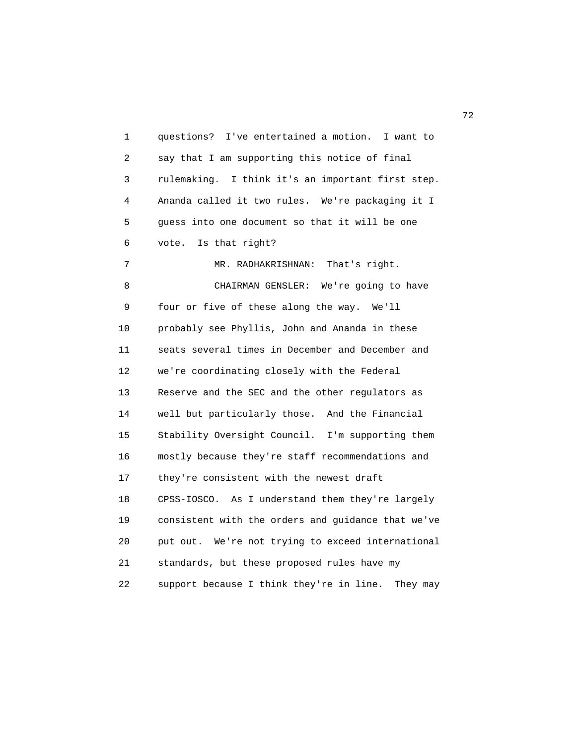1 questions? I've entertained a motion. I want to 2 say that I am supporting this notice of final 3 rulemaking. I think it's an important first step. 4 Ananda called it two rules. We're packaging it I 5 guess into one document so that it will be one 6 vote. Is that right? 7 MR. RADHAKRISHNAN: That's right. 8 CHAIRMAN GENSLER: We're going to have 9 four or five of these along the way. We'll 10 probably see Phyllis, John and Ananda in these 11 seats several times in December and December and 12 we're coordinating closely with the Federal 13 Reserve and the SEC and the other regulators as 14 well but particularly those. And the Financial 15 Stability Oversight Council. I'm supporting them 16 mostly because they're staff recommendations and 17 they're consistent with the newest draft 18 CPSS-IOSCO. As I understand them they're largely 19 consistent with the orders and guidance that we've 20 put out. We're not trying to exceed international 21 standards, but these proposed rules have my 22 support because I think they're in line. They may

последници производите на 1922 године в 1922 године в 1922 године в 1922 године в 1922 године в 1922 године в <br>В 1922 године в 1922 године в 1922 године в 1922 године в 1922 године в 1922 године в 1922 године в 1922 годин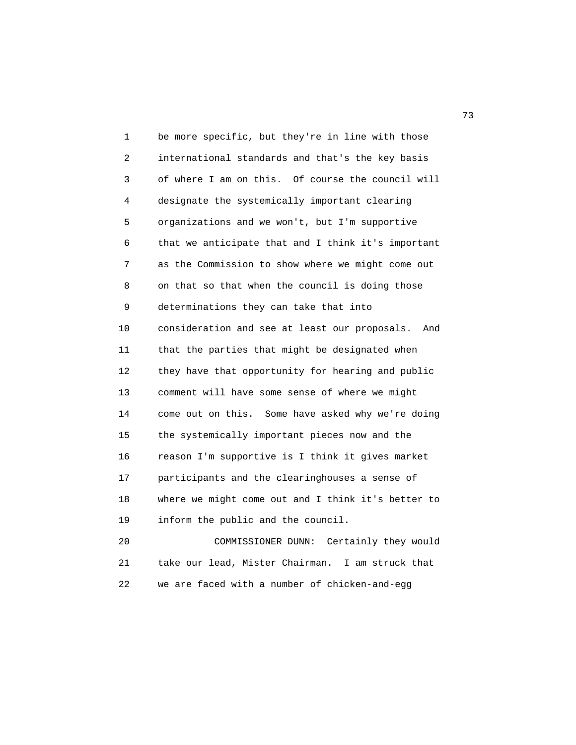1 be more specific, but they're in line with those 2 international standards and that's the key basis 3 of where I am on this. Of course the council will 4 designate the systemically important clearing 5 organizations and we won't, but I'm supportive 6 that we anticipate that and I think it's important 7 as the Commission to show where we might come out 8 on that so that when the council is doing those 9 determinations they can take that into 10 consideration and see at least our proposals. And 11 that the parties that might be designated when 12 they have that opportunity for hearing and public 13 comment will have some sense of where we might 14 come out on this. Some have asked why we're doing 15 the systemically important pieces now and the 16 reason I'm supportive is I think it gives market 17 participants and the clearinghouses a sense of 18 where we might come out and I think it's better to 19 inform the public and the council. 20 COMMISSIONER DUNN: Certainly they would

 21 take our lead, Mister Chairman. I am struck that 22 we are faced with a number of chicken-and-egg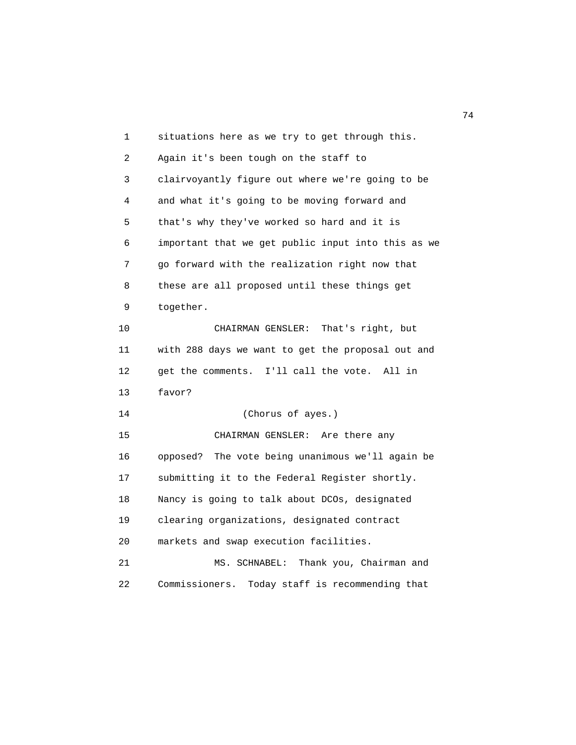1 situations here as we try to get through this. 2 Again it's been tough on the staff to 3 clairvoyantly figure out where we're going to be 4 and what it's going to be moving forward and 5 that's why they've worked so hard and it is 6 important that we get public input into this as we 7 go forward with the realization right now that 8 these are all proposed until these things get 9 together. 10 CHAIRMAN GENSLER: That's right, but 11 with 288 days we want to get the proposal out and 12 get the comments. I'll call the vote. All in 13 favor? 14 (Chorus of ayes.) 15 CHAIRMAN GENSLER: Are there any 16 opposed? The vote being unanimous we'll again be 17 submitting it to the Federal Register shortly. 18 Nancy is going to talk about DCOs, designated 19 clearing organizations, designated contract 20 markets and swap execution facilities. 21 MS. SCHNABEL: Thank you, Chairman and 22 Commissioners. Today staff is recommending that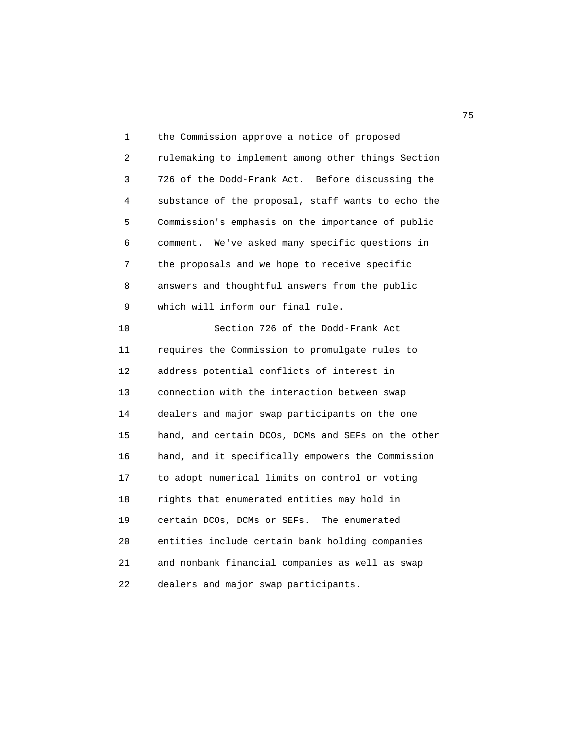1 the Commission approve a notice of proposed 2 rulemaking to implement among other things Section 3 726 of the Dodd-Frank Act. Before discussing the 4 substance of the proposal, staff wants to echo the 5 Commission's emphasis on the importance of public 6 comment. We've asked many specific questions in 7 the proposals and we hope to receive specific 8 answers and thoughtful answers from the public 9 which will inform our final rule. 10 Section 726 of the Dodd-Frank Act 11 requires the Commission to promulgate rules to 12 address potential conflicts of interest in 13 connection with the interaction between swap 14 dealers and major swap participants on the one 15 hand, and certain DCOs, DCMs and SEFs on the other 16 hand, and it specifically empowers the Commission 17 to adopt numerical limits on control or voting 18 rights that enumerated entities may hold in 19 certain DCOs, DCMs or SEFs. The enumerated 20 entities include certain bank holding companies 21 and nonbank financial companies as well as swap 22 dealers and major swap participants.

na matsay na katalog as na kasang na mga 1950. Ang isang mga 1950 na mga 1950 na mga 1950 na mga 1950 na mga 1<br>Mga 1950 na mga 1950 na mga 1950 na mga 1950 na mga 1950 na mga 1950 na mga 1950 na mga 1950 na mga 1950 na mg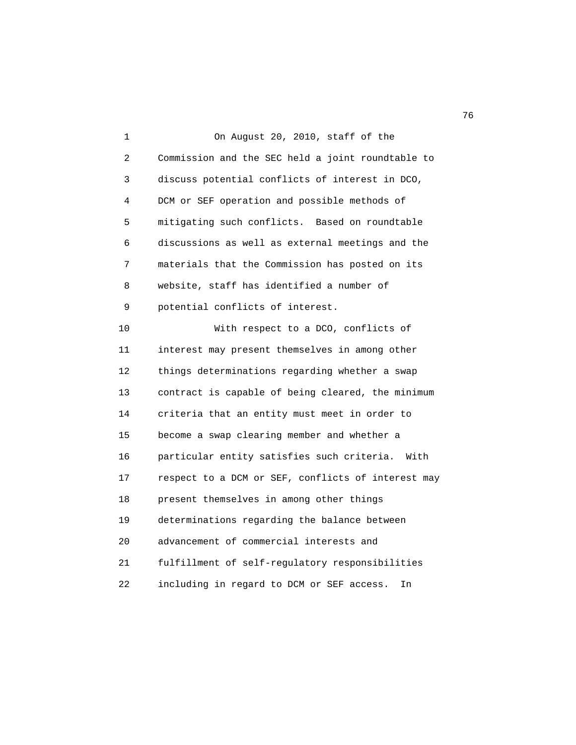1 On August 20, 2010, staff of the 2 Commission and the SEC held a joint roundtable to 3 discuss potential conflicts of interest in DCO, 4 DCM or SEF operation and possible methods of 5 mitigating such conflicts. Based on roundtable 6 discussions as well as external meetings and the 7 materials that the Commission has posted on its 8 website, staff has identified a number of 9 potential conflicts of interest. 10 With respect to a DCO, conflicts of 11 interest may present themselves in among other 12 things determinations regarding whether a swap 13 contract is capable of being cleared, the minimum 14 criteria that an entity must meet in order to 15 become a swap clearing member and whether a 16 particular entity satisfies such criteria. With 17 respect to a DCM or SEF, conflicts of interest may 18 present themselves in among other things 19 determinations regarding the balance between 20 advancement of commercial interests and 21 fulfillment of self-regulatory responsibilities 22 including in regard to DCM or SEF access. In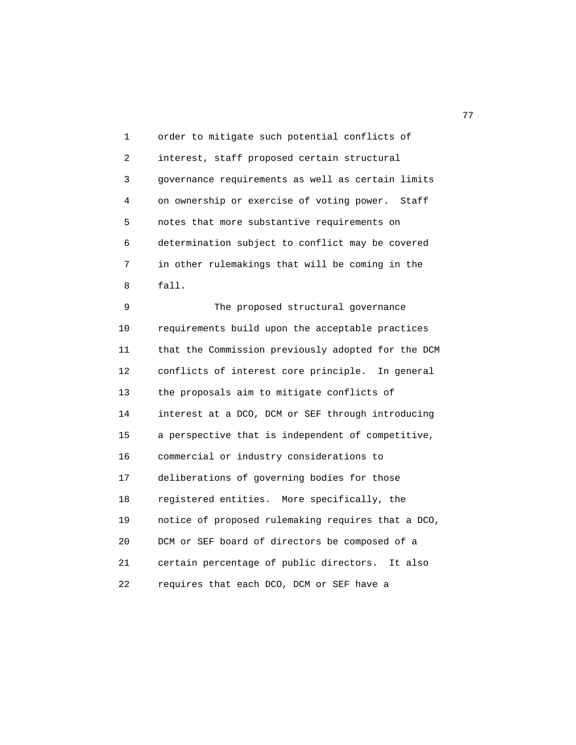1 order to mitigate such potential conflicts of 2 interest, staff proposed certain structural 3 governance requirements as well as certain limits 4 on ownership or exercise of voting power. Staff 5 notes that more substantive requirements on 6 determination subject to conflict may be covered 7 in other rulemakings that will be coming in the 8 fall.

 9 The proposed structural governance 10 requirements build upon the acceptable practices 11 that the Commission previously adopted for the DCM 12 conflicts of interest core principle. In general 13 the proposals aim to mitigate conflicts of 14 interest at a DCO, DCM or SEF through introducing 15 a perspective that is independent of competitive, 16 commercial or industry considerations to 17 deliberations of governing bodies for those 18 registered entities. More specifically, the 19 notice of proposed rulemaking requires that a DCO, 20 DCM or SEF board of directors be composed of a 21 certain percentage of public directors. It also 22 requires that each DCO, DCM or SEF have a

ли в село в село во село во село во село во село во село во село во село во село во село во село во село во се<br>Постојата на селото на селото на селото на селото на селото на селото на селото на селото на селото на селото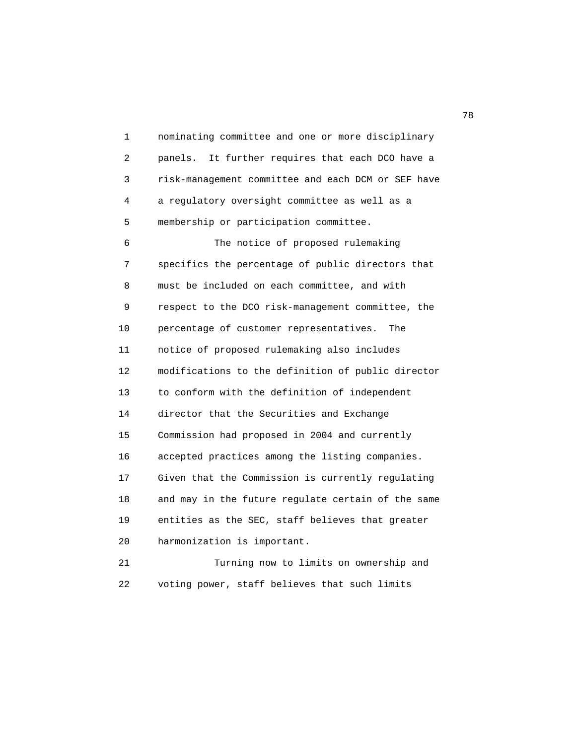1 nominating committee and one or more disciplinary 2 panels. It further requires that each DCO have a 3 risk-management committee and each DCM or SEF have 4 a regulatory oversight committee as well as a 5 membership or participation committee.

 6 The notice of proposed rulemaking 7 specifics the percentage of public directors that 8 must be included on each committee, and with 9 respect to the DCO risk-management committee, the 10 percentage of customer representatives. The 11 notice of proposed rulemaking also includes 12 modifications to the definition of public director 13 to conform with the definition of independent 14 director that the Securities and Exchange 15 Commission had proposed in 2004 and currently 16 accepted practices among the listing companies. 17 Given that the Commission is currently regulating 18 and may in the future regulate certain of the same 19 entities as the SEC, staff believes that greater 20 harmonization is important. 21 Turning now to limits on ownership and

22 voting power, staff believes that such limits

n and the state of the state of the state of the state of the state of the state of the state of the state of the state of the state of the state of the state of the state of the state of the state of the state of the stat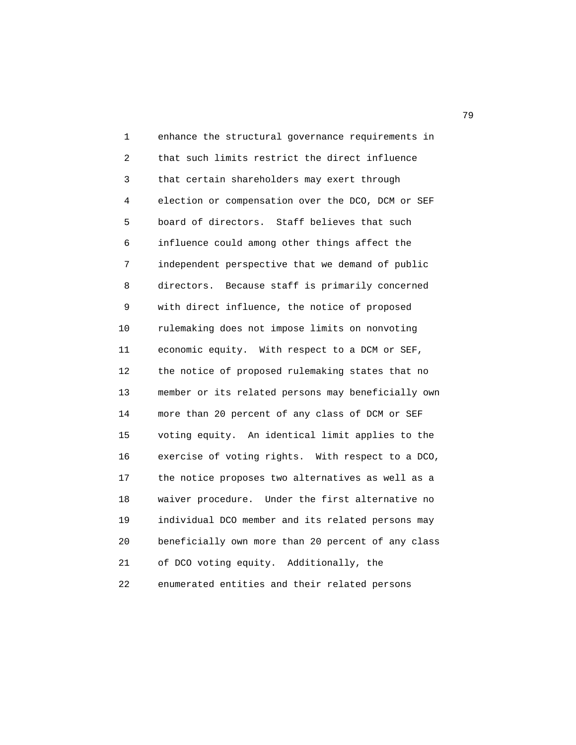1 enhance the structural governance requirements in 2 that such limits restrict the direct influence 3 that certain shareholders may exert through 4 election or compensation over the DCO, DCM or SEF 5 board of directors. Staff believes that such 6 influence could among other things affect the 7 independent perspective that we demand of public 8 directors. Because staff is primarily concerned 9 with direct influence, the notice of proposed 10 rulemaking does not impose limits on nonvoting 11 economic equity. With respect to a DCM or SEF, 12 the notice of proposed rulemaking states that no 13 member or its related persons may beneficially own 14 more than 20 percent of any class of DCM or SEF 15 voting equity. An identical limit applies to the 16 exercise of voting rights. With respect to a DCO, 17 the notice proposes two alternatives as well as a 18 waiver procedure. Under the first alternative no 19 individual DCO member and its related persons may 20 beneficially own more than 20 percent of any class 21 of DCO voting equity. Additionally, the 22 enumerated entities and their related persons

ли в село в село во село во село во село во село во село во село во село во село во село во село во село во се<br>Постојата село во село во село во село во село во село во село во село во село во село во село во село во село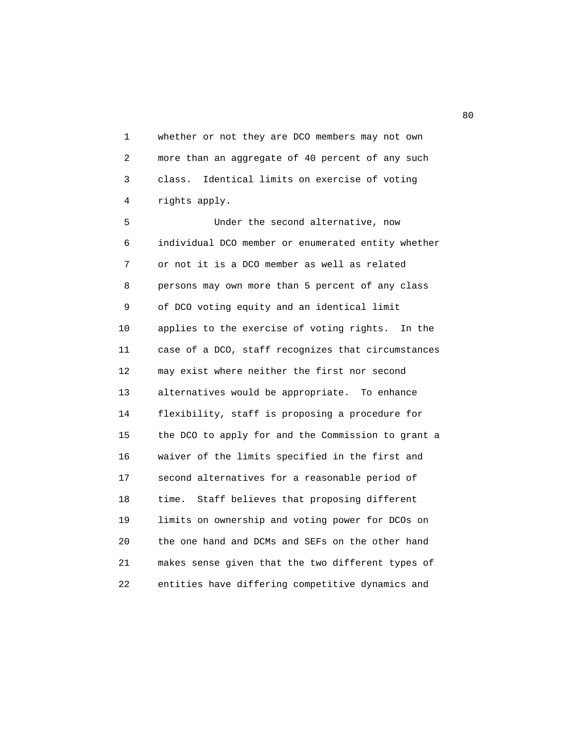1 whether or not they are DCO members may not own 2 more than an aggregate of 40 percent of any such 3 class. Identical limits on exercise of voting 4 rights apply.

 5 Under the second alternative, now 6 individual DCO member or enumerated entity whether 7 or not it is a DCO member as well as related 8 persons may own more than 5 percent of any class 9 of DCO voting equity and an identical limit 10 applies to the exercise of voting rights. In the 11 case of a DCO, staff recognizes that circumstances 12 may exist where neither the first nor second 13 alternatives would be appropriate. To enhance 14 flexibility, staff is proposing a procedure for 15 the DCO to apply for and the Commission to grant a 16 waiver of the limits specified in the first and 17 second alternatives for a reasonable period of 18 time. Staff believes that proposing different 19 limits on ownership and voting power for DCOs on 20 the one hand and DCMs and SEFs on the other hand 21 makes sense given that the two different types of 22 entities have differing competitive dynamics and

en de la construction de la construction de la construction de la construction de la construction de la constr<br>De la construction de la construction de la construction de la construction de la construction de la construct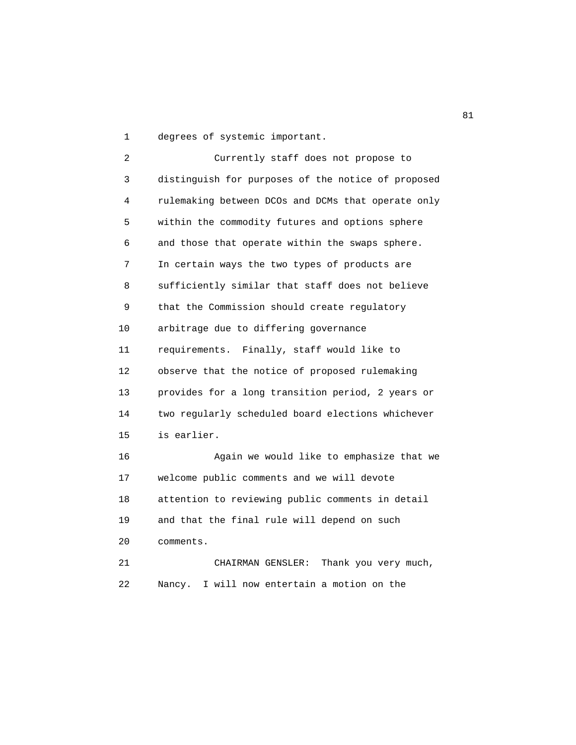1 degrees of systemic important.

 2 Currently staff does not propose to 3 distinguish for purposes of the notice of proposed 4 rulemaking between DCOs and DCMs that operate only 5 within the commodity futures and options sphere 6 and those that operate within the swaps sphere. 7 In certain ways the two types of products are 8 sufficiently similar that staff does not believe 9 that the Commission should create regulatory 10 arbitrage due to differing governance 11 requirements. Finally, staff would like to 12 observe that the notice of proposed rulemaking 13 provides for a long transition period, 2 years or 14 two regularly scheduled board elections whichever 15 is earlier. 16 Again we would like to emphasize that we 17 welcome public comments and we will devote 18 attention to reviewing public comments in detail 19 and that the final rule will depend on such 20 comments. 21 CHAIRMAN GENSLER: Thank you very much, 22 Nancy. I will now entertain a motion on the

experience of the state of the state of the state of the state of the state of the state of the state of the state of the state of the state of the state of the state of the state of the state of the state of the state of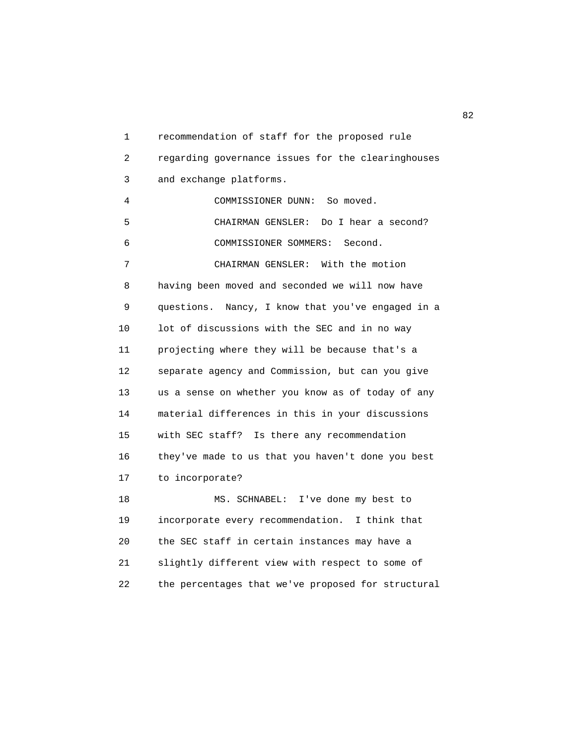1 recommendation of staff for the proposed rule 2 regarding governance issues for the clearinghouses 3 and exchange platforms. 4 COMMISSIONER DUNN: So moved. 5 CHAIRMAN GENSLER: Do I hear a second? 6 COMMISSIONER SOMMERS: Second. 7 CHAIRMAN GENSLER: With the motion 8 having been moved and seconded we will now have 9 questions. Nancy, I know that you've engaged in a 10 lot of discussions with the SEC and in no way 11 projecting where they will be because that's a 12 separate agency and Commission, but can you give 13 us a sense on whether you know as of today of any 14 material differences in this in your discussions 15 with SEC staff? Is there any recommendation 16 they've made to us that you haven't done you best 17 to incorporate? 18 MS. SCHNABEL: I've done my best to 19 incorporate every recommendation. I think that 20 the SEC staff in certain instances may have a 21 slightly different view with respect to some of

22 the percentages that we've proposed for structural

experience of the state of the state of the state of the state of the state of the state of the state of the s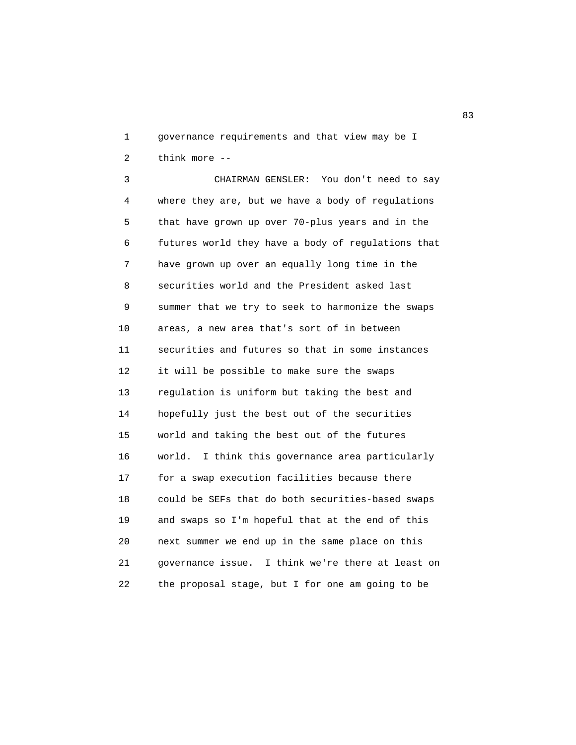1 governance requirements and that view may be I 2 think more --

 3 CHAIRMAN GENSLER: You don't need to say 4 where they are, but we have a body of regulations 5 that have grown up over 70-plus years and in the 6 futures world they have a body of regulations that 7 have grown up over an equally long time in the 8 securities world and the President asked last 9 summer that we try to seek to harmonize the swaps 10 areas, a new area that's sort of in between 11 securities and futures so that in some instances 12 it will be possible to make sure the swaps 13 regulation is uniform but taking the best and 14 hopefully just the best out of the securities 15 world and taking the best out of the futures 16 world. I think this governance area particularly 17 for a swap execution facilities because there 18 could be SEFs that do both securities-based swaps 19 and swaps so I'm hopeful that at the end of this 20 next summer we end up in the same place on this 21 governance issue. I think we're there at least on 22 the proposal stage, but I for one am going to be

experience of the contract of the contract of the contract of the contract of the contract of the contract of the contract of the contract of the contract of the contract of the contract of the contract of the contract of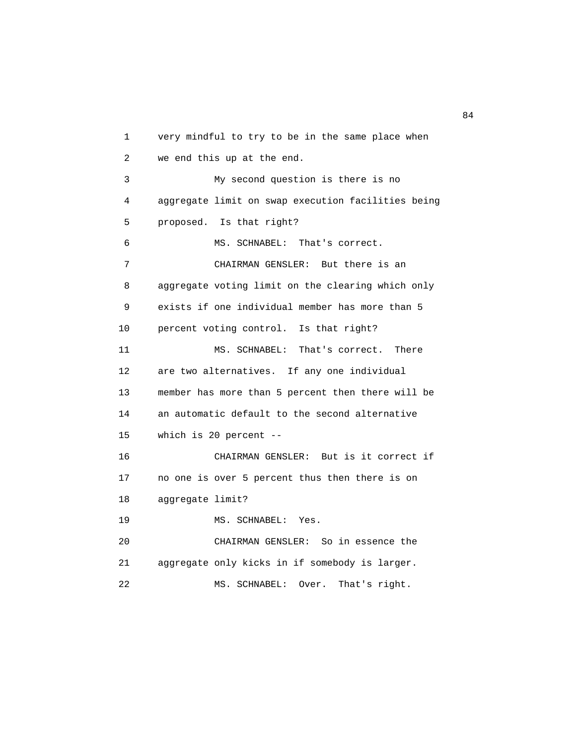1 very mindful to try to be in the same place when 2 we end this up at the end. 3 My second question is there is no 4 aggregate limit on swap execution facilities being 5 proposed. Is that right? 6 MS. SCHNABEL: That's correct. 7 CHAIRMAN GENSLER: But there is an 8 aggregate voting limit on the clearing which only 9 exists if one individual member has more than 5 10 percent voting control. Is that right? 11 MS. SCHNABEL: That's correct. There 12 are two alternatives. If any one individual 13 member has more than 5 percent then there will be 14 an automatic default to the second alternative 15 which is 20 percent -- 16 CHAIRMAN GENSLER: But is it correct if 17 no one is over 5 percent thus then there is on 18 aggregate limit? 19 MS. SCHNABEL: Yes. 20 CHAIRMAN GENSLER: So in essence the 21 aggregate only kicks in if somebody is larger. 22 MS. SCHNABEL: Over. That's right.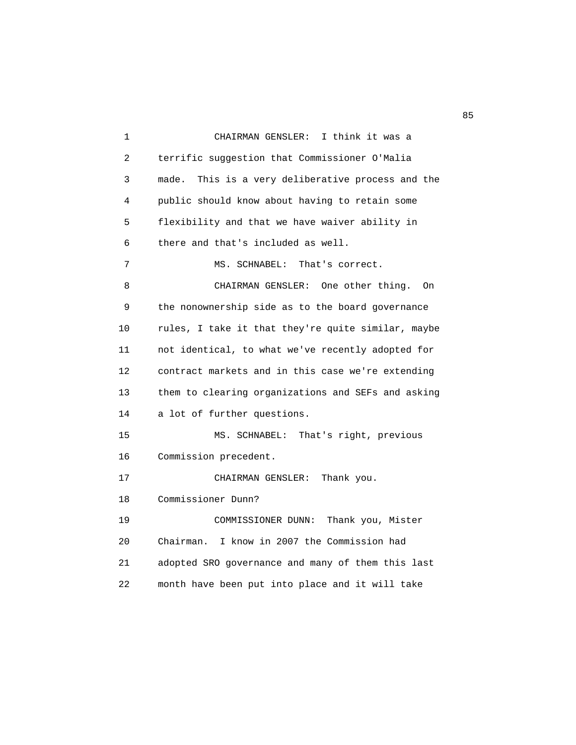1 CHAIRMAN GENSLER: I think it was a 2 terrific suggestion that Commissioner O'Malia 3 made. This is a very deliberative process and the 4 public should know about having to retain some 5 flexibility and that we have waiver ability in 6 there and that's included as well. 7 MS. SCHNABEL: That's correct. 8 CHAIRMAN GENSLER: One other thing. On 9 the nonownership side as to the board governance 10 rules, I take it that they're quite similar, maybe 11 not identical, to what we've recently adopted for 12 contract markets and in this case we're extending 13 them to clearing organizations and SEFs and asking 14 a lot of further questions. 15 MS. SCHNABEL: That's right, previous 16 Commission precedent. 17 CHAIRMAN GENSLER: Thank you. 18 Commissioner Dunn? 19 COMMISSIONER DUNN: Thank you, Mister 20 Chairman. I know in 2007 the Commission had 21 adopted SRO governance and many of them this last 22 month have been put into place and it will take

en andere de la constantin de la constantin de la constantin de la constantin de la constantin de la constantin<br>En 1930, en la constantin de la constantin de la constantin de la constantin de la constantin de la constantin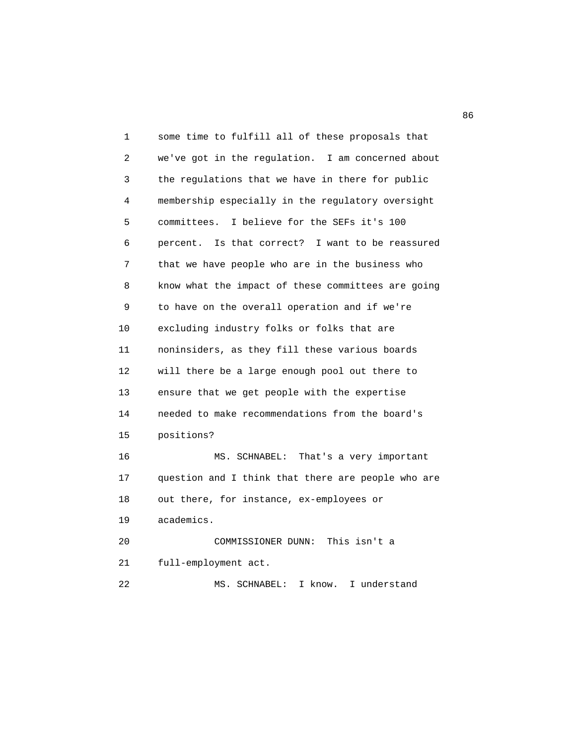1 some time to fulfill all of these proposals that 2 we've got in the regulation. I am concerned about 3 the regulations that we have in there for public 4 membership especially in the regulatory oversight 5 committees. I believe for the SEFs it's 100 6 percent. Is that correct? I want to be reassured 7 that we have people who are in the business who 8 know what the impact of these committees are going 9 to have on the overall operation and if we're 10 excluding industry folks or folks that are 11 noninsiders, as they fill these various boards 12 will there be a large enough pool out there to 13 ensure that we get people with the expertise 14 needed to make recommendations from the board's 15 positions? 16 MS. SCHNABEL: That's a very important 17 question and I think that there are people who are 18 out there, for instance, ex-employees or 19 academics. 20 COMMISSIONER DUNN: This isn't a 21 full-employment act. 22 MS. SCHNABEL: I know. I understand

en de la construcción de la construcción de la construcción de la construcción de la construcción de la construcción de la construcción de la construcción de la construcción de la construcción de la construcción de la cons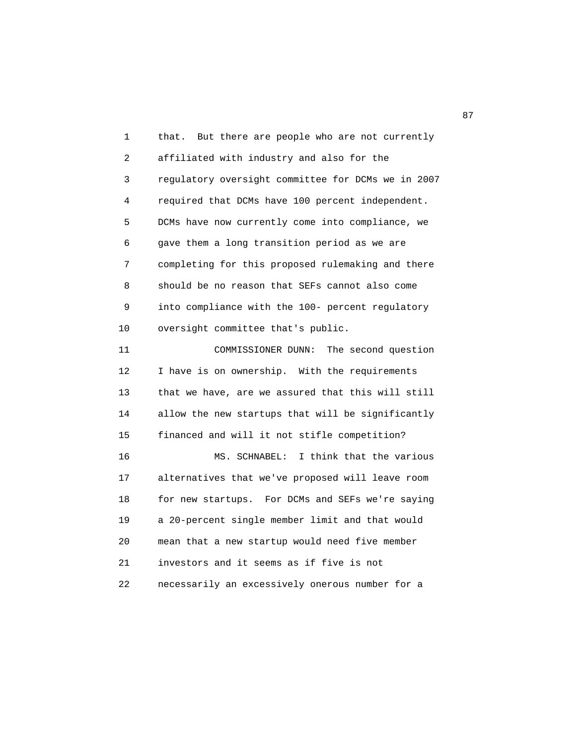1 that. But there are people who are not currently 2 affiliated with industry and also for the 3 regulatory oversight committee for DCMs we in 2007 4 required that DCMs have 100 percent independent. 5 DCMs have now currently come into compliance, we 6 gave them a long transition period as we are 7 completing for this proposed rulemaking and there 8 should be no reason that SEFs cannot also come 9 into compliance with the 100- percent regulatory 10 oversight committee that's public. 11 COMMISSIONER DUNN: The second question 12 I have is on ownership. With the requirements 13 that we have, are we assured that this will still 14 allow the new startups that will be significantly 15 financed and will it not stifle competition? 16 MS. SCHNABEL: I think that the various 17 alternatives that we've proposed will leave room 18 for new startups. For DCMs and SEFs we're saying 19 a 20-percent single member limit and that would 20 mean that a new startup would need five member 21 investors and it seems as if five is not 22 necessarily an excessively onerous number for a

87 and 2012 and 2012 and 2012 and 2012 and 2012 and 2012 and 2012 and 2012 and 2012 and 2012 and 201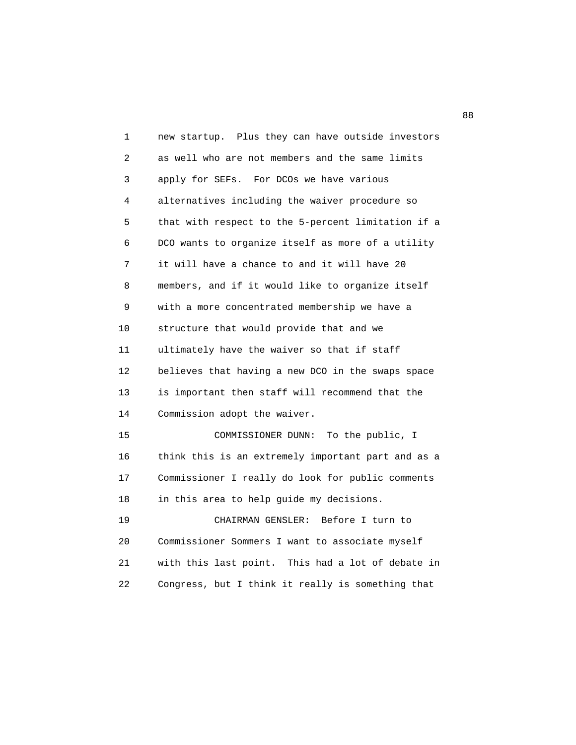| 1  | new startup. Plus they can have outside investors  |
|----|----------------------------------------------------|
| 2  | as well who are not members and the same limits    |
| 3  | apply for SEFs. For DCOs we have various           |
| 4  | alternatives including the waiver procedure so     |
| 5  | that with respect to the 5-percent limitation if a |
| 6  | DCO wants to organize itself as more of a utility  |
| 7  | it will have a chance to and it will have 20       |
| 8  | members, and if it would like to organize itself   |
| 9  | with a more concentrated membership we have a      |
| 10 | structure that would provide that and we           |
| 11 | ultimately have the waiver so that if staff        |
| 12 | believes that having a new DCO in the swaps space  |
| 13 | is important then staff will recommend that the    |
| 14 | Commission adopt the waiver.                       |
| 15 | COMMISSIONER DUNN:<br>To the public, I             |
| 16 | think this is an extremely important part and as a |
| 17 | Commissioner I really do look for public comments  |
| 18 | in this area to help guide my decisions.           |
| 19 | CHAIRMAN GENSLER:<br>Before I turn to              |
| 20 | Commissioner Sommers I want to associate myself    |
| 21 | with this last point. This had a lot of debate in  |
| 22 | Congress, but I think it really is something that  |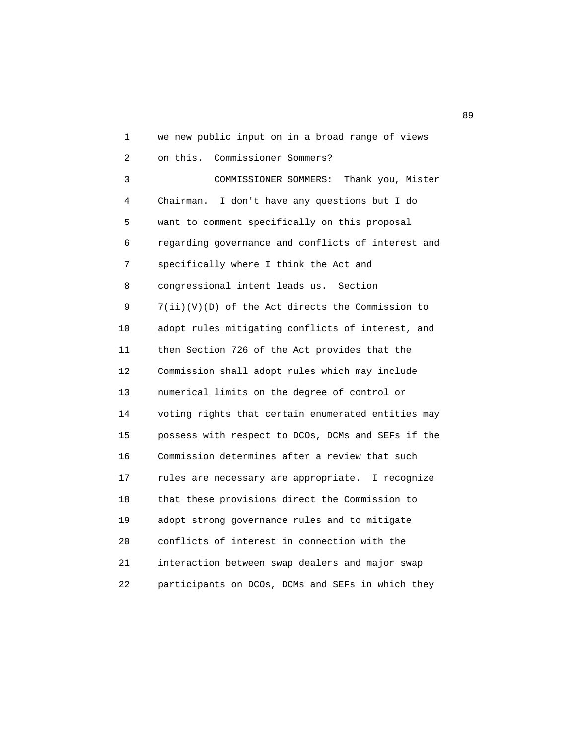1 we new public input on in a broad range of views 2 on this. Commissioner Sommers? 3 COMMISSIONER SOMMERS: Thank you, Mister 4 Chairman. I don't have any questions but I do 5 want to comment specifically on this proposal 6 regarding governance and conflicts of interest and 7 specifically where I think the Act and 8 congressional intent leads us. Section 9 7(ii)(V)(D) of the Act directs the Commission to 10 adopt rules mitigating conflicts of interest, and 11 then Section 726 of the Act provides that the 12 Commission shall adopt rules which may include 13 numerical limits on the degree of control or 14 voting rights that certain enumerated entities may 15 possess with respect to DCOs, DCMs and SEFs if the 16 Commission determines after a review that such 17 rules are necessary are appropriate. I recognize 18 that these provisions direct the Commission to 19 adopt strong governance rules and to mitigate 20 conflicts of interest in connection with the 21 interaction between swap dealers and major swap 22 participants on DCOs, DCMs and SEFs in which they

en de la construction de la construction de la construction de la construction de la construction de la constr<br>De la construction de la construction de la construction de la construction de la construction de la construct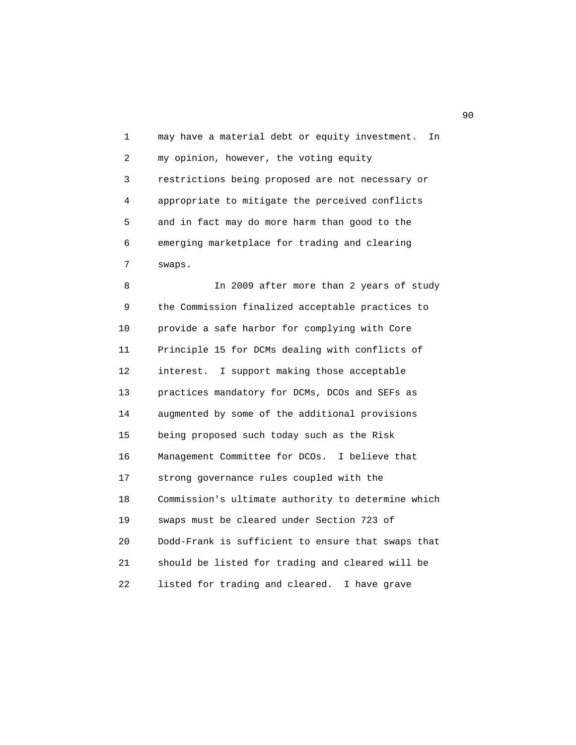1 may have a material debt or equity investment. In 2 my opinion, however, the voting equity 3 restrictions being proposed are not necessary or 4 appropriate to mitigate the perceived conflicts 5 and in fact may do more harm than good to the 6 emerging marketplace for trading and clearing 7 swaps.

 8 In 2009 after more than 2 years of study 9 the Commission finalized acceptable practices to 10 provide a safe harbor for complying with Core 11 Principle 15 for DCMs dealing with conflicts of 12 interest. I support making those acceptable 13 practices mandatory for DCMs, DCOs and SEFs as 14 augmented by some of the additional provisions 15 being proposed such today such as the Risk 16 Management Committee for DCOs. I believe that 17 strong governance rules coupled with the 18 Commission's ultimate authority to determine which 19 swaps must be cleared under Section 723 of 20 Dodd-Frank is sufficient to ensure that swaps that 21 should be listed for trading and cleared will be 22 listed for trading and cleared. I have grave

experience of the contract of the contract of the contract of the contract of the contract of the contract of the contract of the contract of the contract of the contract of the contract of the contract of the contract of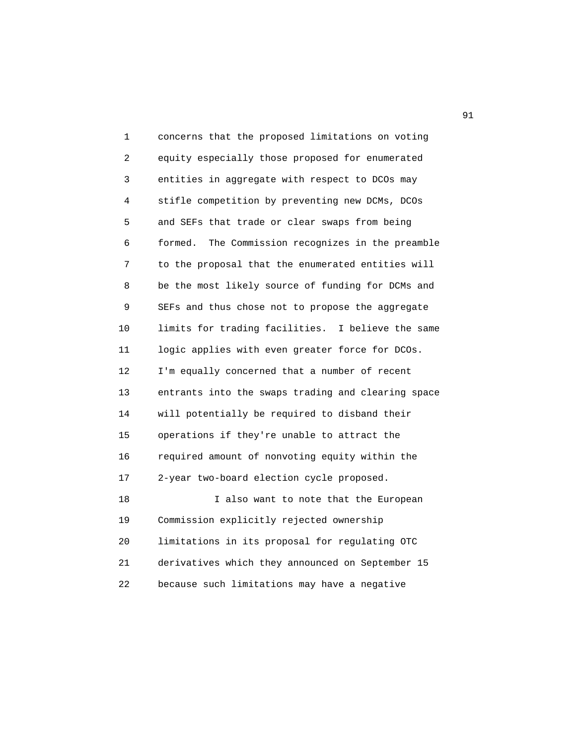| 1  | concerns that the proposed limitations on voting     |
|----|------------------------------------------------------|
| 2  | equity especially those proposed for enumerated      |
| 3  | entities in aggregate with respect to DCOs may       |
| 4  | stifle competition by preventing new DCMs, DCOs      |
| 5  | and SEFs that trade or clear swaps from being        |
| 6  | formed.<br>The Commission recognizes in the preamble |
| 7  | to the proposal that the enumerated entities will    |
| 8  | be the most likely source of funding for DCMs and    |
| 9  | SEFs and thus chose not to propose the aggregate     |
| 10 | limits for trading facilities. I believe the same    |
| 11 | logic applies with even greater force for DCOs.      |
| 12 | I'm equally concerned that a number of recent        |
| 13 | entrants into the swaps trading and clearing space   |
| 14 | will potentially be required to disband their        |
| 15 | operations if they're unable to attract the          |
| 16 | required amount of nonvoting equity within the       |
| 17 | 2-year two-board election cycle proposed.            |
| 18 | I also want to note that the European                |
| 19 | Commission explicitly rejected ownership             |
| 20 | limitations in its proposal for regulating OTC       |
| 21 | derivatives which they announced on September 15     |
| 22 | because such limitations may have a negative         |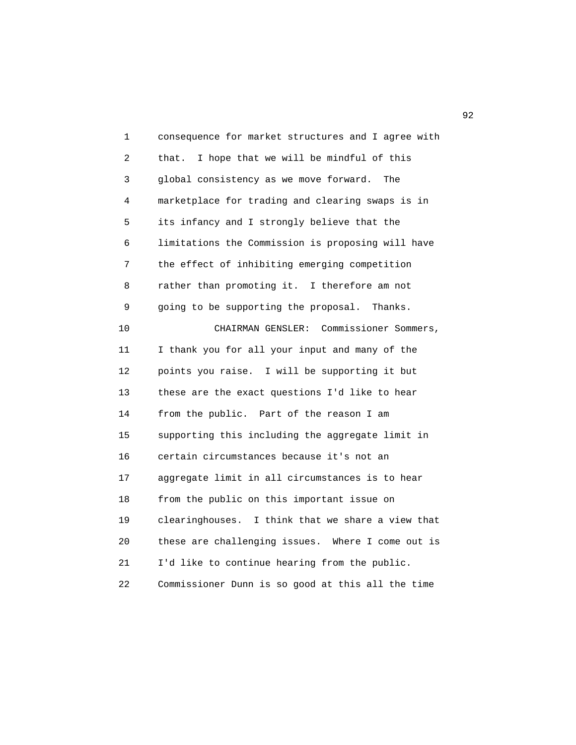1 consequence for market structures and I agree with 2 that. I hope that we will be mindful of this 3 global consistency as we move forward. The 4 marketplace for trading and clearing swaps is in 5 its infancy and I strongly believe that the 6 limitations the Commission is proposing will have 7 the effect of inhibiting emerging competition 8 rather than promoting it. I therefore am not 9 going to be supporting the proposal. Thanks. 10 CHAIRMAN GENSLER: Commissioner Sommers, 11 I thank you for all your input and many of the 12 points you raise. I will be supporting it but 13 these are the exact questions I'd like to hear 14 from the public. Part of the reason I am 15 supporting this including the aggregate limit in 16 certain circumstances because it's not an 17 aggregate limit in all circumstances is to hear 18 from the public on this important issue on 19 clearinghouses. I think that we share a view that 20 these are challenging issues. Where I come out is 21 I'd like to continue hearing from the public. 22 Commissioner Dunn is so good at this all the time

 $\overline{92}$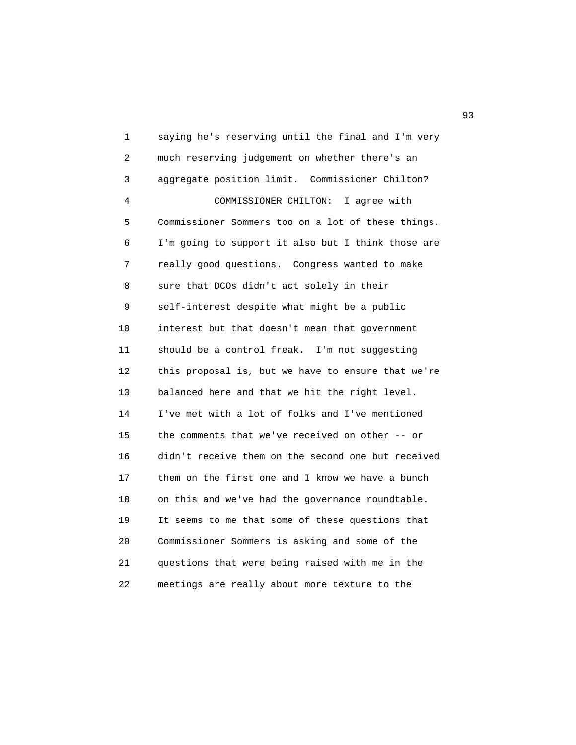1 saying he's reserving until the final and I'm very 2 much reserving judgement on whether there's an 3 aggregate position limit. Commissioner Chilton? 4 COMMISSIONER CHILTON: I agree with 5 Commissioner Sommers too on a lot of these things. 6 I'm going to support it also but I think those are 7 really good questions. Congress wanted to make 8 sure that DCOs didn't act solely in their 9 self-interest despite what might be a public 10 interest but that doesn't mean that government 11 should be a control freak. I'm not suggesting 12 this proposal is, but we have to ensure that we're 13 balanced here and that we hit the right level. 14 I've met with a lot of folks and I've mentioned 15 the comments that we've received on other -- or 16 didn't receive them on the second one but received 17 them on the first one and I know we have a bunch 18 on this and we've had the governance roundtable. 19 It seems to me that some of these questions that 20 Commissioner Sommers is asking and some of the 21 questions that were being raised with me in the 22 meetings are really about more texture to the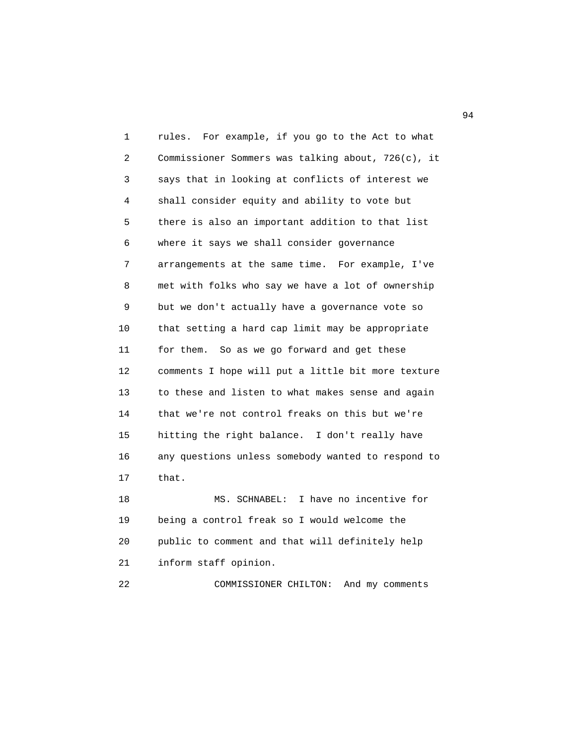1 rules. For example, if you go to the Act to what 2 Commissioner Sommers was talking about, 726(c), it 3 says that in looking at conflicts of interest we 4 shall consider equity and ability to vote but 5 there is also an important addition to that list 6 where it says we shall consider governance 7 arrangements at the same time. For example, I've 8 met with folks who say we have a lot of ownership 9 but we don't actually have a governance vote so 10 that setting a hard cap limit may be appropriate 11 for them. So as we go forward and get these 12 comments I hope will put a little bit more texture 13 to these and listen to what makes sense and again 14 that we're not control freaks on this but we're 15 hitting the right balance. I don't really have 16 any questions unless somebody wanted to respond to 17 that. 18 MS. SCHNABEL: I have no incentive for 19 being a control freak so I would welcome the 20 public to comment and that will definitely help

21 inform staff opinion.

22 COMMISSIONER CHILTON: And my comments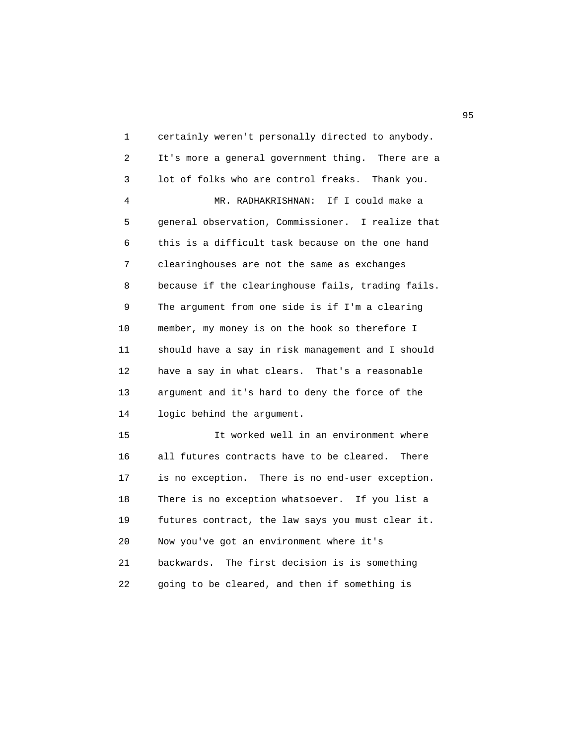1 certainly weren't personally directed to anybody. 2 It's more a general government thing. There are a 3 lot of folks who are control freaks. Thank you. 4 MR. RADHAKRISHNAN: If I could make a 5 general observation, Commissioner. I realize that 6 this is a difficult task because on the one hand 7 clearinghouses are not the same as exchanges 8 because if the clearinghouse fails, trading fails. 9 The argument from one side is if I'm a clearing 10 member, my money is on the hook so therefore I 11 should have a say in risk management and I should 12 have a say in what clears. That's a reasonable 13 argument and it's hard to deny the force of the 14 logic behind the argument. 15 It worked well in an environment where 16 all futures contracts have to be cleared. There 17 is no exception. There is no end-user exception. 18 There is no exception whatsoever. If you list a 19 futures contract, the law says you must clear it. 20 Now you've got an environment where it's 21 backwards. The first decision is is something 22 going to be cleared, and then if something is

experience of the contract of the contract of the contract of the contract of the contract of the contract of the contract of the contract of the contract of the contract of the contract of the contract of the contract of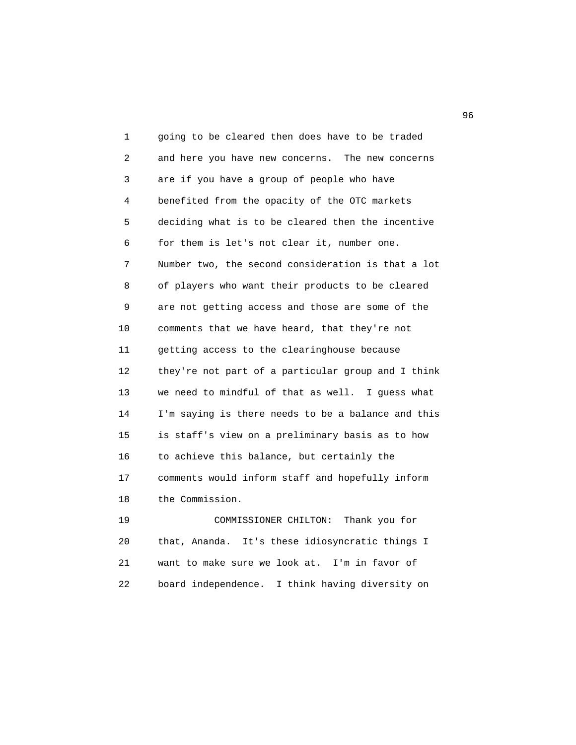1 going to be cleared then does have to be traded 2 and here you have new concerns. The new concerns 3 are if you have a group of people who have 4 benefited from the opacity of the OTC markets 5 deciding what is to be cleared then the incentive 6 for them is let's not clear it, number one. 7 Number two, the second consideration is that a lot 8 of players who want their products to be cleared 9 are not getting access and those are some of the 10 comments that we have heard, that they're not 11 getting access to the clearinghouse because 12 they're not part of a particular group and I think 13 we need to mindful of that as well. I guess what 14 I'm saying is there needs to be a balance and this 15 is staff's view on a preliminary basis as to how 16 to achieve this balance, but certainly the 17 comments would inform staff and hopefully inform 18 the Commission. 19 COMMISSIONER CHILTON: Thank you for

 20 that, Ananda. It's these idiosyncratic things I 21 want to make sure we look at. I'm in favor of 22 board independence. I think having diversity on

 $\sim$  96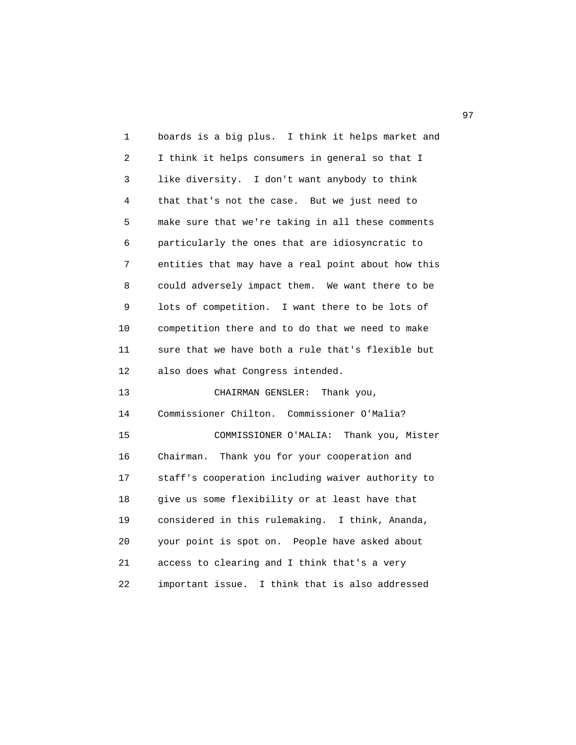| 1  | boards is a big plus. I think it helps market and  |
|----|----------------------------------------------------|
| 2  | I think it helps consumers in general so that I    |
| 3  | like diversity. I don't want anybody to think      |
| 4  | that that's not the case. But we just need to      |
| 5  | make sure that we're taking in all these comments  |
| 6  | particularly the ones that are idiosyncratic to    |
| 7  | entities that may have a real point about how this |
| 8  | could adversely impact them. We want there to be   |
| 9  | lots of competition. I want there to be lots of    |
| 10 | competition there and to do that we need to make   |
| 11 | sure that we have both a rule that's flexible but  |
| 12 | also does what Congress intended.                  |
| 13 | CHAIRMAN GENSLER:<br>Thank you,                    |
| 14 | Commissioner Chilton. Commissioner O'Malia?        |
| 15 | COMMISSIONER O'MALIA: Thank you, Mister            |
| 16 | Thank you for your cooperation and<br>Chairman.    |
| 17 | staff's cooperation including waiver authority to  |
| 18 | give us some flexibility or at least have that     |
| 19 | considered in this rulemaking. I think, Ananda,    |
| 20 | your point is spot on. People have asked about     |
| 21 |                                                    |
|    | access to clearing and I think that's a very       |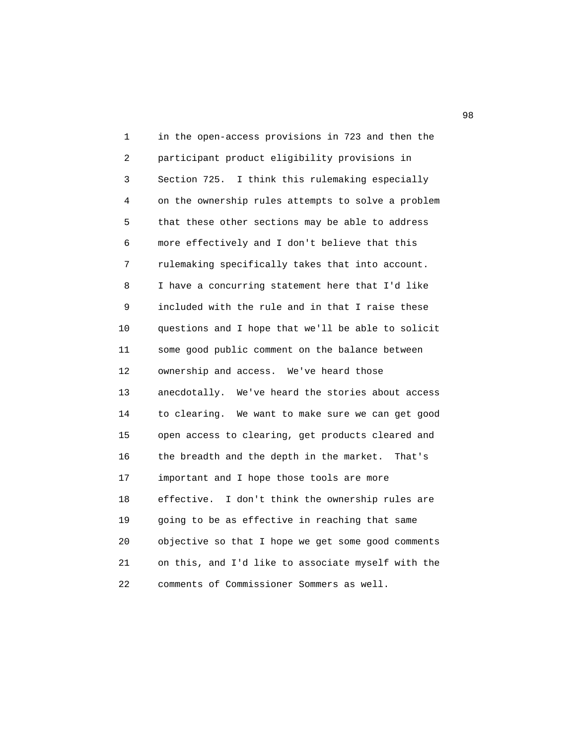1 in the open-access provisions in 723 and then the 2 participant product eligibility provisions in 3 Section 725. I think this rulemaking especially 4 on the ownership rules attempts to solve a problem 5 that these other sections may be able to address 6 more effectively and I don't believe that this 7 rulemaking specifically takes that into account. 8 I have a concurring statement here that I'd like 9 included with the rule and in that I raise these 10 questions and I hope that we'll be able to solicit 11 some good public comment on the balance between 12 ownership and access. We've heard those 13 anecdotally. We've heard the stories about access 14 to clearing. We want to make sure we can get good 15 open access to clearing, get products cleared and 16 the breadth and the depth in the market. That's 17 important and I hope those tools are more 18 effective. I don't think the ownership rules are 19 going to be as effective in reaching that same 20 objective so that I hope we get some good comments 21 on this, and I'd like to associate myself with the 22 comments of Commissioner Sommers as well.

98 and 2012 and 2012 and 2012 and 2012 and 2012 and 2012 and 2012 and 2012 and 2012 and 2012 and 201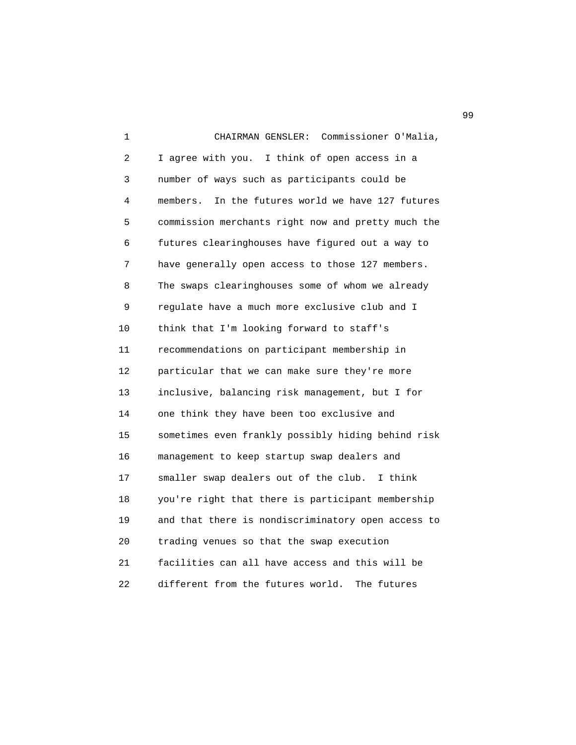1 CHAIRMAN GENSLER: Commissioner O'Malia, 2 I agree with you. I think of open access in a 3 number of ways such as participants could be 4 members. In the futures world we have 127 futures 5 commission merchants right now and pretty much the 6 futures clearinghouses have figured out a way to 7 have generally open access to those 127 members. 8 The swaps clearinghouses some of whom we already 9 regulate have a much more exclusive club and I 10 think that I'm looking forward to staff's 11 recommendations on participant membership in 12 particular that we can make sure they're more 13 inclusive, balancing risk management, but I for 14 one think they have been too exclusive and 15 sometimes even frankly possibly hiding behind risk 16 management to keep startup swap dealers and 17 smaller swap dealers out of the club. I think 18 you're right that there is participant membership 19 and that there is nondiscriminatory open access to 20 trading venues so that the swap execution 21 facilities can all have access and this will be 22 different from the futures world. The futures

99 and the contract of the contract of the contract of the contract of the contract of the contract of the contract of the contract of the contract of the contract of the contract of the contract of the contract of the con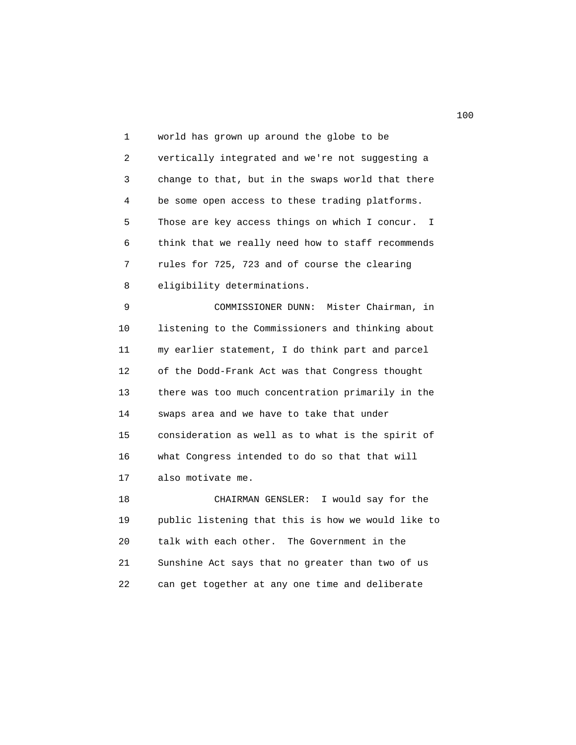1 world has grown up around the globe to be 2 vertically integrated and we're not suggesting a 3 change to that, but in the swaps world that there 4 be some open access to these trading platforms. 5 Those are key access things on which I concur. I 6 think that we really need how to staff recommends 7 rules for 725, 723 and of course the clearing 8 eligibility determinations.

 9 COMMISSIONER DUNN: Mister Chairman, in 10 listening to the Commissioners and thinking about 11 my earlier statement, I do think part and parcel 12 of the Dodd-Frank Act was that Congress thought 13 there was too much concentration primarily in the 14 swaps area and we have to take that under 15 consideration as well as to what is the spirit of 16 what Congress intended to do so that that will 17 also motivate me.

 18 CHAIRMAN GENSLER: I would say for the 19 public listening that this is how we would like to 20 talk with each other. The Government in the 21 Sunshine Act says that no greater than two of us 22 can get together at any one time and deliberate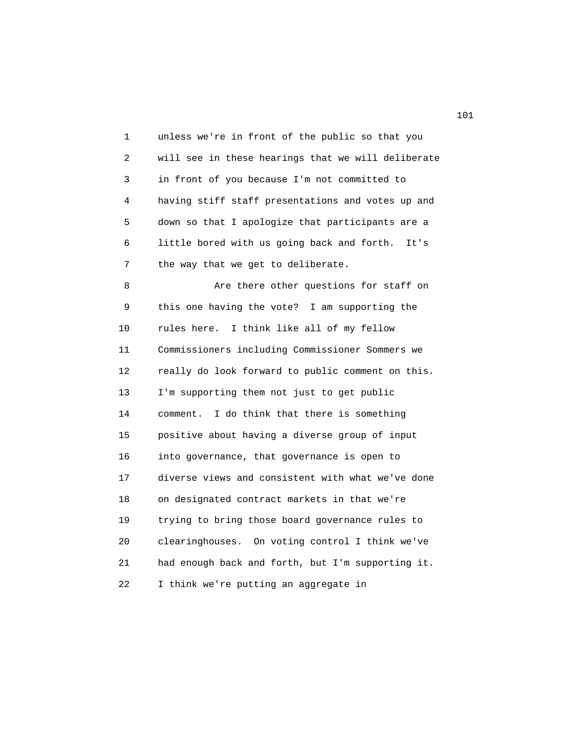1 unless we're in front of the public so that you 2 will see in these hearings that we will deliberate 3 in front of you because I'm not committed to 4 having stiff staff presentations and votes up and 5 down so that I apologize that participants are a 6 little bored with us going back and forth. It's 7 the way that we get to deliberate.

 8 Are there other questions for staff on 9 this one having the vote? I am supporting the 10 rules here. I think like all of my fellow 11 Commissioners including Commissioner Sommers we 12 really do look forward to public comment on this. 13 I'm supporting them not just to get public 14 comment. I do think that there is something 15 positive about having a diverse group of input 16 into governance, that governance is open to 17 diverse views and consistent with what we've done 18 on designated contract markets in that we're 19 trying to bring those board governance rules to 20 clearinghouses. On voting control I think we've 21 had enough back and forth, but I'm supporting it. 22 I think we're putting an aggregate in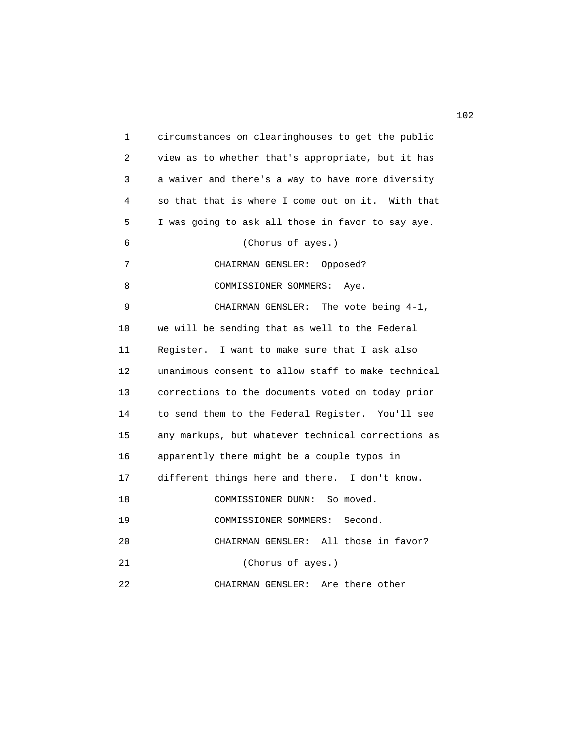1 circumstances on clearinghouses to get the public 2 view as to whether that's appropriate, but it has 3 a waiver and there's a way to have more diversity 4 so that that is where I come out on it. With that 5 I was going to ask all those in favor to say aye. 6 (Chorus of ayes.) 7 CHAIRMAN GENSLER: Opposed? 8 COMMISSIONER SOMMERS: Aye. 9 CHAIRMAN GENSLER: The vote being 4-1, 10 we will be sending that as well to the Federal 11 Register. I want to make sure that I ask also 12 unanimous consent to allow staff to make technical 13 corrections to the documents voted on today prior 14 to send them to the Federal Register. You'll see 15 any markups, but whatever technical corrections as 16 apparently there might be a couple typos in 17 different things here and there. I don't know. 18 COMMISSIONER DUNN: So moved. 19 COMMISSIONER SOMMERS: Second. 20 CHAIRMAN GENSLER: All those in favor? 21 (Chorus of ayes.)

22 CHAIRMAN GENSLER: Are there other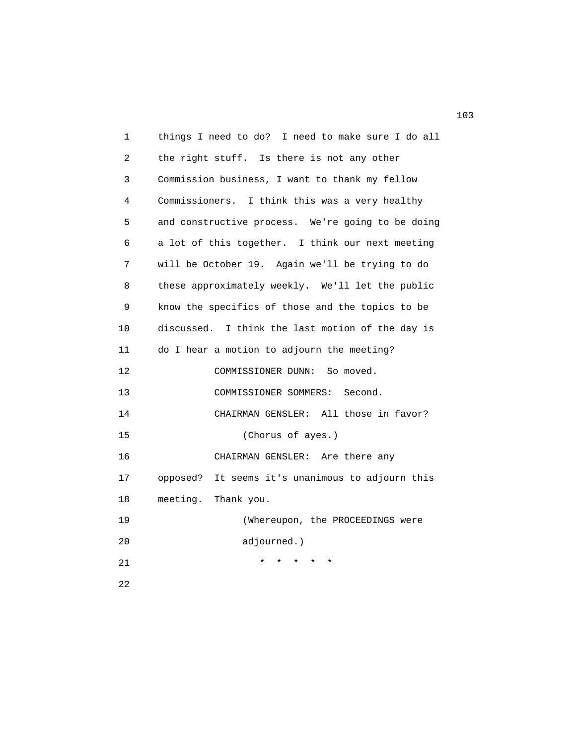| 1              | things I need to do? I need to make sure I do all   |
|----------------|-----------------------------------------------------|
| $\overline{2}$ | the right stuff. Is there is not any other          |
| 3              | Commission business, I want to thank my fellow      |
| 4              | Commissioners. I think this was a very healthy      |
| 5              | and constructive process. We're going to be doing   |
| 6              | a lot of this together. I think our next meeting    |
| 7              | will be October 19. Again we'll be trying to do     |
| 8              | these approximately weekly. We'll let the public    |
| 9              | know the specifics of those and the topics to be    |
| 10             | discussed. I think the last motion of the day is    |
| 11             | do I hear a motion to adjourn the meeting?          |
| 12             | COMMISSIONER DUNN:<br>So moved.                     |
| 13             | COMMISSIONER SOMMERS:<br>Second.                    |
| 14             | CHAIRMAN GENSLER: All those in favor?               |
| 15             | (Chorus of ayes.)                                   |
| 16             | CHAIRMAN GENSLER:<br>Are there any                  |
| 17             | opposed?<br>It seems it's unanimous to adjourn this |
| 18             | meeting.<br>Thank you.                              |
| 19             | (Whereupon, the PROCEEDINGS were                    |
| 20             | adjourned.)                                         |
| 21             |                                                     |
| 22             |                                                     |